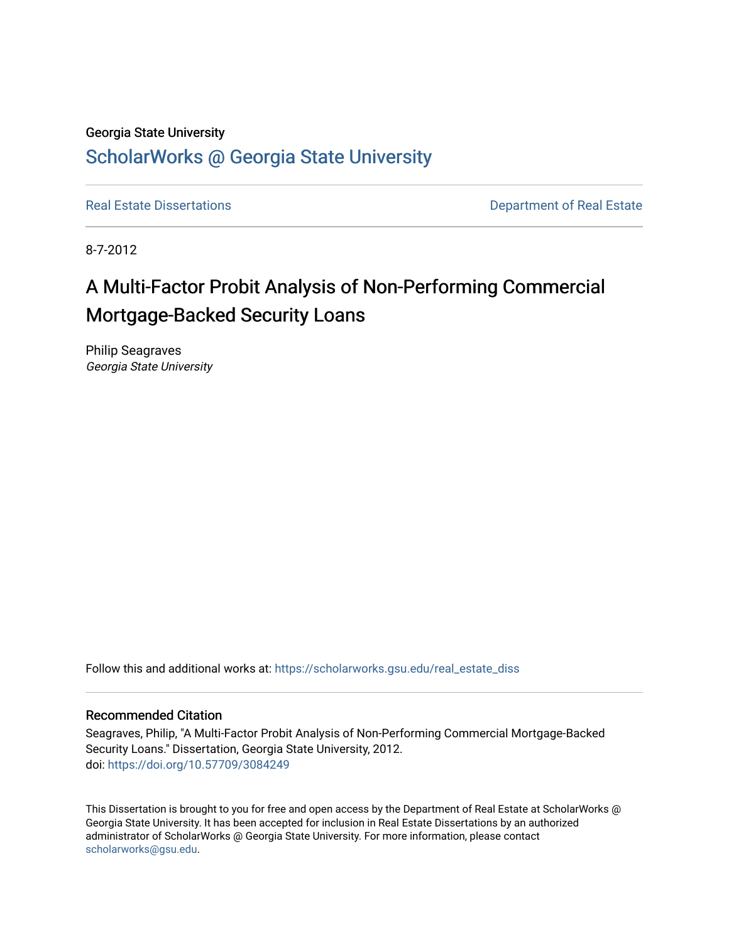### Georgia State University [ScholarWorks @ Georgia State University](https://scholarworks.gsu.edu/)

[Real Estate Dissertations](https://scholarworks.gsu.edu/real_estate_diss) **Department of Real Estate** 

8-7-2012

# A Multi-Factor Probit Analysis of Non-Performing Commercial Mortgage-Backed Security Loans

Philip Seagraves Georgia State University

Follow this and additional works at: [https://scholarworks.gsu.edu/real\\_estate\\_diss](https://scholarworks.gsu.edu/real_estate_diss?utm_source=scholarworks.gsu.edu%2Freal_estate_diss%2F13&utm_medium=PDF&utm_campaign=PDFCoverPages) 

### Recommended Citation

Seagraves, Philip, "A Multi-Factor Probit Analysis of Non-Performing Commercial Mortgage-Backed Security Loans." Dissertation, Georgia State University, 2012. doi: <https://doi.org/10.57709/3084249>

This Dissertation is brought to you for free and open access by the Department of Real Estate at ScholarWorks @ Georgia State University. It has been accepted for inclusion in Real Estate Dissertations by an authorized administrator of ScholarWorks @ Georgia State University. For more information, please contact [scholarworks@gsu.edu.](mailto:scholarworks@gsu.edu)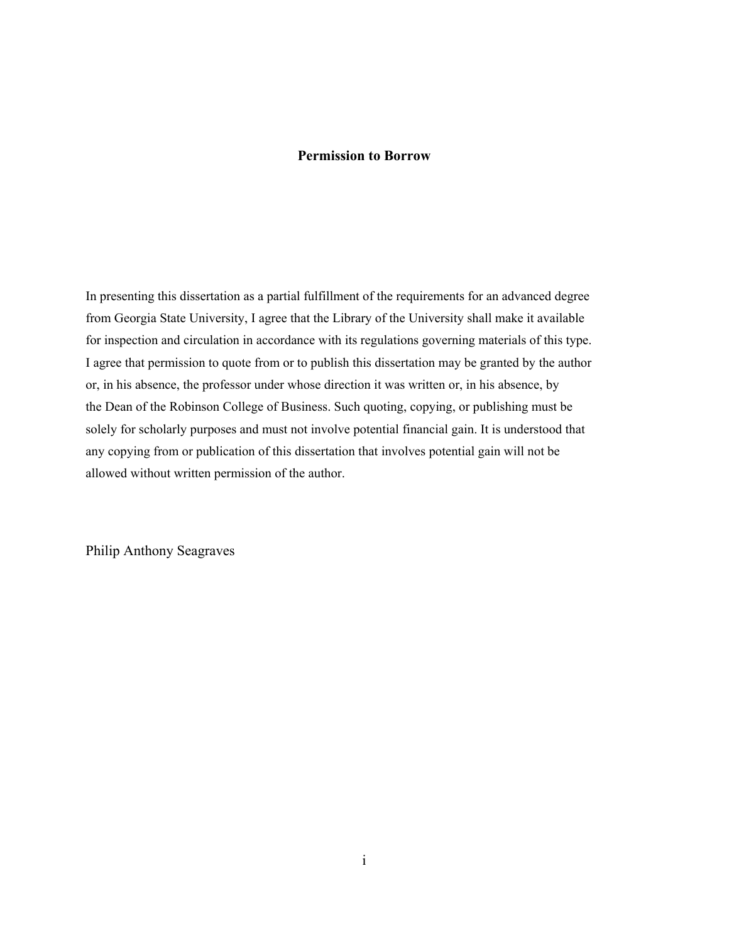#### **Permission to Borrow**

In presenting this dissertation as a partial fulfillment of the requirements for an advanced degree from Georgia State University, I agree that the Library of the University shall make it available for inspection and circulation in accordance with its regulations governing materials of this type. I agree that permission to quote from or to publish this dissertation may be granted by the author or, in his absence, the professor under whose direction it was written or, in his absence, by the Dean of the Robinson College of Business. Such quoting, copying, or publishing must be solely for scholarly purposes and must not involve potential financial gain. It is understood that any copying from or publication of this dissertation that involves potential gain will not be allowed without written permission of the author.

Philip Anthony Seagraves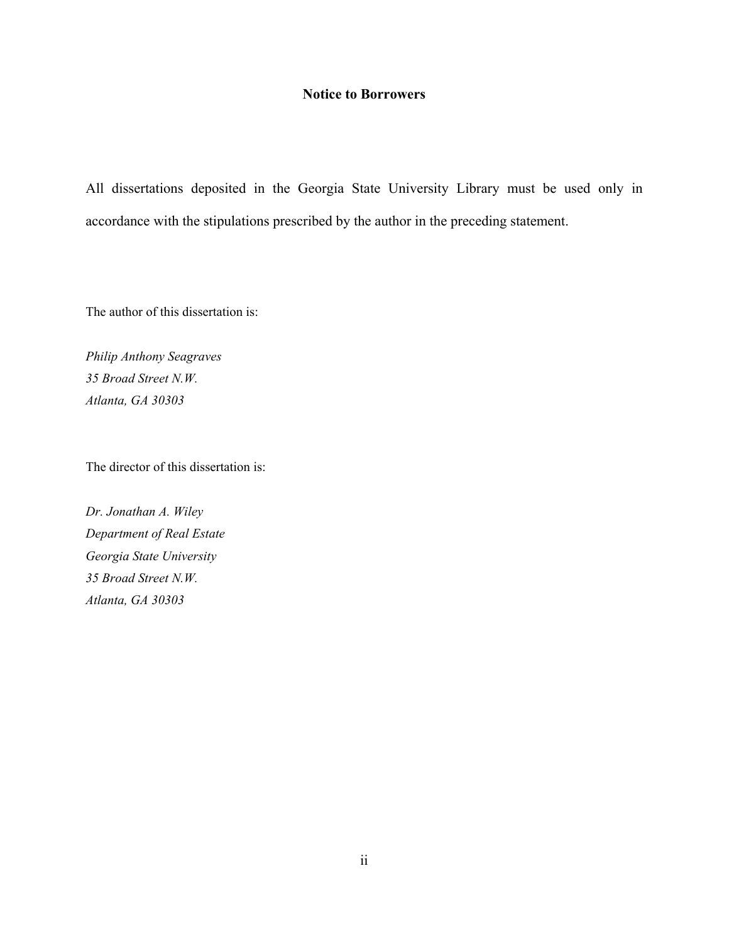### **Notice to Borrowers**

All dissertations deposited in the Georgia State University Library must be used only in accordance with the stipulations prescribed by the author in the preceding statement.

The author of this dissertation is:

*Philip Anthony Seagraves 35 Broad Street N.W. Atlanta, GA 30303*

The director of this dissertation is:

*Dr. Jonathan A. Wiley Department of Real Estate Georgia State University 35 Broad Street N.W. Atlanta, GA 30303*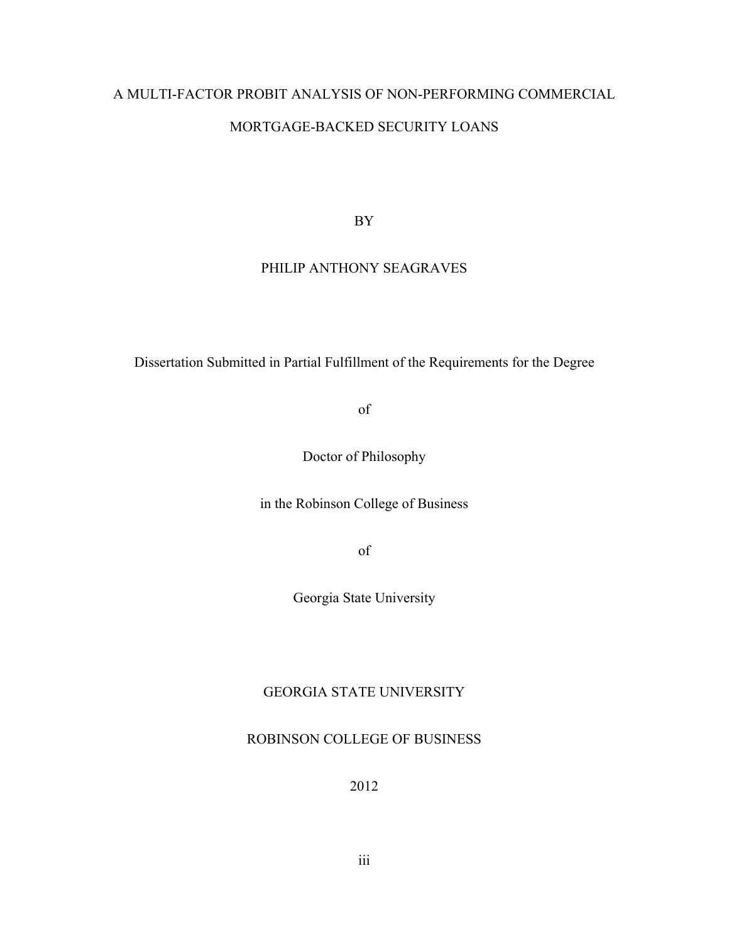# A MULTI-FACTOR PROBIT ANALYSIS OF NON-PERFORMING COMMERCIAL MORTGAGE-BACKED SECURITY LOANS

BY

### PHILIP ANTHONY SEAGRAVES

Dissertation Submitted in Partial Fulfillment of the Requirements for the Degree

of

Doctor of Philosophy

in the Robinson College of Business

of

Georgia State University

### GEORGIA STATE UNIVERSITY

### ROBINSON COLLEGE OF BUSINESS

2012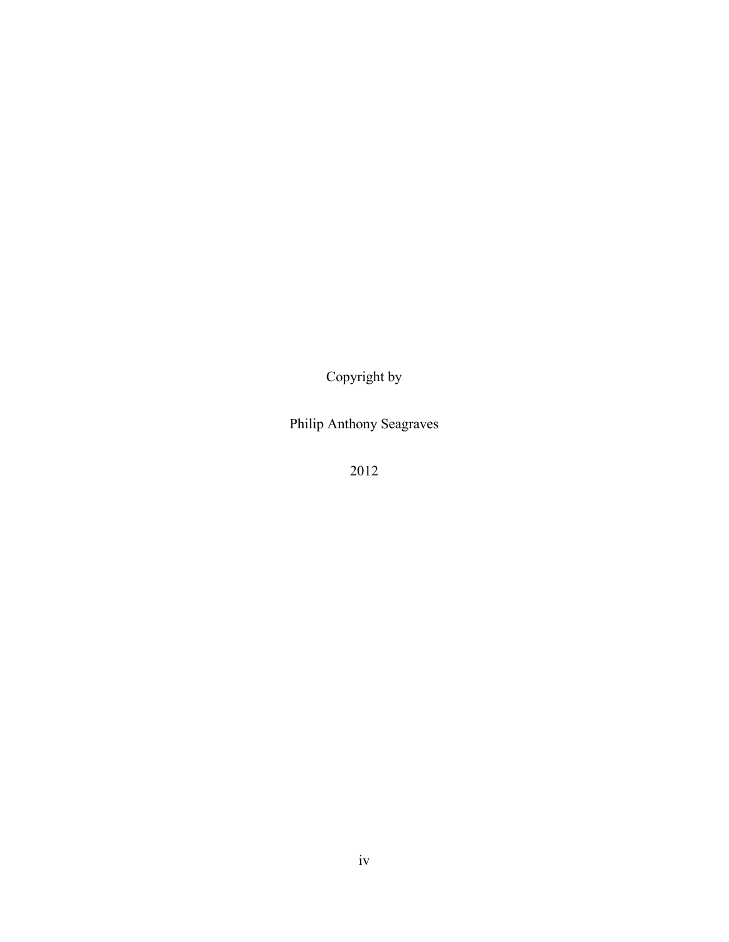Copyright by

Philip Anthony Seagraves

2012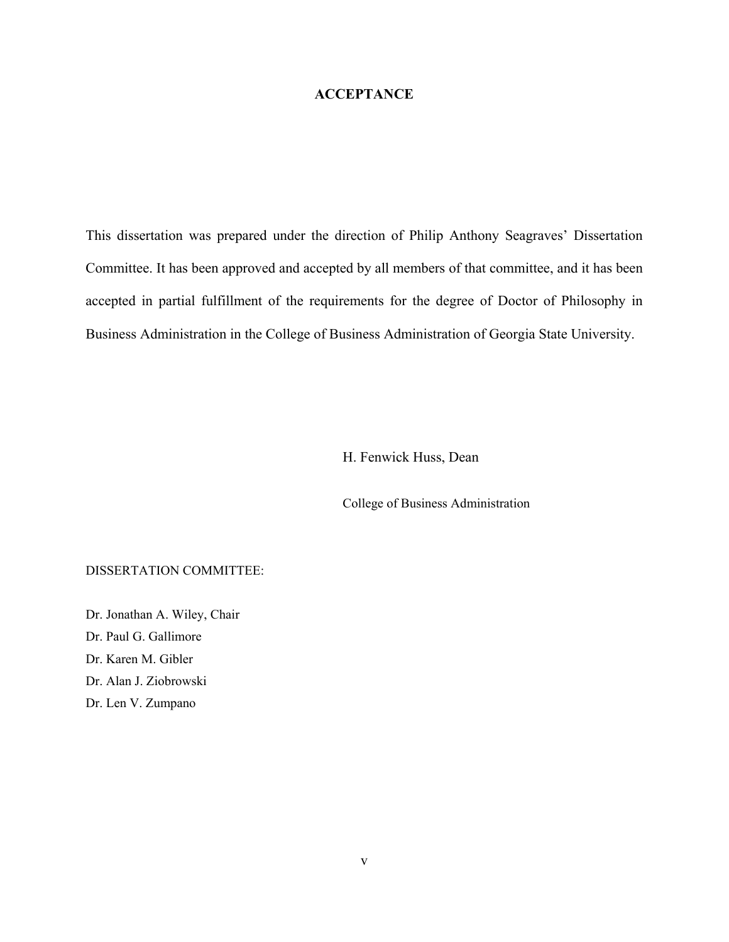### **ACCEPTANCE**

This dissertation was prepared under the direction of Philip Anthony Seagraves' Dissertation Committee. It has been approved and accepted by all members of that committee, and it has been accepted in partial fulfillment of the requirements for the degree of Doctor of Philosophy in Business Administration in the College of Business Administration of Georgia State University.

H. Fenwick Huss, Dean

College of Business Administration

### DISSERTATION COMMITTEE:

Dr. Jonathan A. Wiley, Chair Dr. Paul G. Gallimore Dr. Karen M. Gibler Dr. Alan J. Ziobrowski Dr. Len V. Zumpano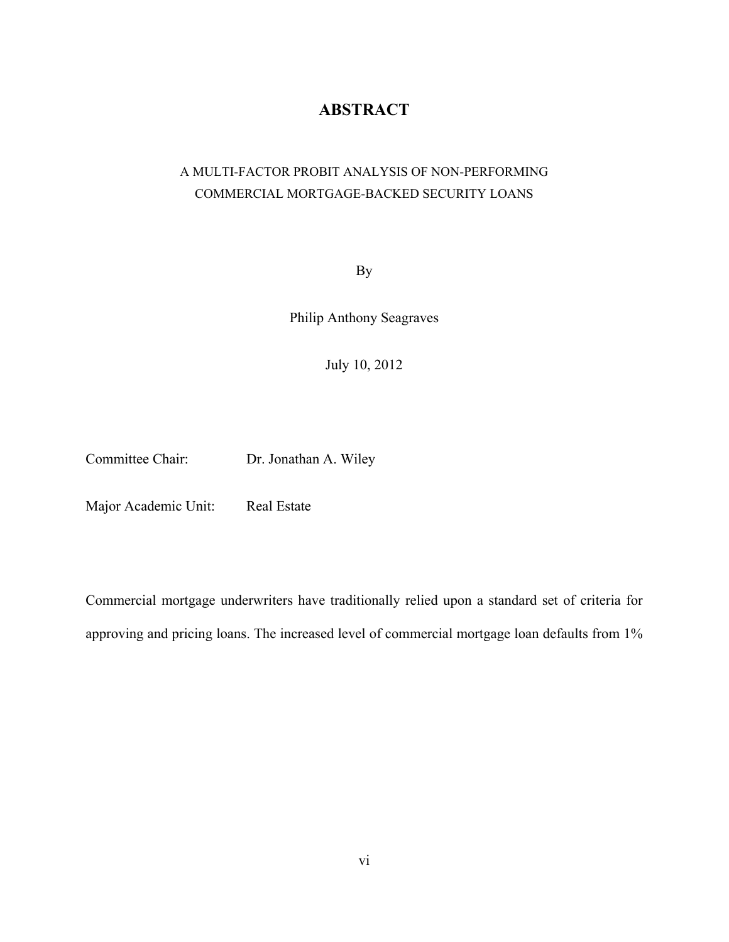### **ABSTRACT**

### A MULTI-FACTOR PROBIT ANALYSIS OF NON-PERFORMING COMMERCIAL MORTGAGE-BACKED SECURITY LOANS

By

Philip Anthony Seagraves

July 10, 2012

Committee Chair: Dr. Jonathan A. Wiley

Major Academic Unit: Real Estate

Commercial mortgage underwriters have traditionally relied upon a standard set of criteria for approving and pricing loans. The increased level of commercial mortgage loan defaults from 1%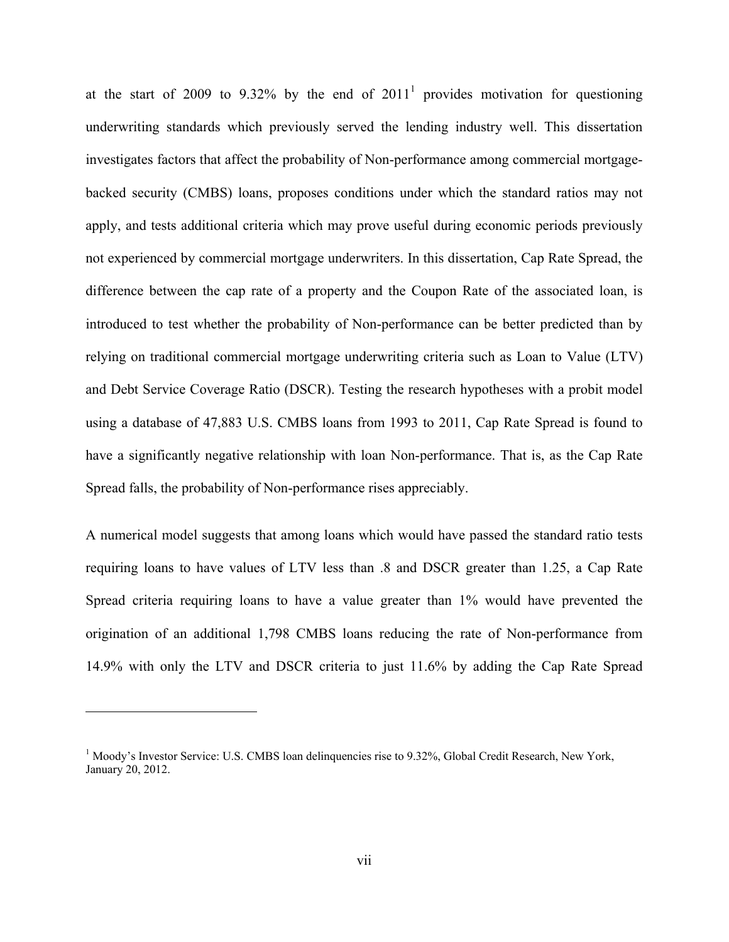at the start of 2009 to 9.32% by the end of  $2011<sup>1</sup>$  provides motivation for questioning underwriting standards which previously served the lending industry well. This dissertation investigates factors that affect the probability of Non-performance among commercial mortgagebacked security (CMBS) loans, proposes conditions under which the standard ratios may not apply, and tests additional criteria which may prove useful during economic periods previously not experienced by commercial mortgage underwriters. In this dissertation, Cap Rate Spread, the difference between the cap rate of a property and the Coupon Rate of the associated loan, is introduced to test whether the probability of Non-performance can be better predicted than by relying on traditional commercial mortgage underwriting criteria such as Loan to Value (LTV) and Debt Service Coverage Ratio (DSCR). Testing the research hypotheses with a probit model using a database of 47,883 U.S. CMBS loans from 1993 to 2011, Cap Rate Spread is found to have a significantly negative relationship with loan Non-performance. That is, as the Cap Rate Spread falls, the probability of Non-performance rises appreciably.

A numerical model suggests that among loans which would have passed the standard ratio tests requiring loans to have values of LTV less than .8 and DSCR greater than 1.25, a Cap Rate Spread criteria requiring loans to have a value greater than 1% would have prevented the origination of an additional 1,798 CMBS loans reducing the rate of Non-performance from 14.9% with only the LTV and DSCR criteria to just 11.6% by adding the Cap Rate Spread

 $\overline{a}$ 

<sup>&</sup>lt;sup>1</sup> Moody's Investor Service: U.S. CMBS loan delinquencies rise to 9.32%, Global Credit Research, New York, January 20, 2012.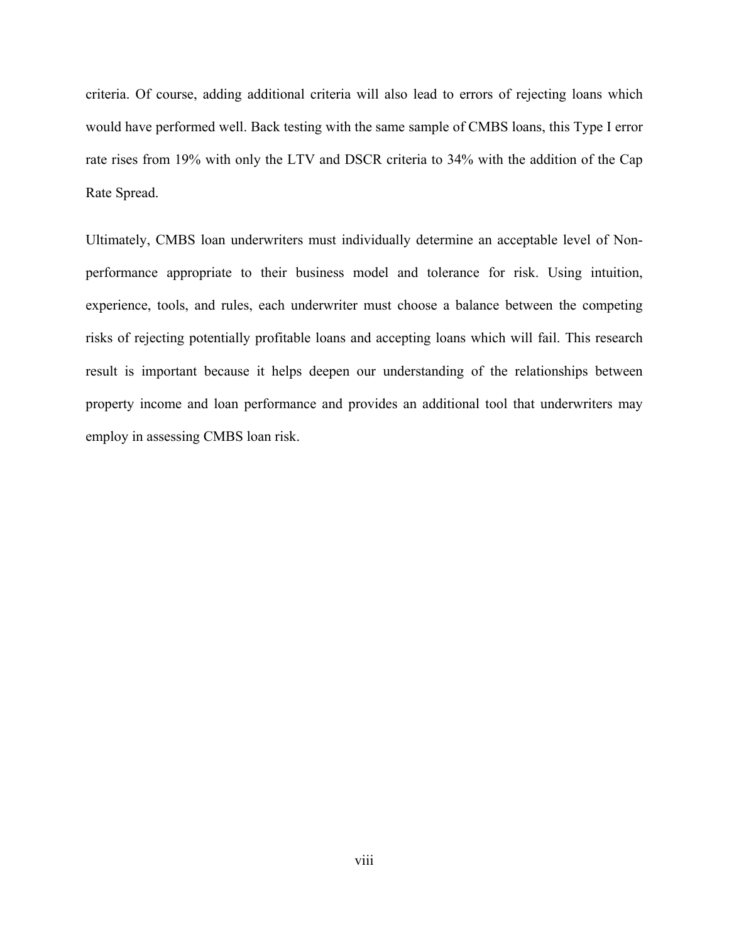criteria. Of course, adding additional criteria will also lead to errors of rejecting loans which would have performed well. Back testing with the same sample of CMBS loans, this Type I error rate rises from 19% with only the LTV and DSCR criteria to 34% with the addition of the Cap Rate Spread.

Ultimately, CMBS loan underwriters must individually determine an acceptable level of Nonperformance appropriate to their business model and tolerance for risk. Using intuition, experience, tools, and rules, each underwriter must choose a balance between the competing risks of rejecting potentially profitable loans and accepting loans which will fail. This research result is important because it helps deepen our understanding of the relationships between property income and loan performance and provides an additional tool that underwriters may employ in assessing CMBS loan risk.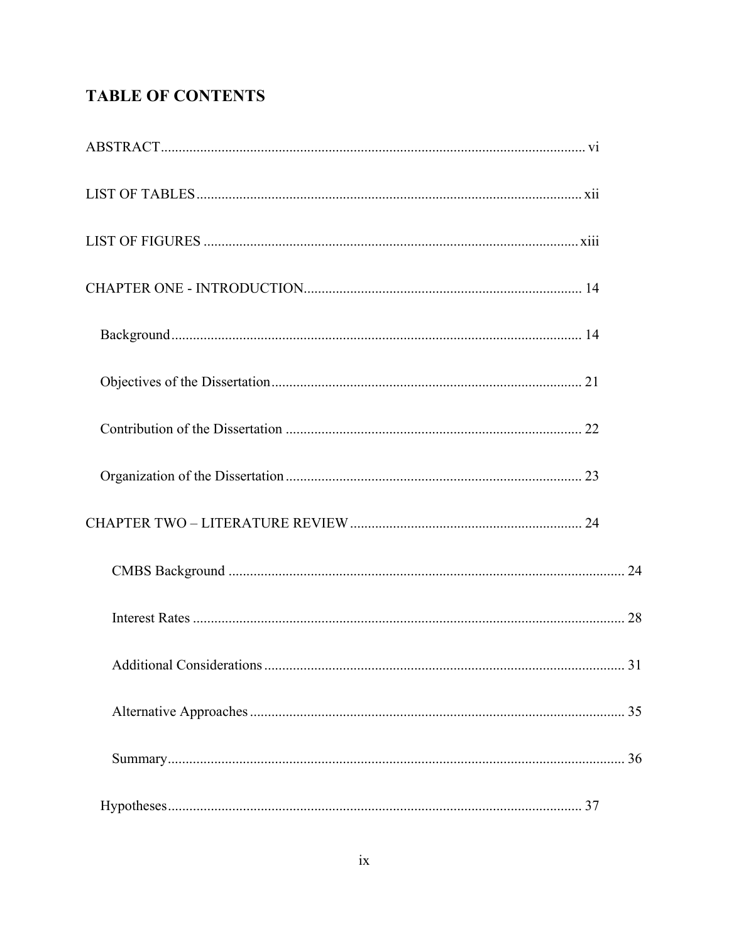## **TABLE OF CONTENTS**

| <b>Additional Considerations</b> | 31 |
|----------------------------------|----|
|                                  |    |
|                                  |    |
|                                  |    |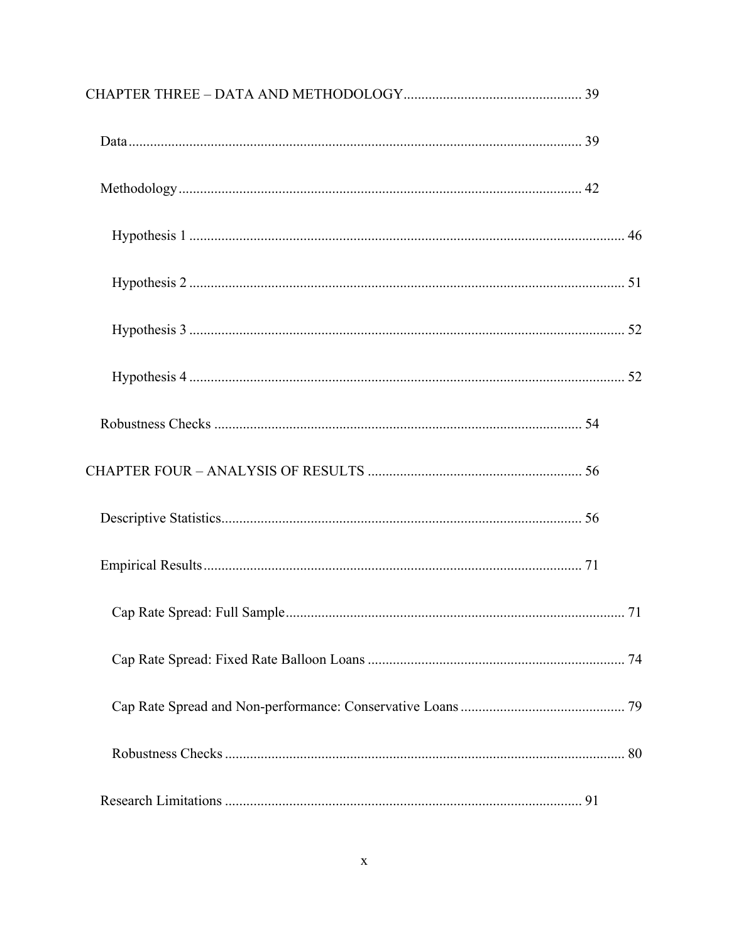| 71 |
|----|
|    |
|    |
|    |
|    |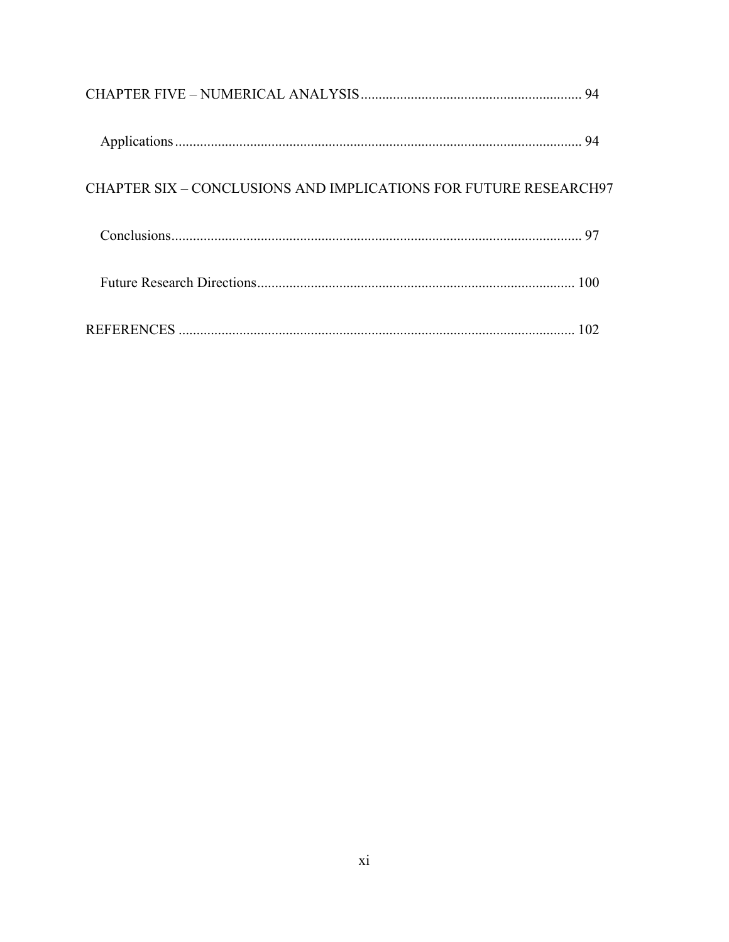|                                                                         | 94  |
|-------------------------------------------------------------------------|-----|
| <b>CHAPTER SIX – CONCLUSIONS AND IMPLICATIONS FOR FUTURE RESEARCH97</b> |     |
|                                                                         | 97  |
|                                                                         | 100 |
|                                                                         |     |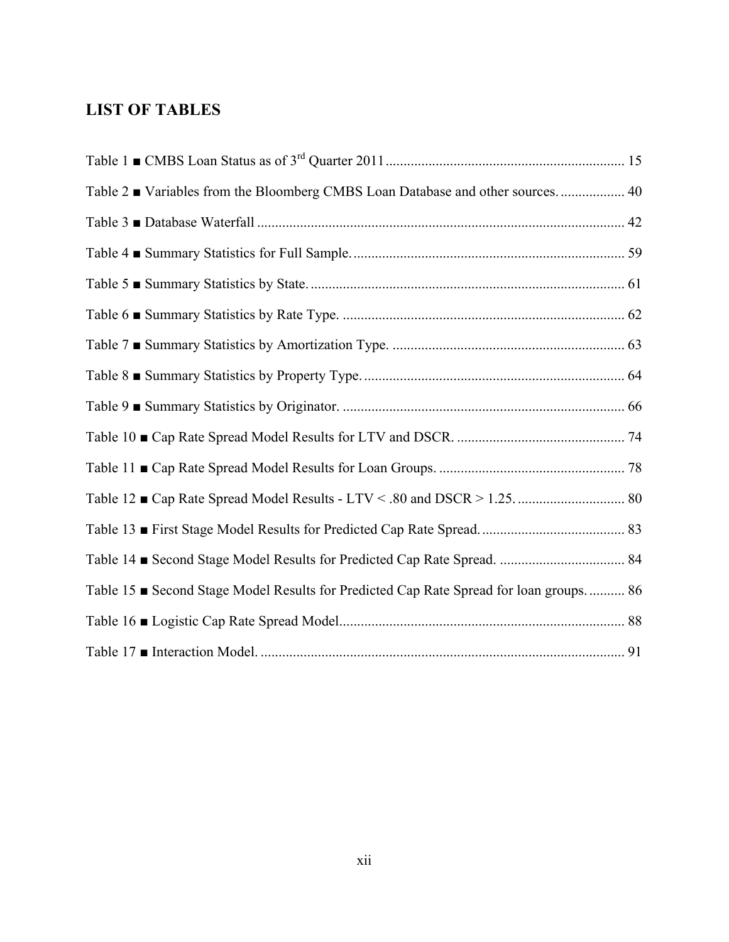## **LIST OF TABLES**

| Table 2 ■ Variables from the Bloomberg CMBS Loan Database and other sources 40       |  |
|--------------------------------------------------------------------------------------|--|
|                                                                                      |  |
|                                                                                      |  |
|                                                                                      |  |
|                                                                                      |  |
|                                                                                      |  |
|                                                                                      |  |
|                                                                                      |  |
|                                                                                      |  |
|                                                                                      |  |
|                                                                                      |  |
|                                                                                      |  |
|                                                                                      |  |
| Table 15 Second Stage Model Results for Predicted Cap Rate Spread for loan groups 86 |  |
|                                                                                      |  |
|                                                                                      |  |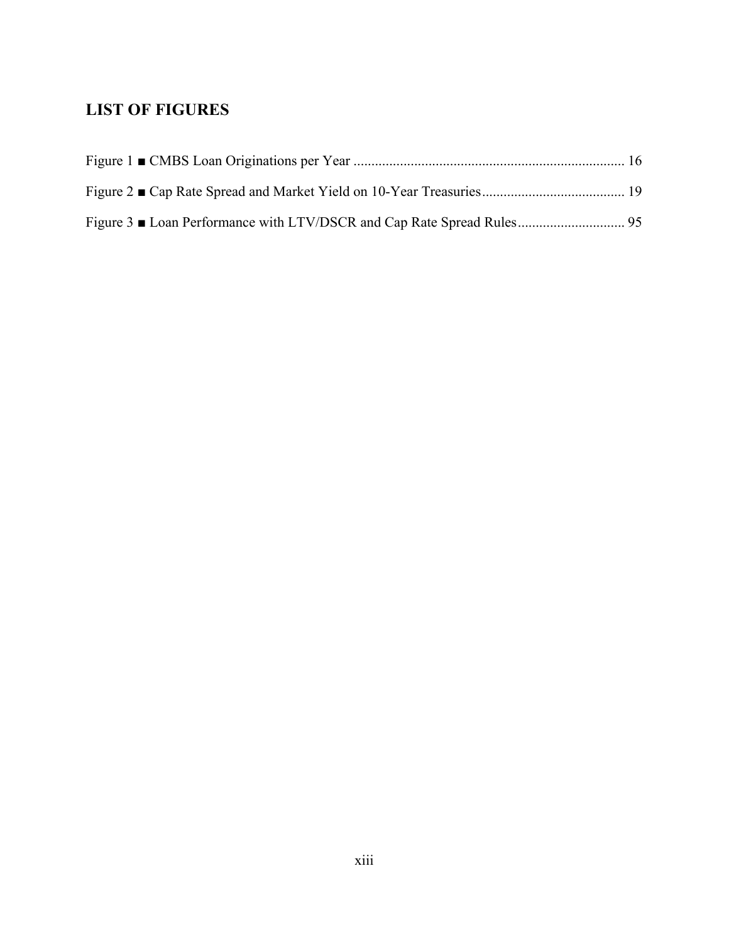### **LIST OF FIGURES**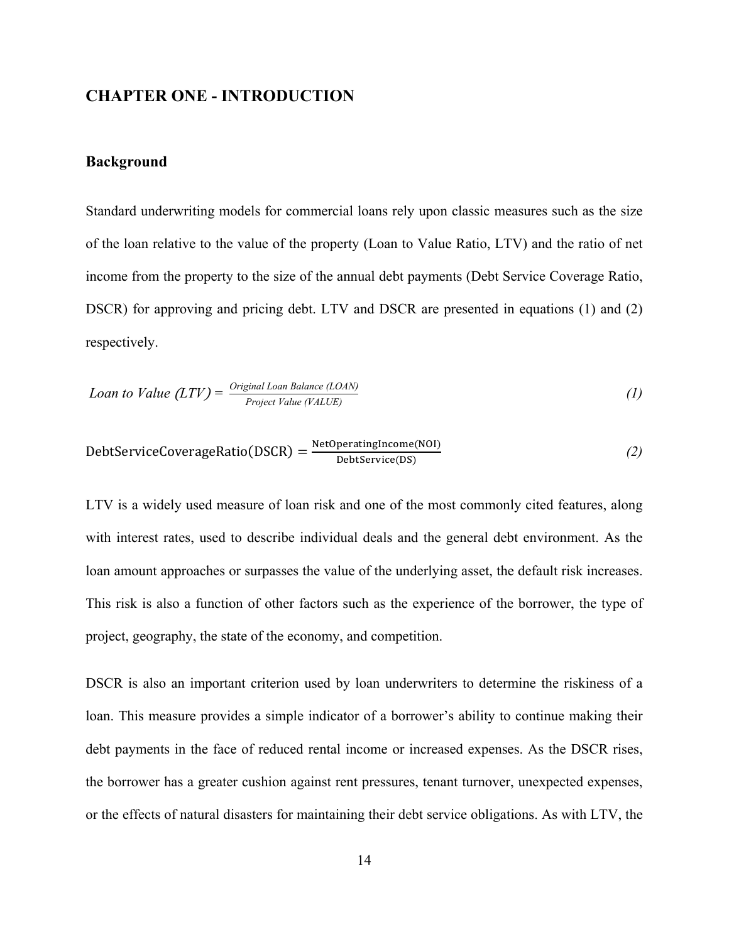### **CHAPTER ONE - INTRODUCTION**

### **Background**

Standard underwriting models for commercial loans rely upon classic measures such as the size of the loan relative to the value of the property (Loan to Value Ratio, LTV) and the ratio of net income from the property to the size of the annual debt payments (Debt Service Coverage Ratio, DSCR) for approving and pricing debt. LTV and DSCR are presented in equations (1) and (2) respectively.

$$
Loan to Value (LTV) = \frac{Original\,Balance\,(LOAN)}{Project\,Value\,(YALUE)}\tag{1}
$$

$$
DebtServiceCoverageRatio(DSCR) = \frac{NetOperatingIncome(NOI)}{DebtService(DS)}
$$
 (2)

LTV is a widely used measure of loan risk and one of the most commonly cited features, along with interest rates, used to describe individual deals and the general debt environment. As the loan amount approaches or surpasses the value of the underlying asset, the default risk increases. This risk is also a function of other factors such as the experience of the borrower, the type of project, geography, the state of the economy, and competition.

DSCR is also an important criterion used by loan underwriters to determine the riskiness of a loan. This measure provides a simple indicator of a borrower's ability to continue making their debt payments in the face of reduced rental income or increased expenses. As the DSCR rises, the borrower has a greater cushion against rent pressures, tenant turnover, unexpected expenses, or the effects of natural disasters for maintaining their debt service obligations. As with LTV, the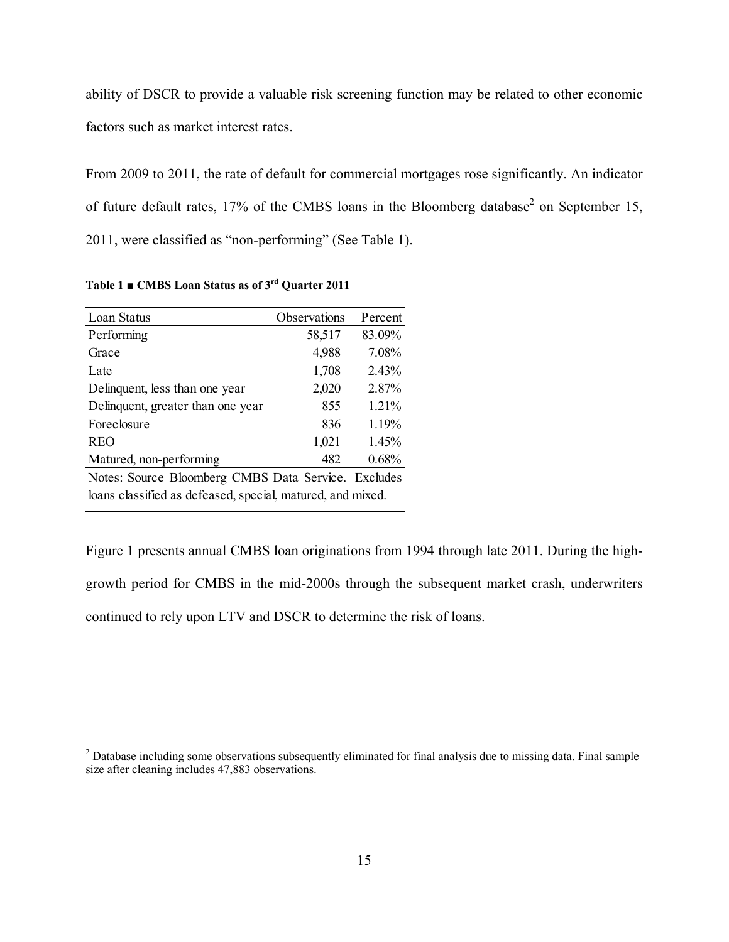ability of DSCR to provide a valuable risk screening function may be related to other economic factors such as market interest rates.

From 2009 to 2011, the rate of default for commercial mortgages rose significantly. An indicator of future default rates,  $17\%$  of the CMBS loans in the Bloomberg database<sup>2</sup> on September 15, 2011, were classified as "non-performing" (See Table 1).

| Loan Status                                                | Observations | Percent |  |  |
|------------------------------------------------------------|--------------|---------|--|--|
| Performing                                                 | 58,517       | 83.09%  |  |  |
| Grace                                                      | 4,988        | 7.08%   |  |  |
| Late                                                       | 1,708        | 2.43%   |  |  |
| Delinquent, less than one year                             | 2,020        | 2.87%   |  |  |
| Delinquent, greater than one year                          | 855          | 1.21%   |  |  |
| Foreclosure                                                | 836          | 1.19%   |  |  |
| <b>REO</b>                                                 | 1,021        | 1.45%   |  |  |
| Matured, non-performing                                    | 482          | 0.68%   |  |  |
| Notes: Source Bloomberg CMBS Data Service. Excludes        |              |         |  |  |
| loans classified as defeased, special, matured, and mixed. |              |         |  |  |

**Table 1 ■ CMBS Loan Status as of 3rd Quarter 2011** 

 $\overline{a}$ 

Figure 1 presents annual CMBS loan originations from 1994 through late 2011. During the highgrowth period for CMBS in the mid-2000s through the subsequent market crash, underwriters continued to rely upon LTV and DSCR to determine the risk of loans.

 $2$  Database including some observations subsequently eliminated for final analysis due to missing data. Final sample size after cleaning includes 47,883 observations.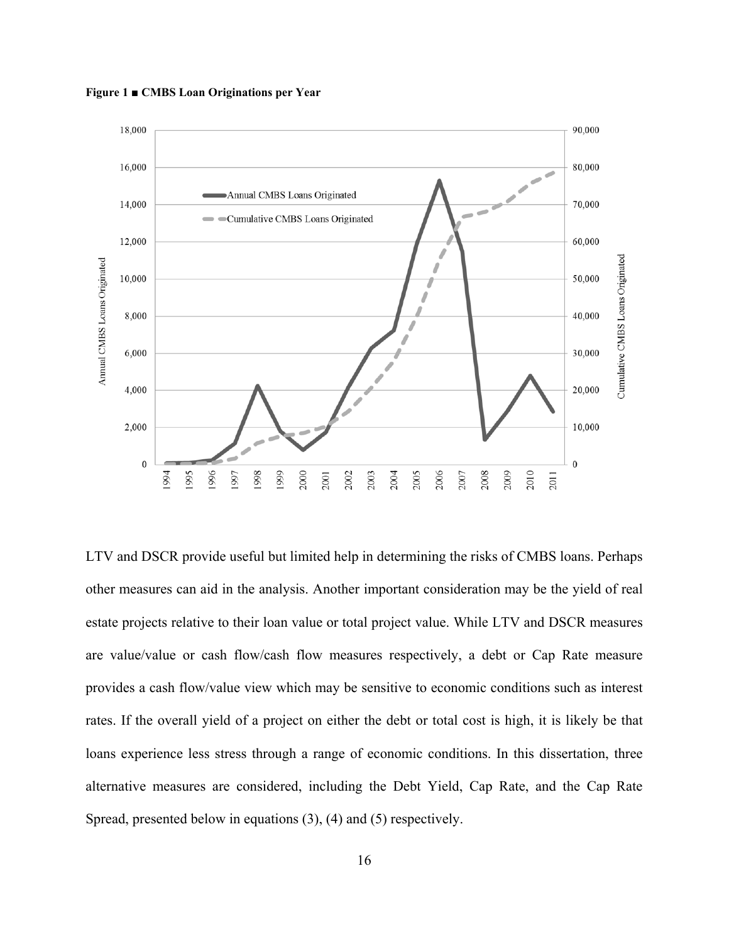**Figure 1 ■ CMBS Loan Originations per Year** 



LTV and DSCR provide useful but limited help in determining the risks of CMBS loans. Perhaps other measures can aid in the analysis. Another important consideration may be the yield of real estate projects relative to their loan value or total project value. While LTV and DSCR measures are value/value or cash flow/cash flow measures respectively, a debt or Cap Rate measure provides a cash flow/value view which may be sensitive to economic conditions such as interest rates. If the overall yield of a project on either the debt or total cost is high, it is likely be that loans experience less stress through a range of economic conditions. In this dissertation, three alternative measures are considered, including the Debt Yield, Cap Rate, and the Cap Rate Spread, presented below in equations (3), (4) and (5) respectively.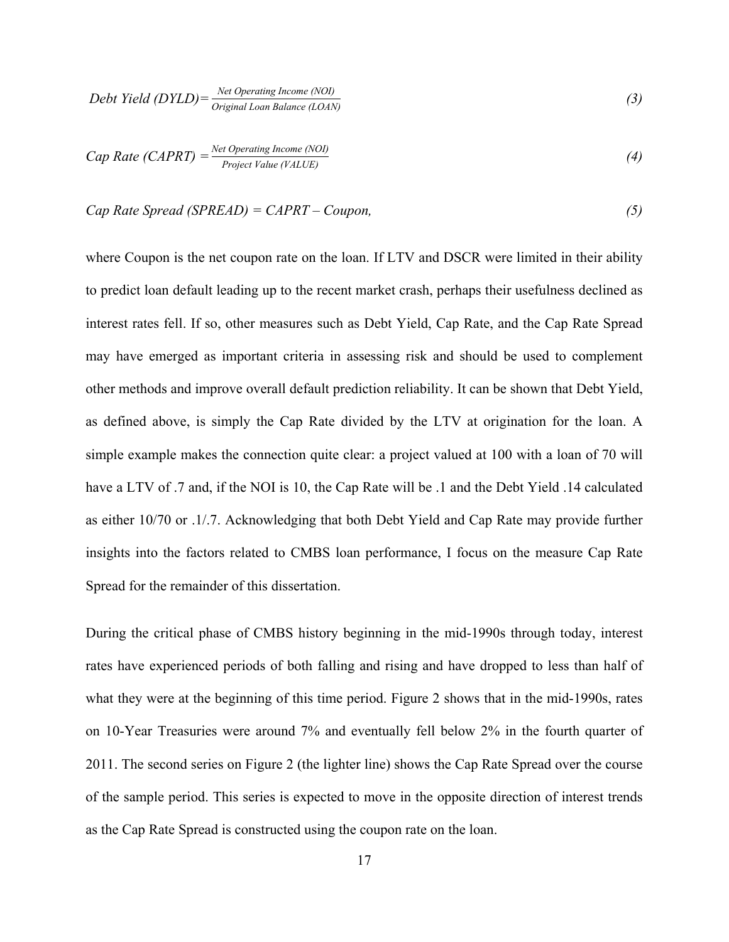$$
Debt Yield (DYLD) = \frac{Net Operating Income (NOI)}{Original Loan Balance (LOAN)}
$$
\n(3)

Cap Rate (CAPRT) = 
$$
\frac{Net \ Operating \ Income \ (NOI)}{Project \ Value \ (VALUE)}
$$
 (4)

Cap Rate Spread (SPREAD) = CAPRT - Coupon, 
$$
\tag{5}
$$

where Coupon is the net coupon rate on the loan. If LTV and DSCR were limited in their ability to predict loan default leading up to the recent market crash, perhaps their usefulness declined as interest rates fell. If so, other measures such as Debt Yield, Cap Rate, and the Cap Rate Spread may have emerged as important criteria in assessing risk and should be used to complement other methods and improve overall default prediction reliability. It can be shown that Debt Yield, as defined above, is simply the Cap Rate divided by the LTV at origination for the loan. A simple example makes the connection quite clear: a project valued at 100 with a loan of 70 will have a LTV of .7 and, if the NOI is 10, the Cap Rate will be .1 and the Debt Yield .14 calculated as either 10/70 or .1/.7. Acknowledging that both Debt Yield and Cap Rate may provide further insights into the factors related to CMBS loan performance, I focus on the measure Cap Rate Spread for the remainder of this dissertation.

During the critical phase of CMBS history beginning in the mid-1990s through today, interest rates have experienced periods of both falling and rising and have dropped to less than half of what they were at the beginning of this time period. Figure 2 shows that in the mid-1990s, rates on 10-Year Treasuries were around 7% and eventually fell below 2% in the fourth quarter of 2011. The second series on Figure 2 (the lighter line) shows the Cap Rate Spread over the course of the sample period. This series is expected to move in the opposite direction of interest trends as the Cap Rate Spread is constructed using the coupon rate on the loan.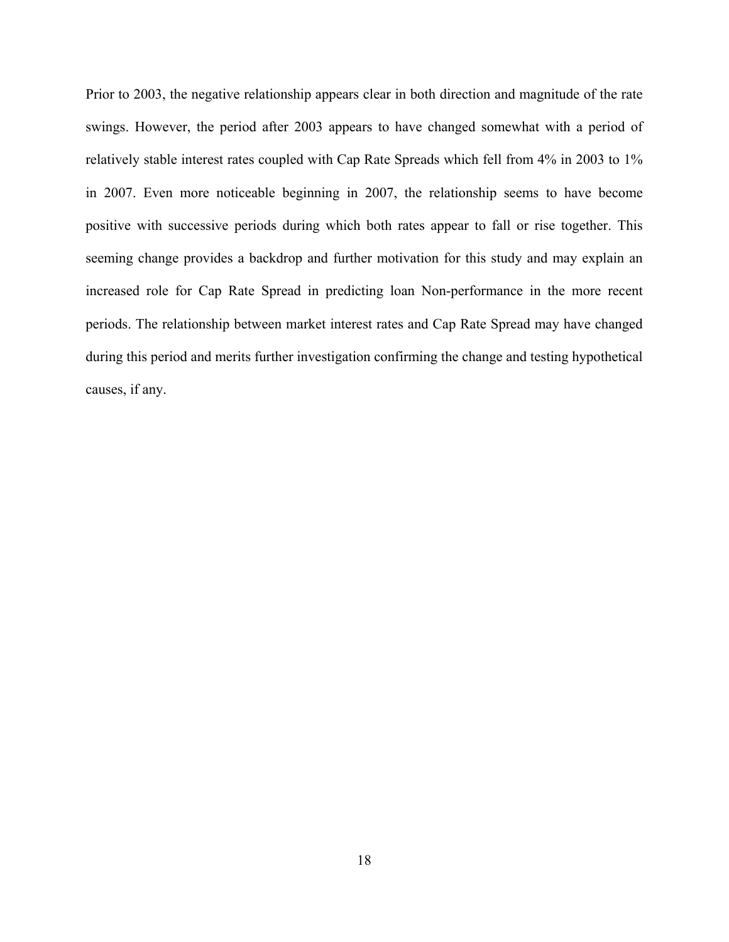Prior to 2003, the negative relationship appears clear in both direction and magnitude of the rate swings. However, the period after 2003 appears to have changed somewhat with a period of relatively stable interest rates coupled with Cap Rate Spreads which fell from 4% in 2003 to 1% in 2007. Even more noticeable beginning in 2007, the relationship seems to have become positive with successive periods during which both rates appear to fall or rise together. This seeming change provides a backdrop and further motivation for this study and may explain an increased role for Cap Rate Spread in predicting loan Non-performance in the more recent periods. The relationship between market interest rates and Cap Rate Spread may have changed during this period and merits further investigation confirming the change and testing hypothetical causes, if any.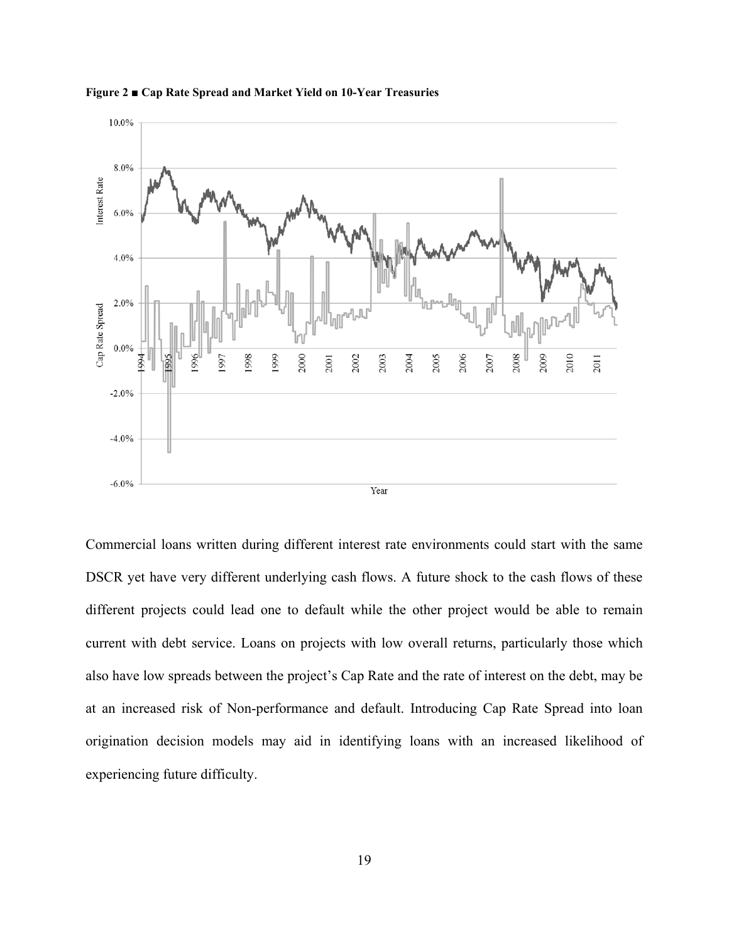



Commercial loans written during different interest rate environments could start with the same DSCR yet have very different underlying cash flows. A future shock to the cash flows of these different projects could lead one to default while the other project would be able to remain current with debt service. Loans on projects with low overall returns, particularly those which also have low spreads between the project's Cap Rate and the rate of interest on the debt, may be at an increased risk of Non-performance and default. Introducing Cap Rate Spread into loan origination decision models may aid in identifying loans with an increased likelihood of experiencing future difficulty.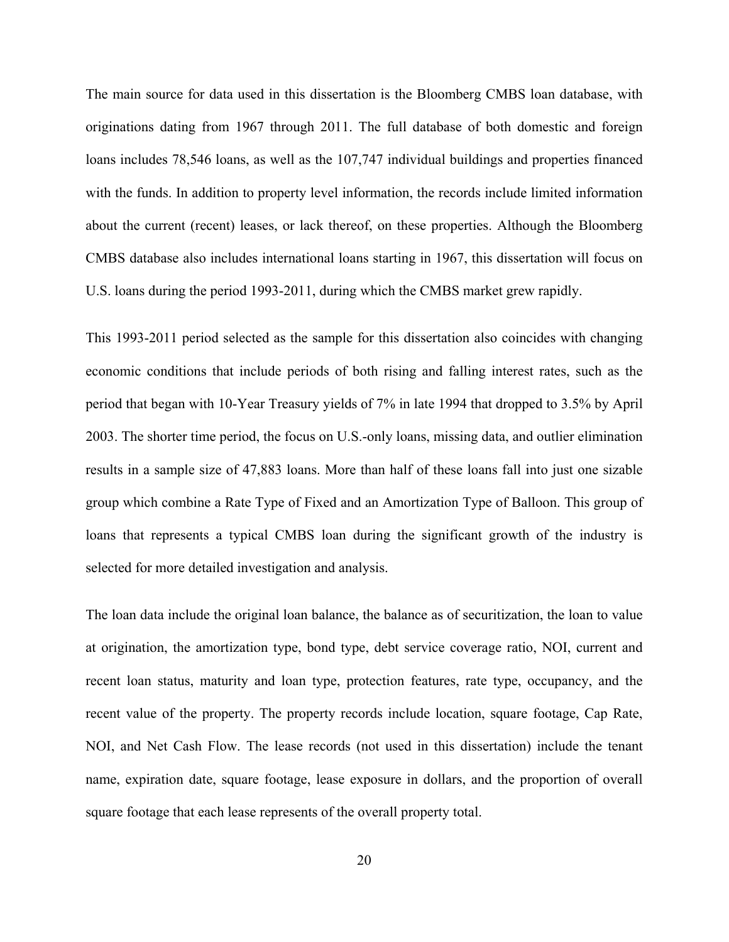The main source for data used in this dissertation is the Bloomberg CMBS loan database, with originations dating from 1967 through 2011. The full database of both domestic and foreign loans includes 78,546 loans, as well as the 107,747 individual buildings and properties financed with the funds. In addition to property level information, the records include limited information about the current (recent) leases, or lack thereof, on these properties. Although the Bloomberg CMBS database also includes international loans starting in 1967, this dissertation will focus on U.S. loans during the period 1993-2011, during which the CMBS market grew rapidly.

This 1993-2011 period selected as the sample for this dissertation also coincides with changing economic conditions that include periods of both rising and falling interest rates, such as the period that began with 10-Year Treasury yields of 7% in late 1994 that dropped to 3.5% by April 2003. The shorter time period, the focus on U.S.-only loans, missing data, and outlier elimination results in a sample size of 47,883 loans. More than half of these loans fall into just one sizable group which combine a Rate Type of Fixed and an Amortization Type of Balloon. This group of loans that represents a typical CMBS loan during the significant growth of the industry is selected for more detailed investigation and analysis.

The loan data include the original loan balance, the balance as of securitization, the loan to value at origination, the amortization type, bond type, debt service coverage ratio, NOI, current and recent loan status, maturity and loan type, protection features, rate type, occupancy, and the recent value of the property. The property records include location, square footage, Cap Rate, NOI, and Net Cash Flow. The lease records (not used in this dissertation) include the tenant name, expiration date, square footage, lease exposure in dollars, and the proportion of overall square footage that each lease represents of the overall property total.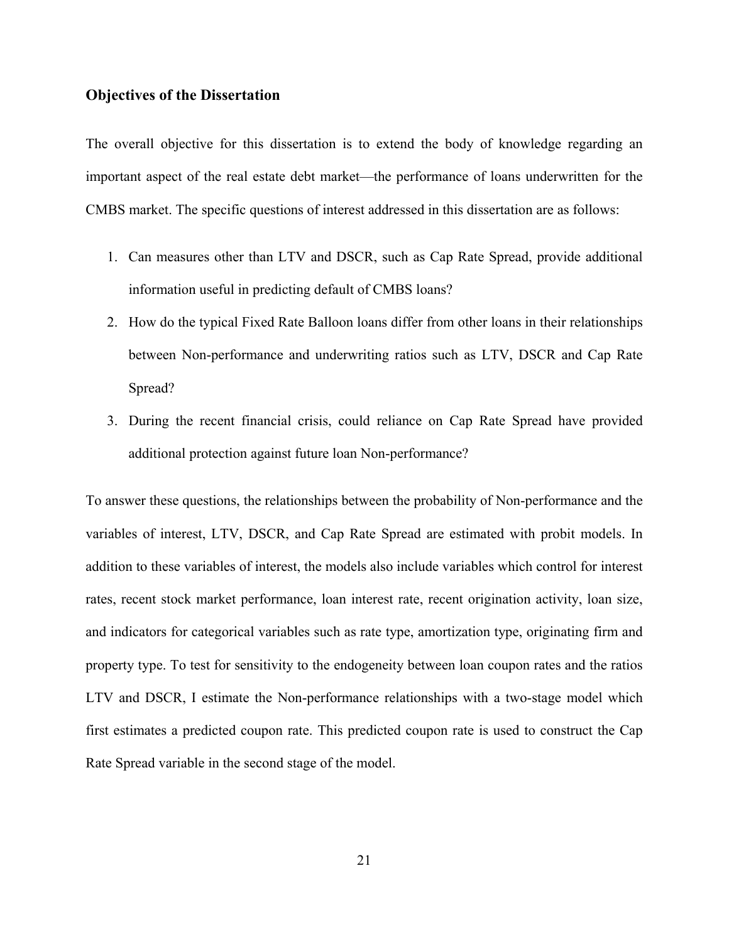### **Objectives of the Dissertation**

The overall objective for this dissertation is to extend the body of knowledge regarding an important aspect of the real estate debt market—the performance of loans underwritten for the CMBS market. The specific questions of interest addressed in this dissertation are as follows:

- 1. Can measures other than LTV and DSCR, such as Cap Rate Spread, provide additional information useful in predicting default of CMBS loans?
- 2. How do the typical Fixed Rate Balloon loans differ from other loans in their relationships between Non-performance and underwriting ratios such as LTV, DSCR and Cap Rate Spread?
- 3. During the recent financial crisis, could reliance on Cap Rate Spread have provided additional protection against future loan Non-performance?

To answer these questions, the relationships between the probability of Non-performance and the variables of interest, LTV, DSCR, and Cap Rate Spread are estimated with probit models. In addition to these variables of interest, the models also include variables which control for interest rates, recent stock market performance, loan interest rate, recent origination activity, loan size, and indicators for categorical variables such as rate type, amortization type, originating firm and property type. To test for sensitivity to the endogeneity between loan coupon rates and the ratios LTV and DSCR, I estimate the Non-performance relationships with a two-stage model which first estimates a predicted coupon rate. This predicted coupon rate is used to construct the Cap Rate Spread variable in the second stage of the model.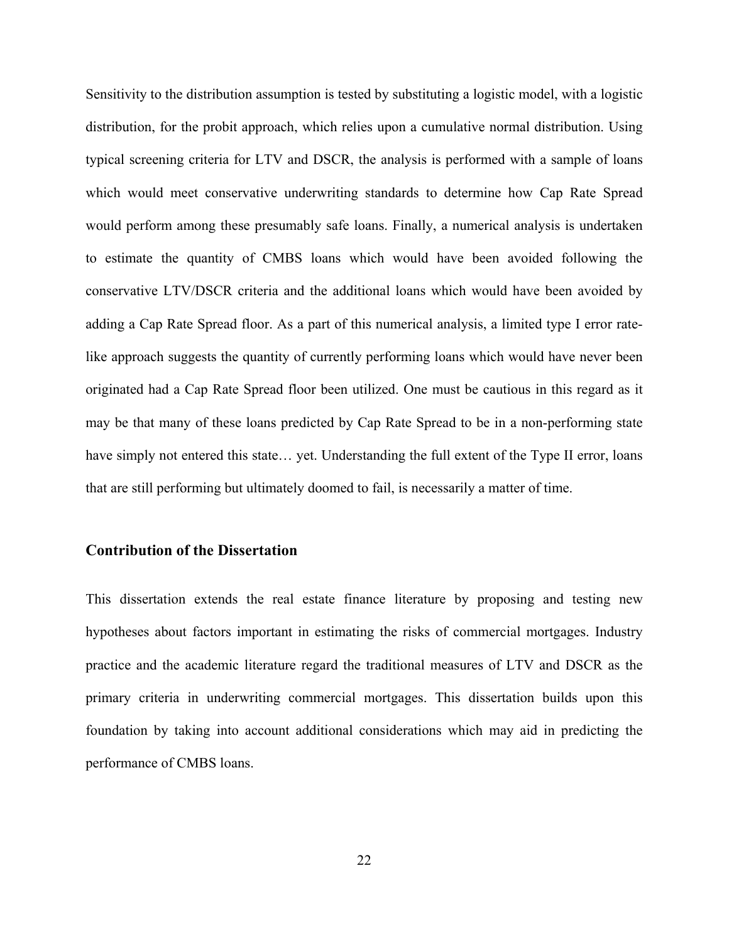Sensitivity to the distribution assumption is tested by substituting a logistic model, with a logistic distribution, for the probit approach, which relies upon a cumulative normal distribution. Using typical screening criteria for LTV and DSCR, the analysis is performed with a sample of loans which would meet conservative underwriting standards to determine how Cap Rate Spread would perform among these presumably safe loans. Finally, a numerical analysis is undertaken to estimate the quantity of CMBS loans which would have been avoided following the conservative LTV/DSCR criteria and the additional loans which would have been avoided by adding a Cap Rate Spread floor. As a part of this numerical analysis, a limited type I error ratelike approach suggests the quantity of currently performing loans which would have never been originated had a Cap Rate Spread floor been utilized. One must be cautious in this regard as it may be that many of these loans predicted by Cap Rate Spread to be in a non-performing state have simply not entered this state… yet. Understanding the full extent of the Type II error, loans that are still performing but ultimately doomed to fail, is necessarily a matter of time.

### **Contribution of the Dissertation**

This dissertation extends the real estate finance literature by proposing and testing new hypotheses about factors important in estimating the risks of commercial mortgages. Industry practice and the academic literature regard the traditional measures of LTV and DSCR as the primary criteria in underwriting commercial mortgages. This dissertation builds upon this foundation by taking into account additional considerations which may aid in predicting the performance of CMBS loans.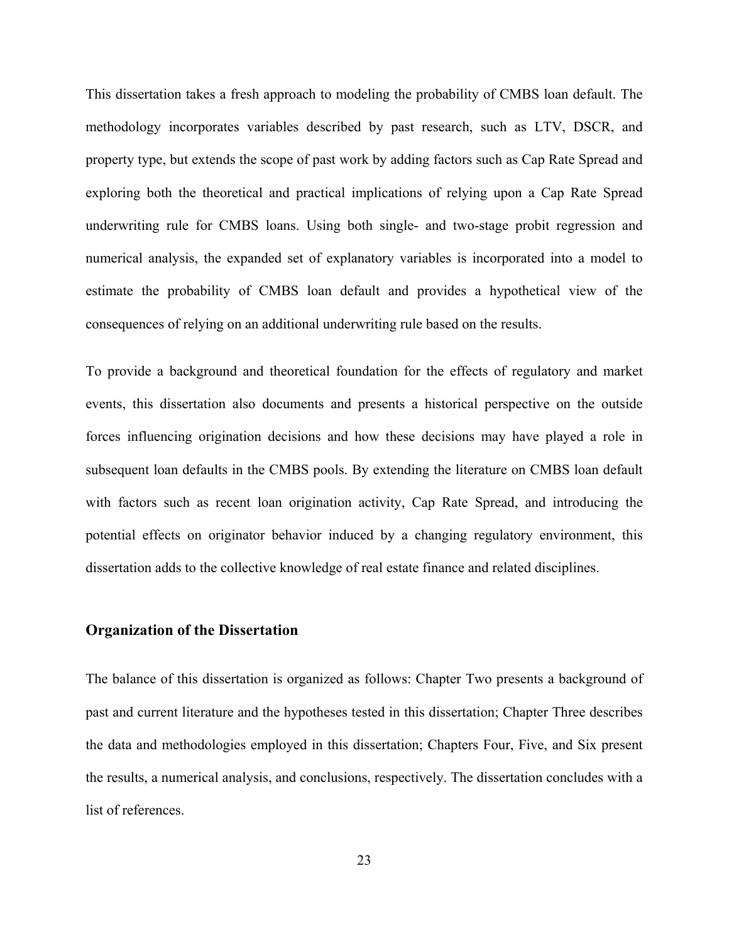This dissertation takes a fresh approach to modeling the probability of CMBS loan default. The methodology incorporates variables described by past research, such as LTV, DSCR, and property type, but extends the scope of past work by adding factors such as Cap Rate Spread and exploring both the theoretical and practical implications of relying upon a Cap Rate Spread underwriting rule for CMBS loans. Using both single- and two-stage probit regression and numerical analysis, the expanded set of explanatory variables is incorporated into a model to estimate the probability of CMBS loan default and provides a hypothetical view of the consequences of relying on an additional underwriting rule based on the results.

To provide a background and theoretical foundation for the effects of regulatory and market events, this dissertation also documents and presents a historical perspective on the outside forces influencing origination decisions and how these decisions may have played a role in subsequent loan defaults in the CMBS pools. By extending the literature on CMBS loan default with factors such as recent loan origination activity, Cap Rate Spread, and introducing the potential effects on originator behavior induced by a changing regulatory environment, this dissertation adds to the collective knowledge of real estate finance and related disciplines.

### **Organization of the Dissertation**

The balance of this dissertation is organized as follows: Chapter Two presents a background of past and current literature and the hypotheses tested in this dissertation; Chapter Three describes the data and methodologies employed in this dissertation; Chapters Four, Five, and Six present the results, a numerical analysis, and conclusions, respectively. The dissertation concludes with a list of references.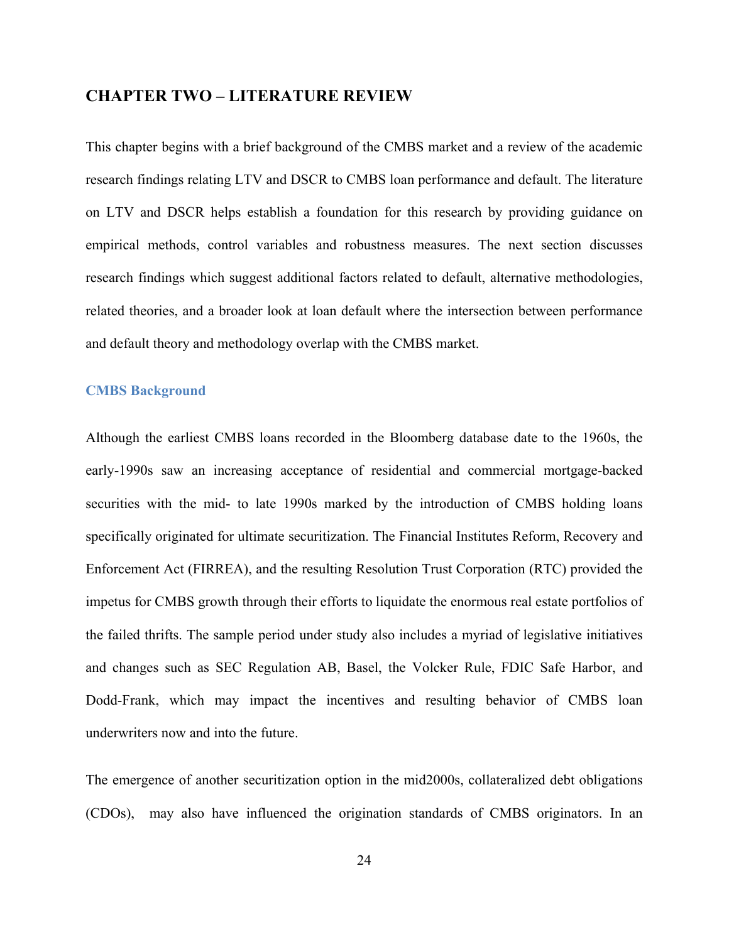### **CHAPTER TWO – LITERATURE REVIEW**

This chapter begins with a brief background of the CMBS market and a review of the academic research findings relating LTV and DSCR to CMBS loan performance and default. The literature on LTV and DSCR helps establish a foundation for this research by providing guidance on empirical methods, control variables and robustness measures. The next section discusses research findings which suggest additional factors related to default, alternative methodologies, related theories, and a broader look at loan default where the intersection between performance and default theory and methodology overlap with the CMBS market.

#### **CMBS Background**

Although the earliest CMBS loans recorded in the Bloomberg database date to the 1960s, the early-1990s saw an increasing acceptance of residential and commercial mortgage-backed securities with the mid- to late 1990s marked by the introduction of CMBS holding loans specifically originated for ultimate securitization. The Financial Institutes Reform, Recovery and Enforcement Act (FIRREA), and the resulting Resolution Trust Corporation (RTC) provided the impetus for CMBS growth through their efforts to liquidate the enormous real estate portfolios of the failed thrifts. The sample period under study also includes a myriad of legislative initiatives and changes such as SEC Regulation AB, Basel, the Volcker Rule, FDIC Safe Harbor, and Dodd-Frank, which may impact the incentives and resulting behavior of CMBS loan underwriters now and into the future.

The emergence of another securitization option in the mid2000s, collateralized debt obligations (CDOs), may also have influenced the origination standards of CMBS originators. In an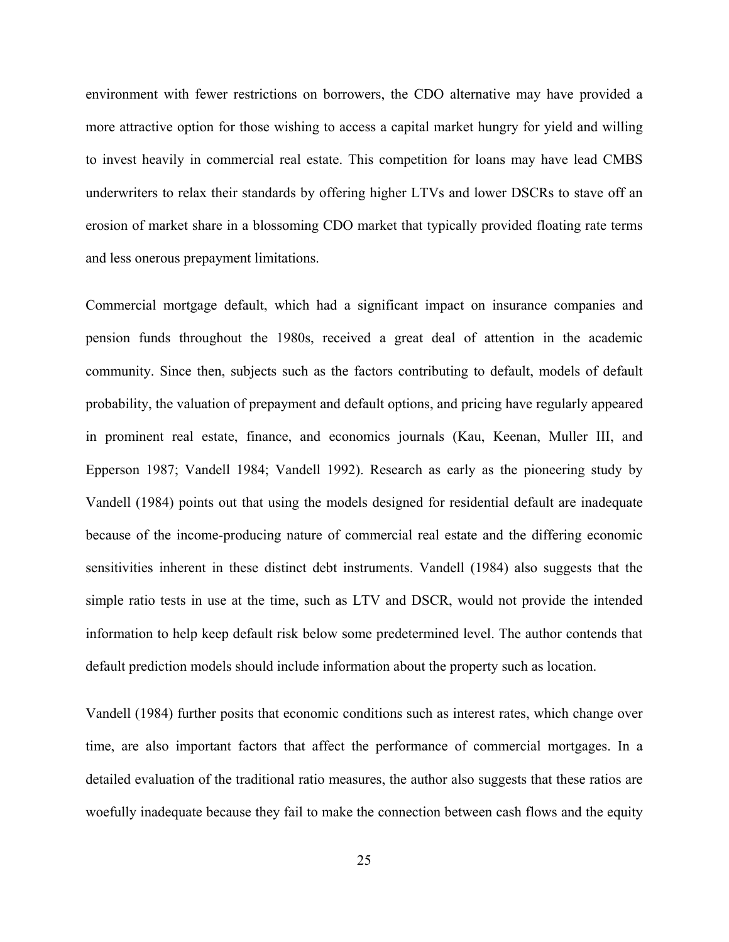environment with fewer restrictions on borrowers, the CDO alternative may have provided a more attractive option for those wishing to access a capital market hungry for yield and willing to invest heavily in commercial real estate. This competition for loans may have lead CMBS underwriters to relax their standards by offering higher LTVs and lower DSCRs to stave off an erosion of market share in a blossoming CDO market that typically provided floating rate terms and less onerous prepayment limitations.

Commercial mortgage default, which had a significant impact on insurance companies and pension funds throughout the 1980s, received a great deal of attention in the academic community. Since then, subjects such as the factors contributing to default, models of default probability, the valuation of prepayment and default options, and pricing have regularly appeared in prominent real estate, finance, and economics journals (Kau, Keenan, Muller III, and Epperson 1987; Vandell 1984; Vandell 1992). Research as early as the pioneering study by Vandell (1984) points out that using the models designed for residential default are inadequate because of the income-producing nature of commercial real estate and the differing economic sensitivities inherent in these distinct debt instruments. Vandell (1984) also suggests that the simple ratio tests in use at the time, such as LTV and DSCR, would not provide the intended information to help keep default risk below some predetermined level. The author contends that default prediction models should include information about the property such as location.

Vandell (1984) further posits that economic conditions such as interest rates, which change over time, are also important factors that affect the performance of commercial mortgages. In a detailed evaluation of the traditional ratio measures, the author also suggests that these ratios are woefully inadequate because they fail to make the connection between cash flows and the equity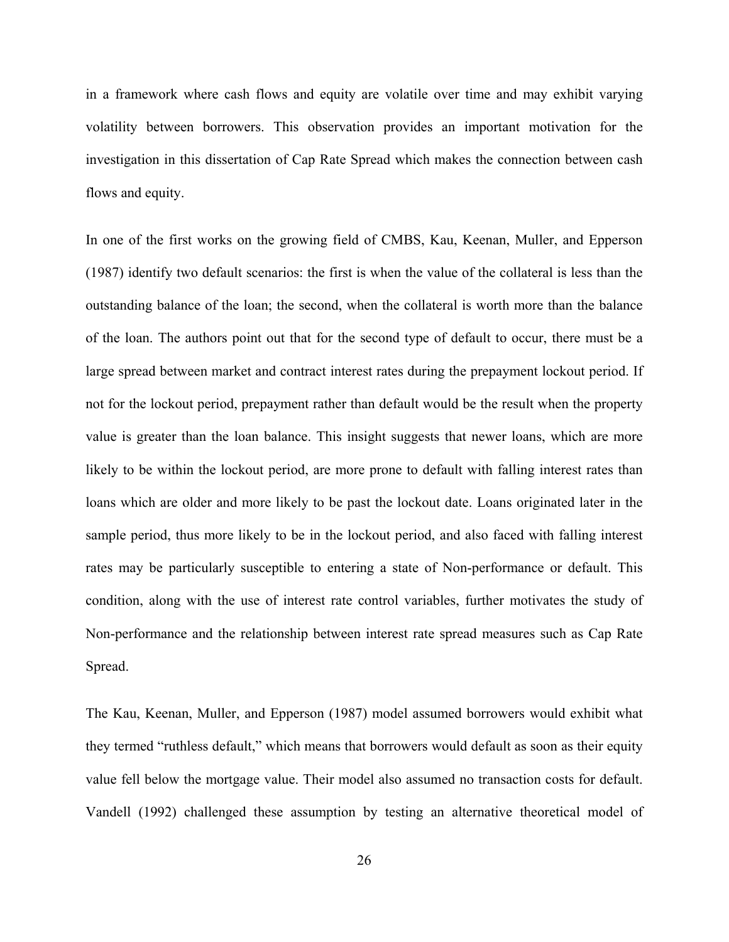in a framework where cash flows and equity are volatile over time and may exhibit varying volatility between borrowers. This observation provides an important motivation for the investigation in this dissertation of Cap Rate Spread which makes the connection between cash flows and equity.

In one of the first works on the growing field of CMBS, Kau, Keenan, Muller, and Epperson (1987) identify two default scenarios: the first is when the value of the collateral is less than the outstanding balance of the loan; the second, when the collateral is worth more than the balance of the loan. The authors point out that for the second type of default to occur, there must be a large spread between market and contract interest rates during the prepayment lockout period. If not for the lockout period, prepayment rather than default would be the result when the property value is greater than the loan balance. This insight suggests that newer loans, which are more likely to be within the lockout period, are more prone to default with falling interest rates than loans which are older and more likely to be past the lockout date. Loans originated later in the sample period, thus more likely to be in the lockout period, and also faced with falling interest rates may be particularly susceptible to entering a state of Non-performance or default. This condition, along with the use of interest rate control variables, further motivates the study of Non-performance and the relationship between interest rate spread measures such as Cap Rate Spread.

The Kau, Keenan, Muller, and Epperson (1987) model assumed borrowers would exhibit what they termed "ruthless default," which means that borrowers would default as soon as their equity value fell below the mortgage value. Their model also assumed no transaction costs for default. Vandell (1992) challenged these assumption by testing an alternative theoretical model of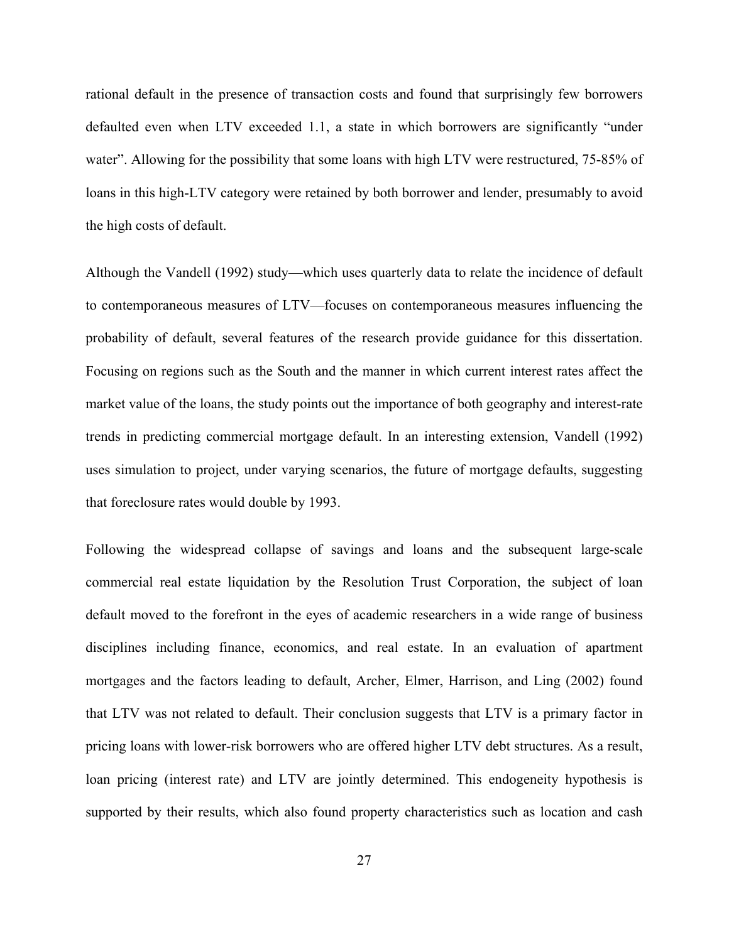rational default in the presence of transaction costs and found that surprisingly few borrowers defaulted even when LTV exceeded 1.1, a state in which borrowers are significantly "under water". Allowing for the possibility that some loans with high LTV were restructured, 75-85% of loans in this high-LTV category were retained by both borrower and lender, presumably to avoid the high costs of default.

Although the Vandell (1992) study—which uses quarterly data to relate the incidence of default to contemporaneous measures of LTV—focuses on contemporaneous measures influencing the probability of default, several features of the research provide guidance for this dissertation. Focusing on regions such as the South and the manner in which current interest rates affect the market value of the loans, the study points out the importance of both geography and interest-rate trends in predicting commercial mortgage default. In an interesting extension, Vandell (1992) uses simulation to project, under varying scenarios, the future of mortgage defaults, suggesting that foreclosure rates would double by 1993.

Following the widespread collapse of savings and loans and the subsequent large-scale commercial real estate liquidation by the Resolution Trust Corporation, the subject of loan default moved to the forefront in the eyes of academic researchers in a wide range of business disciplines including finance, economics, and real estate. In an evaluation of apartment mortgages and the factors leading to default, Archer, Elmer, Harrison, and Ling (2002) found that LTV was not related to default. Their conclusion suggests that LTV is a primary factor in pricing loans with lower-risk borrowers who are offered higher LTV debt structures. As a result, loan pricing (interest rate) and LTV are jointly determined. This endogeneity hypothesis is supported by their results, which also found property characteristics such as location and cash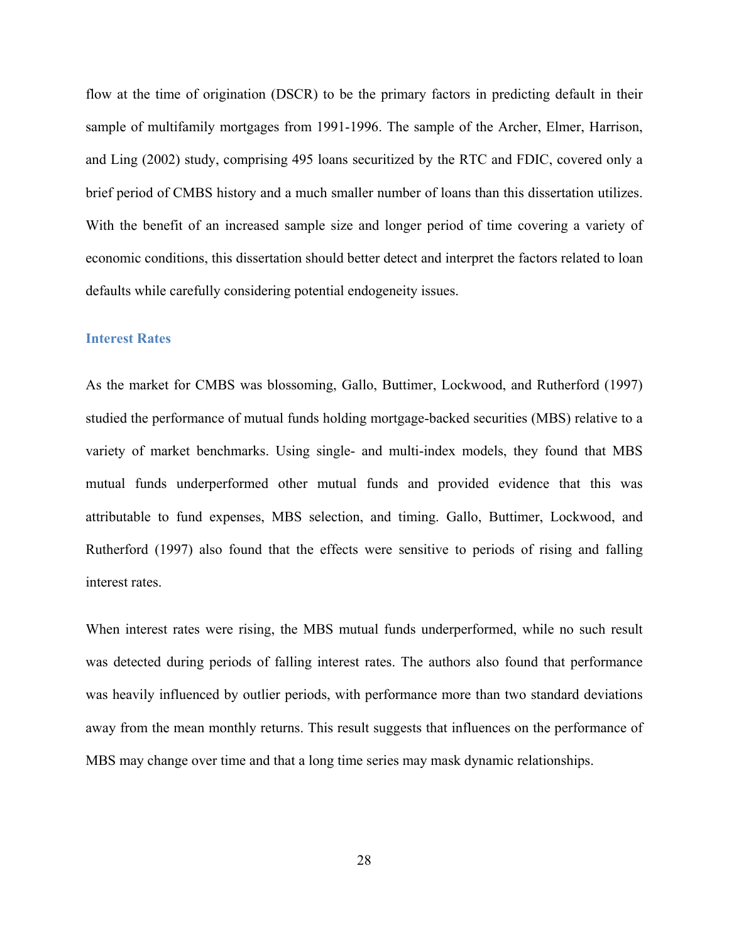flow at the time of origination (DSCR) to be the primary factors in predicting default in their sample of multifamily mortgages from 1991-1996. The sample of the Archer, Elmer, Harrison, and Ling (2002) study, comprising 495 loans securitized by the RTC and FDIC, covered only a brief period of CMBS history and a much smaller number of loans than this dissertation utilizes. With the benefit of an increased sample size and longer period of time covering a variety of economic conditions, this dissertation should better detect and interpret the factors related to loan defaults while carefully considering potential endogeneity issues.

#### **Interest Rates**

As the market for CMBS was blossoming, Gallo, Buttimer, Lockwood, and Rutherford (1997) studied the performance of mutual funds holding mortgage-backed securities (MBS) relative to a variety of market benchmarks. Using single- and multi-index models, they found that MBS mutual funds underperformed other mutual funds and provided evidence that this was attributable to fund expenses, MBS selection, and timing. Gallo, Buttimer, Lockwood, and Rutherford (1997) also found that the effects were sensitive to periods of rising and falling interest rates.

When interest rates were rising, the MBS mutual funds underperformed, while no such result was detected during periods of falling interest rates. The authors also found that performance was heavily influenced by outlier periods, with performance more than two standard deviations away from the mean monthly returns. This result suggests that influences on the performance of MBS may change over time and that a long time series may mask dynamic relationships.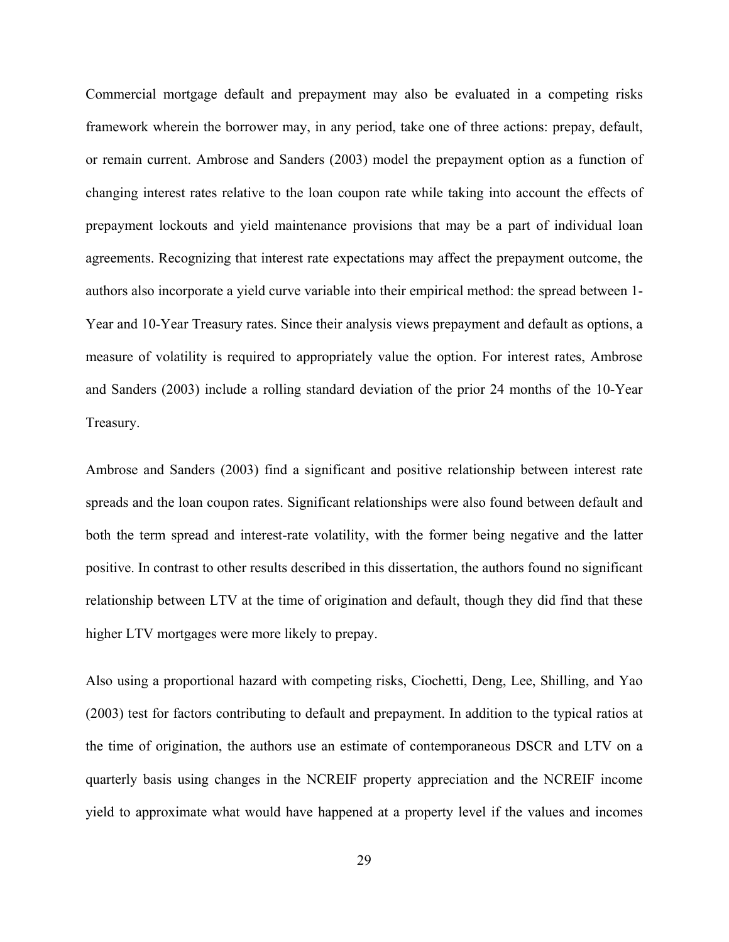Commercial mortgage default and prepayment may also be evaluated in a competing risks framework wherein the borrower may, in any period, take one of three actions: prepay, default, or remain current. Ambrose and Sanders (2003) model the prepayment option as a function of changing interest rates relative to the loan coupon rate while taking into account the effects of prepayment lockouts and yield maintenance provisions that may be a part of individual loan agreements. Recognizing that interest rate expectations may affect the prepayment outcome, the authors also incorporate a yield curve variable into their empirical method: the spread between 1- Year and 10-Year Treasury rates. Since their analysis views prepayment and default as options, a measure of volatility is required to appropriately value the option. For interest rates, Ambrose and Sanders (2003) include a rolling standard deviation of the prior 24 months of the 10-Year Treasury.

Ambrose and Sanders (2003) find a significant and positive relationship between interest rate spreads and the loan coupon rates. Significant relationships were also found between default and both the term spread and interest-rate volatility, with the former being negative and the latter positive. In contrast to other results described in this dissertation, the authors found no significant relationship between LTV at the time of origination and default, though they did find that these higher LTV mortgages were more likely to prepay.

Also using a proportional hazard with competing risks, Ciochetti, Deng, Lee, Shilling, and Yao (2003) test for factors contributing to default and prepayment. In addition to the typical ratios at the time of origination, the authors use an estimate of contemporaneous DSCR and LTV on a quarterly basis using changes in the NCREIF property appreciation and the NCREIF income yield to approximate what would have happened at a property level if the values and incomes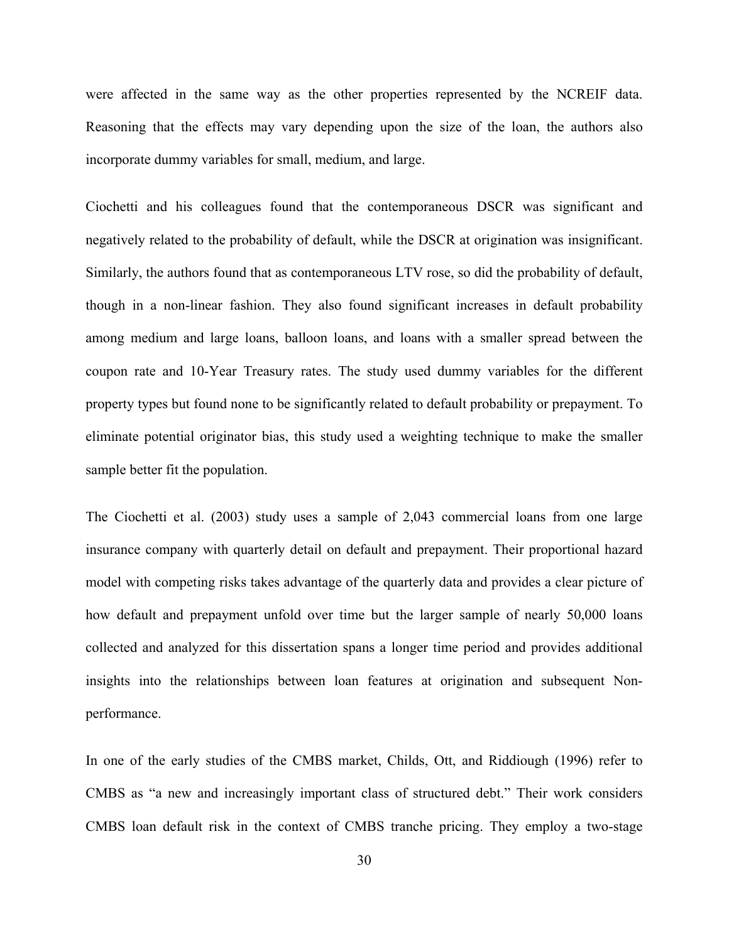were affected in the same way as the other properties represented by the NCREIF data. Reasoning that the effects may vary depending upon the size of the loan, the authors also incorporate dummy variables for small, medium, and large.

Ciochetti and his colleagues found that the contemporaneous DSCR was significant and negatively related to the probability of default, while the DSCR at origination was insignificant. Similarly, the authors found that as contemporaneous LTV rose, so did the probability of default, though in a non-linear fashion. They also found significant increases in default probability among medium and large loans, balloon loans, and loans with a smaller spread between the coupon rate and 10-Year Treasury rates. The study used dummy variables for the different property types but found none to be significantly related to default probability or prepayment. To eliminate potential originator bias, this study used a weighting technique to make the smaller sample better fit the population.

The Ciochetti et al. (2003) study uses a sample of 2,043 commercial loans from one large insurance company with quarterly detail on default and prepayment. Their proportional hazard model with competing risks takes advantage of the quarterly data and provides a clear picture of how default and prepayment unfold over time but the larger sample of nearly 50,000 loans collected and analyzed for this dissertation spans a longer time period and provides additional insights into the relationships between loan features at origination and subsequent Nonperformance.

In one of the early studies of the CMBS market, Childs, Ott, and Riddiough (1996) refer to CMBS as "a new and increasingly important class of structured debt." Their work considers CMBS loan default risk in the context of CMBS tranche pricing. They employ a two-stage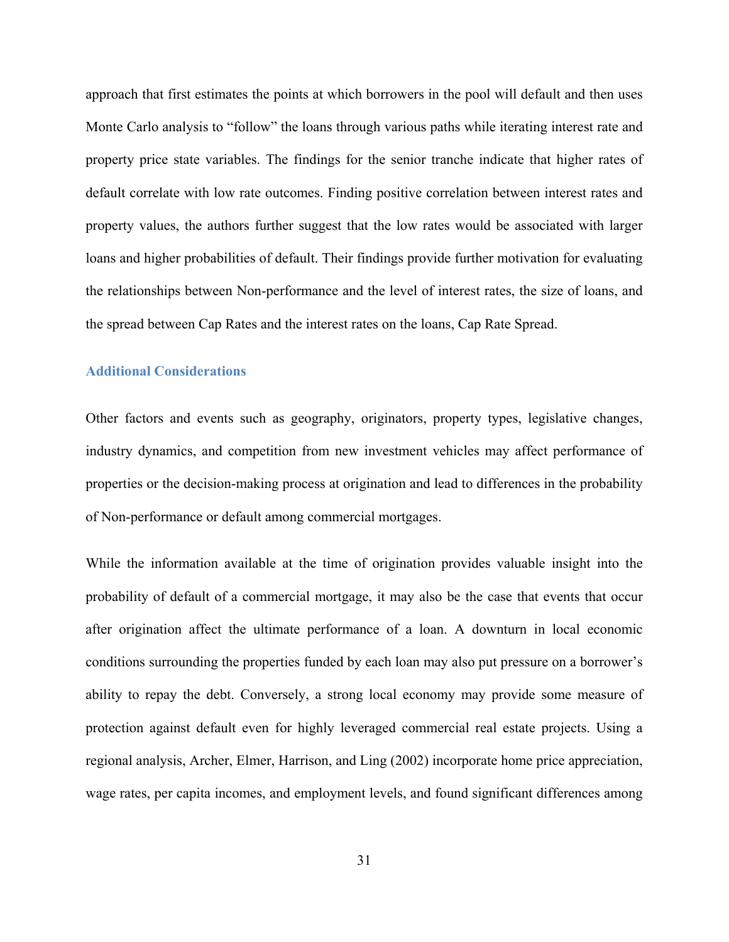approach that first estimates the points at which borrowers in the pool will default and then uses Monte Carlo analysis to "follow" the loans through various paths while iterating interest rate and property price state variables. The findings for the senior tranche indicate that higher rates of default correlate with low rate outcomes. Finding positive correlation between interest rates and property values, the authors further suggest that the low rates would be associated with larger loans and higher probabilities of default. Their findings provide further motivation for evaluating the relationships between Non-performance and the level of interest rates, the size of loans, and the spread between Cap Rates and the interest rates on the loans, Cap Rate Spread.

#### **Additional Considerations**

Other factors and events such as geography, originators, property types, legislative changes, industry dynamics, and competition from new investment vehicles may affect performance of properties or the decision-making process at origination and lead to differences in the probability of Non-performance or default among commercial mortgages.

While the information available at the time of origination provides valuable insight into the probability of default of a commercial mortgage, it may also be the case that events that occur after origination affect the ultimate performance of a loan. A downturn in local economic conditions surrounding the properties funded by each loan may also put pressure on a borrower's ability to repay the debt. Conversely, a strong local economy may provide some measure of protection against default even for highly leveraged commercial real estate projects. Using a regional analysis, Archer, Elmer, Harrison, and Ling (2002) incorporate home price appreciation, wage rates, per capita incomes, and employment levels, and found significant differences among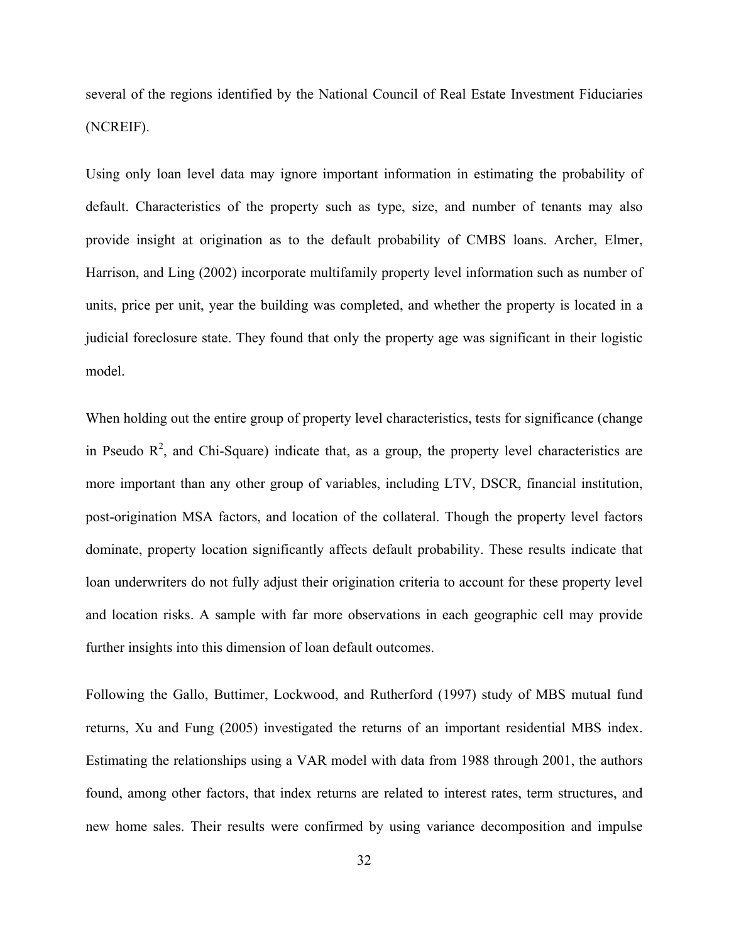several of the regions identified by the National Council of Real Estate Investment Fiduciaries (NCREIF).

Using only loan level data may ignore important information in estimating the probability of default. Characteristics of the property such as type, size, and number of tenants may also provide insight at origination as to the default probability of CMBS loans. Archer, Elmer, Harrison, and Ling (2002) incorporate multifamily property level information such as number of units, price per unit, year the building was completed, and whether the property is located in a judicial foreclosure state. They found that only the property age was significant in their logistic model.

When holding out the entire group of property level characteristics, tests for significance (change in Pseudo  $\mathbb{R}^2$ , and Chi-Square) indicate that, as a group, the property level characteristics are more important than any other group of variables, including LTV, DSCR, financial institution, post-origination MSA factors, and location of the collateral. Though the property level factors dominate, property location significantly affects default probability. These results indicate that loan underwriters do not fully adjust their origination criteria to account for these property level and location risks. A sample with far more observations in each geographic cell may provide further insights into this dimension of loan default outcomes.

Following the Gallo, Buttimer, Lockwood, and Rutherford (1997) study of MBS mutual fund returns, Xu and Fung (2005) investigated the returns of an important residential MBS index. Estimating the relationships using a VAR model with data from 1988 through 2001, the authors found, among other factors, that index returns are related to interest rates, term structures, and new home sales. Their results were confirmed by using variance decomposition and impulse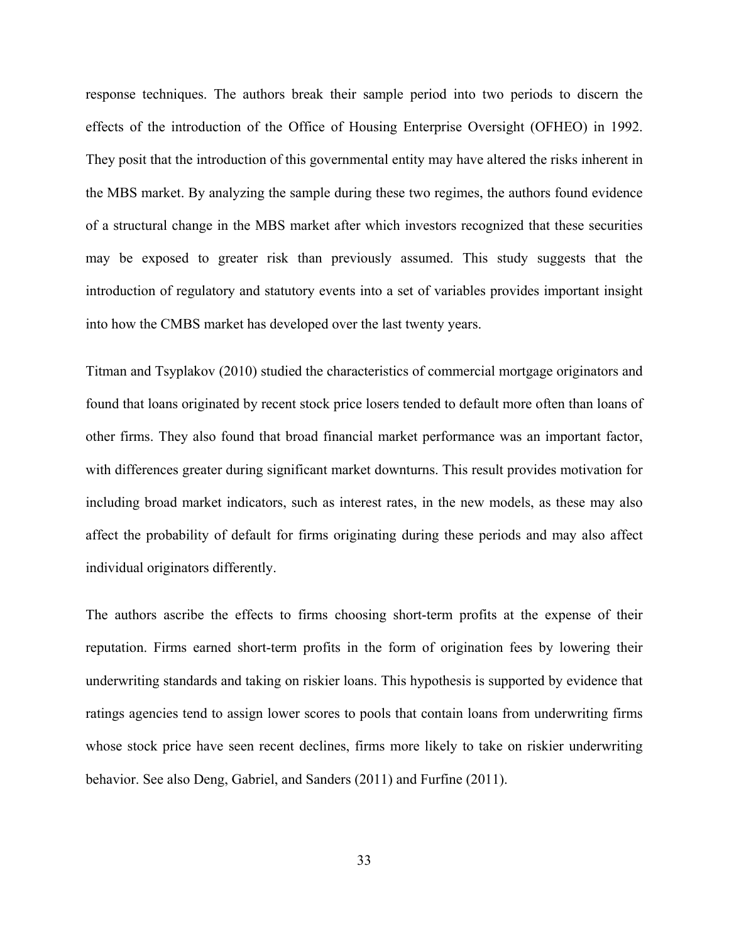response techniques. The authors break their sample period into two periods to discern the effects of the introduction of the Office of Housing Enterprise Oversight (OFHEO) in 1992. They posit that the introduction of this governmental entity may have altered the risks inherent in the MBS market. By analyzing the sample during these two regimes, the authors found evidence of a structural change in the MBS market after which investors recognized that these securities may be exposed to greater risk than previously assumed. This study suggests that the introduction of regulatory and statutory events into a set of variables provides important insight into how the CMBS market has developed over the last twenty years.

Titman and Tsyplakov (2010) studied the characteristics of commercial mortgage originators and found that loans originated by recent stock price losers tended to default more often than loans of other firms. They also found that broad financial market performance was an important factor, with differences greater during significant market downturns. This result provides motivation for including broad market indicators, such as interest rates, in the new models, as these may also affect the probability of default for firms originating during these periods and may also affect individual originators differently.

The authors ascribe the effects to firms choosing short-term profits at the expense of their reputation. Firms earned short-term profits in the form of origination fees by lowering their underwriting standards and taking on riskier loans. This hypothesis is supported by evidence that ratings agencies tend to assign lower scores to pools that contain loans from underwriting firms whose stock price have seen recent declines, firms more likely to take on riskier underwriting behavior. See also Deng, Gabriel, and Sanders (2011) and Furfine (2011).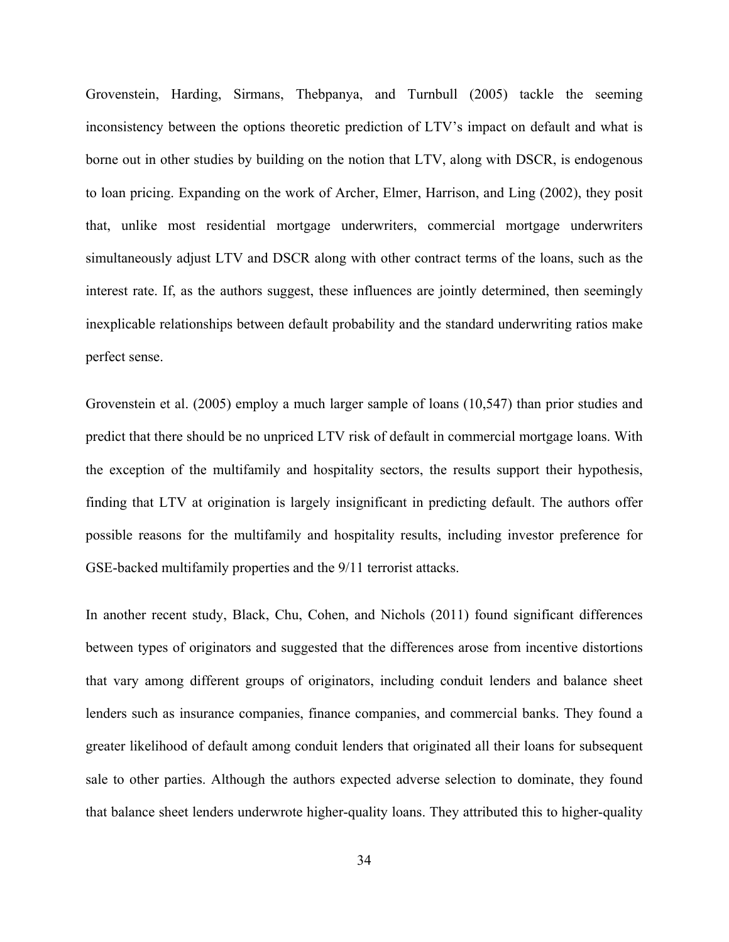Grovenstein, Harding, Sirmans, Thebpanya, and Turnbull (2005) tackle the seeming inconsistency between the options theoretic prediction of LTV's impact on default and what is borne out in other studies by building on the notion that LTV, along with DSCR, is endogenous to loan pricing. Expanding on the work of Archer, Elmer, Harrison, and Ling (2002), they posit that, unlike most residential mortgage underwriters, commercial mortgage underwriters simultaneously adjust LTV and DSCR along with other contract terms of the loans, such as the interest rate. If, as the authors suggest, these influences are jointly determined, then seemingly inexplicable relationships between default probability and the standard underwriting ratios make perfect sense.

Grovenstein et al. (2005) employ a much larger sample of loans (10,547) than prior studies and predict that there should be no unpriced LTV risk of default in commercial mortgage loans. With the exception of the multifamily and hospitality sectors, the results support their hypothesis, finding that LTV at origination is largely insignificant in predicting default. The authors offer possible reasons for the multifamily and hospitality results, including investor preference for GSE-backed multifamily properties and the 9/11 terrorist attacks.

In another recent study, Black, Chu, Cohen, and Nichols (2011) found significant differences between types of originators and suggested that the differences arose from incentive distortions that vary among different groups of originators, including conduit lenders and balance sheet lenders such as insurance companies, finance companies, and commercial banks. They found a greater likelihood of default among conduit lenders that originated all their loans for subsequent sale to other parties. Although the authors expected adverse selection to dominate, they found that balance sheet lenders underwrote higher-quality loans. They attributed this to higher-quality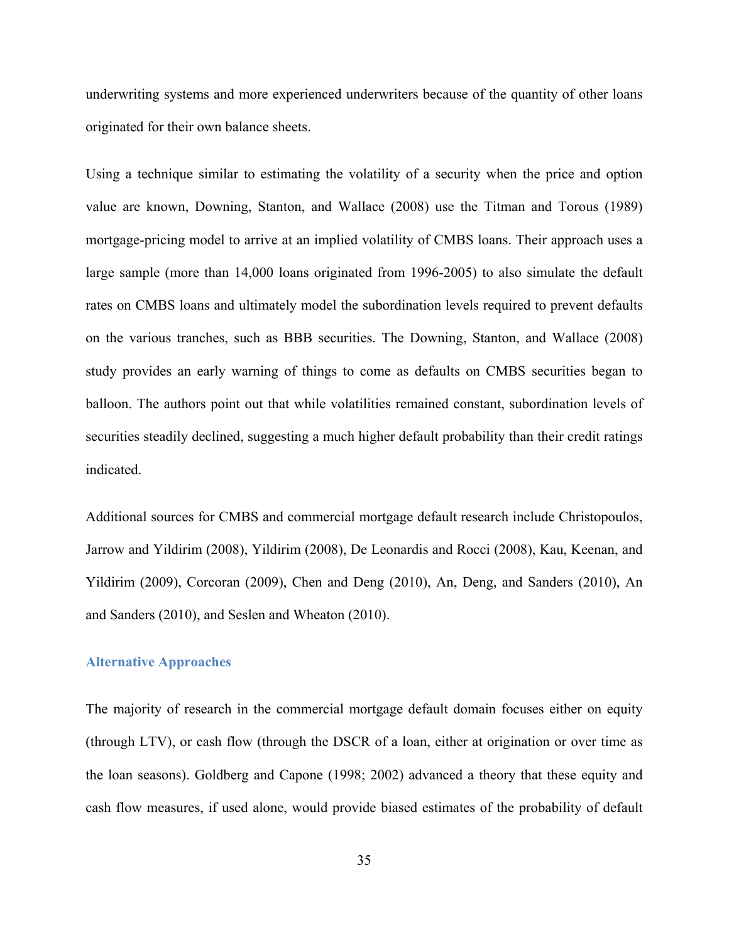underwriting systems and more experienced underwriters because of the quantity of other loans originated for their own balance sheets.

Using a technique similar to estimating the volatility of a security when the price and option value are known, Downing, Stanton, and Wallace (2008) use the Titman and Torous (1989) mortgage-pricing model to arrive at an implied volatility of CMBS loans. Their approach uses a large sample (more than 14,000 loans originated from 1996-2005) to also simulate the default rates on CMBS loans and ultimately model the subordination levels required to prevent defaults on the various tranches, such as BBB securities. The Downing, Stanton, and Wallace (2008) study provides an early warning of things to come as defaults on CMBS securities began to balloon. The authors point out that while volatilities remained constant, subordination levels of securities steadily declined, suggesting a much higher default probability than their credit ratings indicated.

Additional sources for CMBS and commercial mortgage default research include Christopoulos, Jarrow and Yildirim (2008), Yildirim (2008), De Leonardis and Rocci (2008), Kau, Keenan, and Yildirim (2009), Corcoran (2009), Chen and Deng (2010), An, Deng, and Sanders (2010), An and Sanders (2010), and Seslen and Wheaton (2010).

### **Alternative Approaches**

The majority of research in the commercial mortgage default domain focuses either on equity (through LTV), or cash flow (through the DSCR of a loan, either at origination or over time as the loan seasons). Goldberg and Capone (1998; 2002) advanced a theory that these equity and cash flow measures, if used alone, would provide biased estimates of the probability of default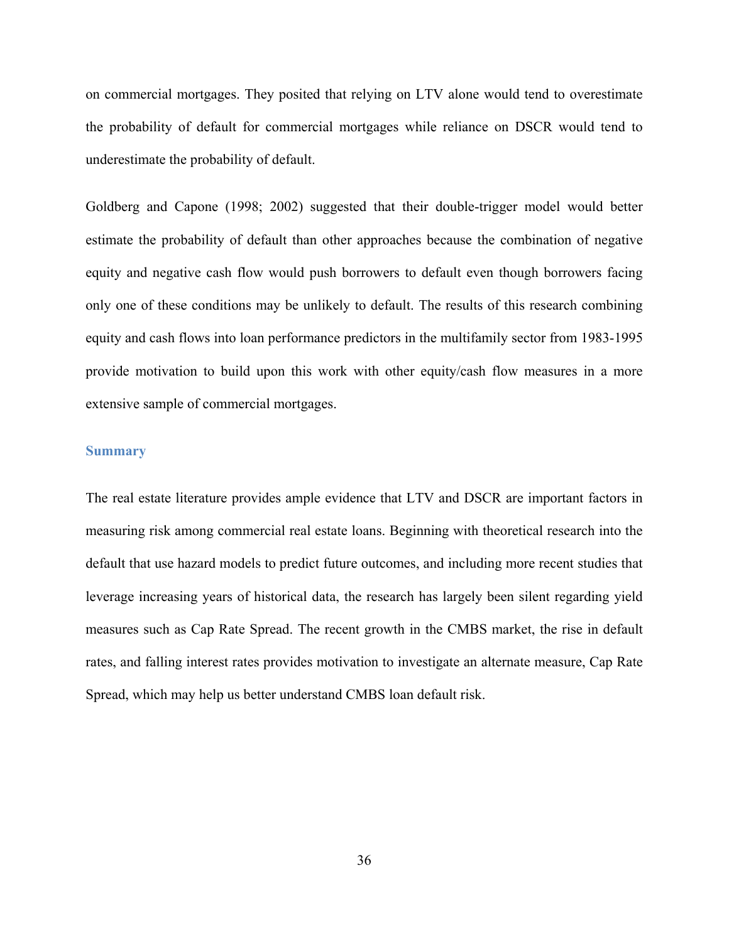on commercial mortgages. They posited that relying on LTV alone would tend to overestimate the probability of default for commercial mortgages while reliance on DSCR would tend to underestimate the probability of default.

Goldberg and Capone (1998; 2002) suggested that their double-trigger model would better estimate the probability of default than other approaches because the combination of negative equity and negative cash flow would push borrowers to default even though borrowers facing only one of these conditions may be unlikely to default. The results of this research combining equity and cash flows into loan performance predictors in the multifamily sector from 1983-1995 provide motivation to build upon this work with other equity/cash flow measures in a more extensive sample of commercial mortgages.

### **Summary**

The real estate literature provides ample evidence that LTV and DSCR are important factors in measuring risk among commercial real estate loans. Beginning with theoretical research into the default that use hazard models to predict future outcomes, and including more recent studies that leverage increasing years of historical data, the research has largely been silent regarding yield measures such as Cap Rate Spread. The recent growth in the CMBS market, the rise in default rates, and falling interest rates provides motivation to investigate an alternate measure, Cap Rate Spread, which may help us better understand CMBS loan default risk.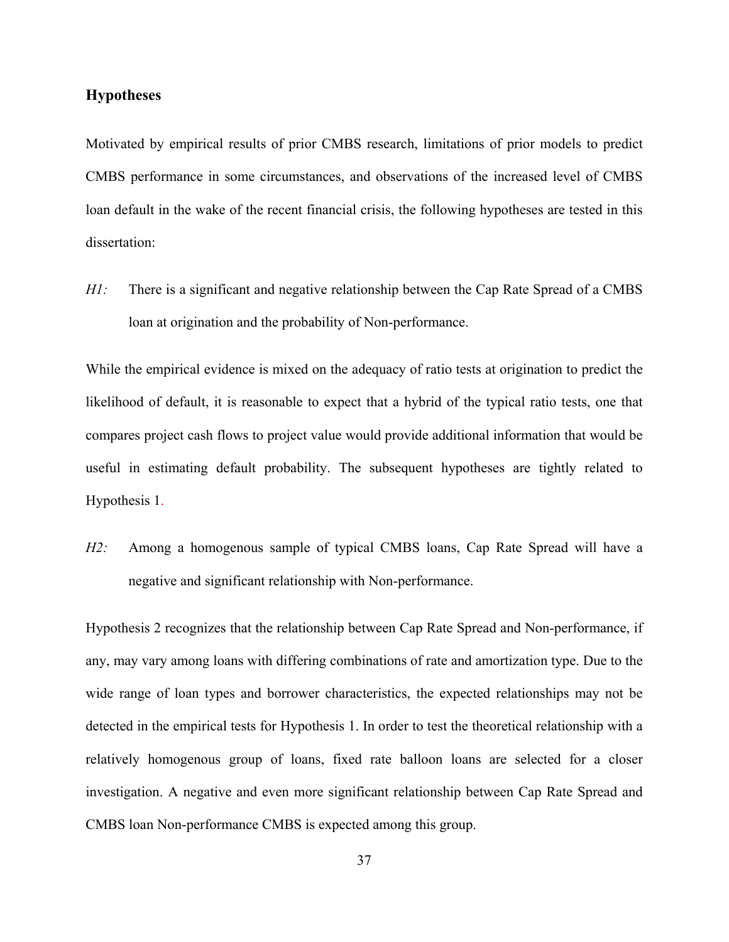# **Hypotheses**

Motivated by empirical results of prior CMBS research, limitations of prior models to predict CMBS performance in some circumstances, and observations of the increased level of CMBS loan default in the wake of the recent financial crisis, the following hypotheses are tested in this dissertation:

*H1:* There is a significant and negative relationship between the Cap Rate Spread of a CMBS loan at origination and the probability of Non-performance.

While the empirical evidence is mixed on the adequacy of ratio tests at origination to predict the likelihood of default, it is reasonable to expect that a hybrid of the typical ratio tests, one that compares project cash flows to project value would provide additional information that would be useful in estimating default probability. The subsequent hypotheses are tightly related to Hypothesis 1.

*H2:* Among a homogenous sample of typical CMBS loans, Cap Rate Spread will have a negative and significant relationship with Non-performance.

Hypothesis 2 recognizes that the relationship between Cap Rate Spread and Non-performance, if any, may vary among loans with differing combinations of rate and amortization type. Due to the wide range of loan types and borrower characteristics, the expected relationships may not be detected in the empirical tests for Hypothesis 1. In order to test the theoretical relationship with a relatively homogenous group of loans, fixed rate balloon loans are selected for a closer investigation. A negative and even more significant relationship between Cap Rate Spread and CMBS loan Non-performance CMBS is expected among this group.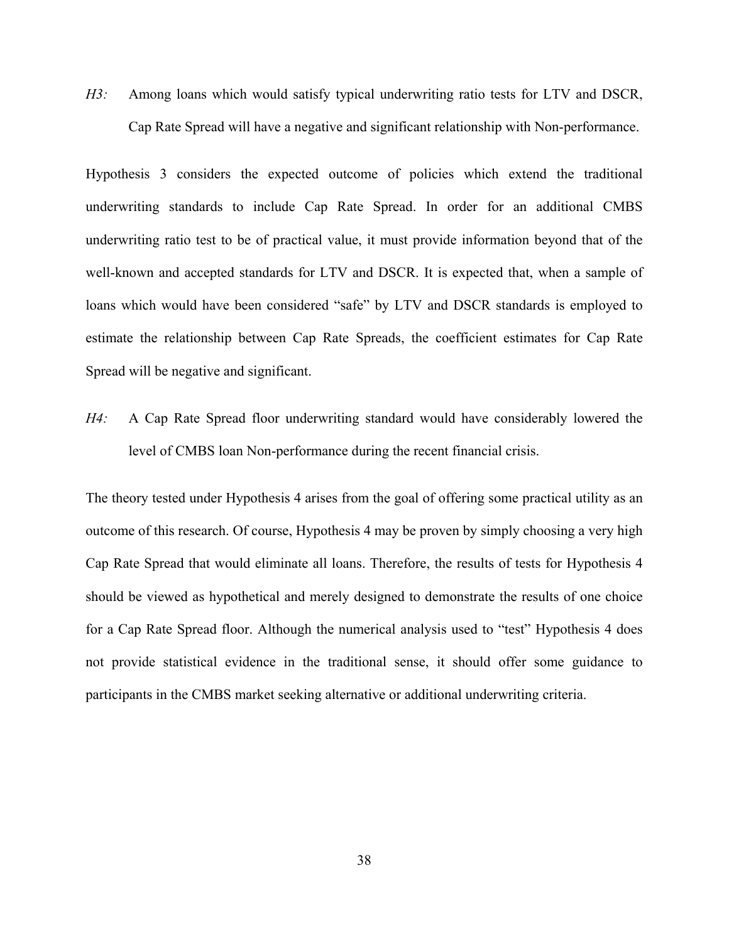*H3:* Among loans which would satisfy typical underwriting ratio tests for LTV and DSCR, Cap Rate Spread will have a negative and significant relationship with Non-performance.

Hypothesis 3 considers the expected outcome of policies which extend the traditional underwriting standards to include Cap Rate Spread. In order for an additional CMBS underwriting ratio test to be of practical value, it must provide information beyond that of the well-known and accepted standards for LTV and DSCR. It is expected that, when a sample of loans which would have been considered "safe" by LTV and DSCR standards is employed to estimate the relationship between Cap Rate Spreads, the coefficient estimates for Cap Rate Spread will be negative and significant.

*H4:* A Cap Rate Spread floor underwriting standard would have considerably lowered the level of CMBS loan Non-performance during the recent financial crisis.

The theory tested under Hypothesis 4 arises from the goal of offering some practical utility as an outcome of this research. Of course, Hypothesis 4 may be proven by simply choosing a very high Cap Rate Spread that would eliminate all loans. Therefore, the results of tests for Hypothesis 4 should be viewed as hypothetical and merely designed to demonstrate the results of one choice for a Cap Rate Spread floor. Although the numerical analysis used to "test" Hypothesis 4 does not provide statistical evidence in the traditional sense, it should offer some guidance to participants in the CMBS market seeking alternative or additional underwriting criteria.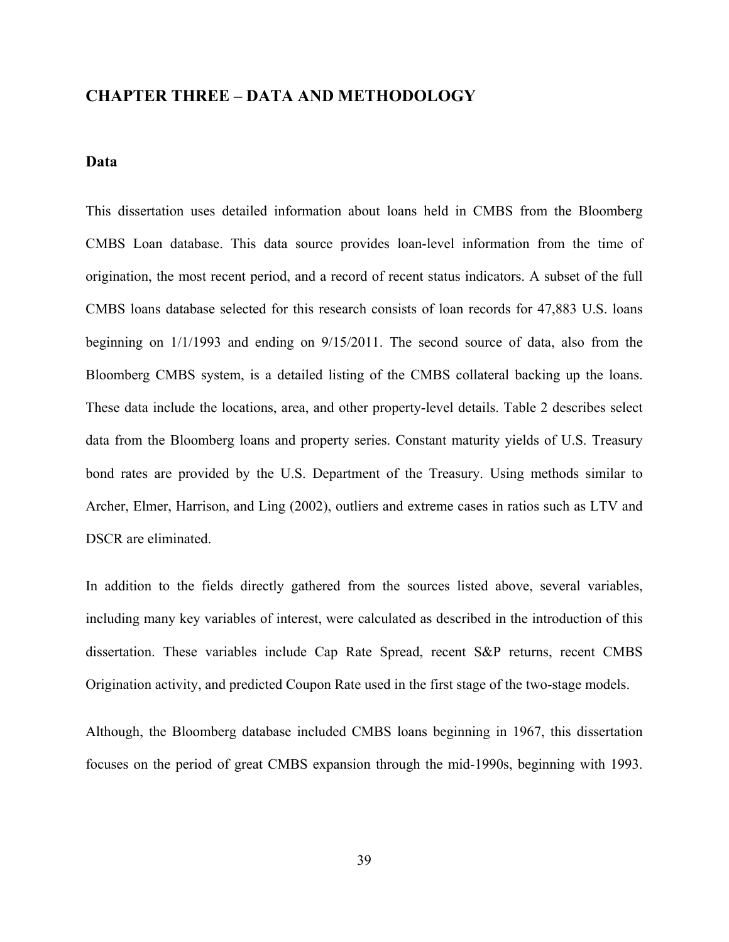# **CHAPTER THREE – DATA AND METHODOLOGY**

#### **Data**

This dissertation uses detailed information about loans held in CMBS from the Bloomberg CMBS Loan database. This data source provides loan-level information from the time of origination, the most recent period, and a record of recent status indicators. A subset of the full CMBS loans database selected for this research consists of loan records for 47,883 U.S. loans beginning on 1/1/1993 and ending on 9/15/2011. The second source of data, also from the Bloomberg CMBS system, is a detailed listing of the CMBS collateral backing up the loans. These data include the locations, area, and other property-level details. Table 2 describes select data from the Bloomberg loans and property series. Constant maturity yields of U.S. Treasury bond rates are provided by the U.S. Department of the Treasury. Using methods similar to Archer, Elmer, Harrison, and Ling (2002), outliers and extreme cases in ratios such as LTV and DSCR are eliminated.

In addition to the fields directly gathered from the sources listed above, several variables, including many key variables of interest, were calculated as described in the introduction of this dissertation. These variables include Cap Rate Spread, recent S&P returns, recent CMBS Origination activity, and predicted Coupon Rate used in the first stage of the two-stage models.

Although, the Bloomberg database included CMBS loans beginning in 1967, this dissertation focuses on the period of great CMBS expansion through the mid-1990s, beginning with 1993.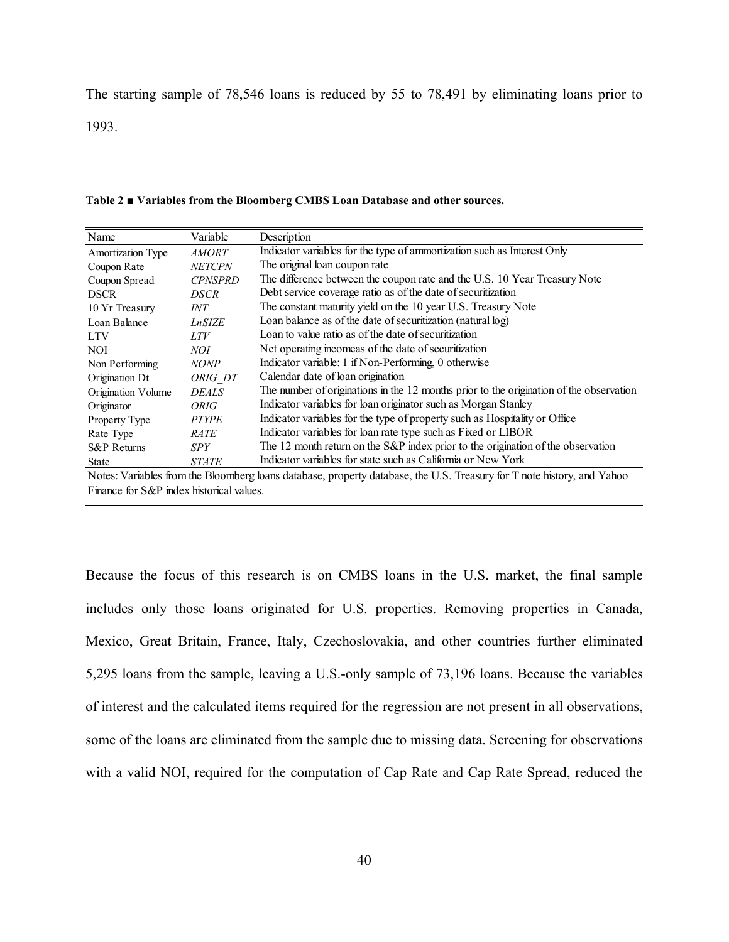The starting sample of 78,546 loans is reduced by 55 to 78,491 by eliminating loans prior to

1993.

| Name                     | Variable       | Description                                                                                                            |
|--------------------------|----------------|------------------------------------------------------------------------------------------------------------------------|
| <b>Amortization Type</b> | <i>AMORT</i>   | Indicator variables for the type of ammortization such as Interest Only                                                |
| Coupon Rate              | <b>NETCPN</b>  | The original loan coupon rate                                                                                          |
| Coupon Spread            | <b>CPNSPRD</b> | The difference between the coupon rate and the U.S. 10 Year Treasury Note                                              |
| <b>DSCR</b>              | DSCR           | Debt service coverage ratio as of the date of securitization                                                           |
| 10 Yr Treasury           | INT            | The constant maturity yield on the 10 year U.S. Treasury Note                                                          |
| Loan Balance             | <b>LnSIZE</b>  | Loan balance as of the date of securitization (natural log)                                                            |
| <b>LTV</b>               | LTV            | Loan to value ratio as of the date of securitization                                                                   |
| <b>NOI</b>               | NOI            | Net operating incomeas of the date of securitization                                                                   |
| Non Performing           | <b>NONP</b>    | Indicator variable: 1 if Non-Performing, 0 otherwise                                                                   |
| Origination Dt           | ORIG DT        | Calendar date of loan origination                                                                                      |
| Origination Volume       | <b>DEALS</b>   | The number of originations in the 12 months prior to the origination of the observation                                |
| Originator               | <i>ORIG</i>    | Indicator variables for loan originator such as Morgan Stanley                                                         |
| Property Type            | <b>PTYPE</b>   | Indicator variables for the type of property such as Hospitality or Office                                             |
| Rate Type                | <b>RATE</b>    | Indicator variables for loan rate type such as Fixed or LIBOR                                                          |
| S&P Returns              | SPY            | The 12 month return on the S&P index prior to the origination of the observation                                       |
| <b>State</b>             | <b>STATE</b>   | Indicator variables for state such as California or New York                                                           |
|                          |                | Notes: Variables from the Bloomberg loans database, property database, the U.S. Treasury for T note history, and Yahoo |

Finance for S&P index historical values.

Because the focus of this research is on CMBS loans in the U.S. market, the final sample includes only those loans originated for U.S. properties. Removing properties in Canada, Mexico, Great Britain, France, Italy, Czechoslovakia, and other countries further eliminated 5,295 loans from the sample, leaving a U.S.-only sample of 73,196 loans. Because the variables of interest and the calculated items required for the regression are not present in all observations, some of the loans are eliminated from the sample due to missing data. Screening for observations with a valid NOI, required for the computation of Cap Rate and Cap Rate Spread, reduced the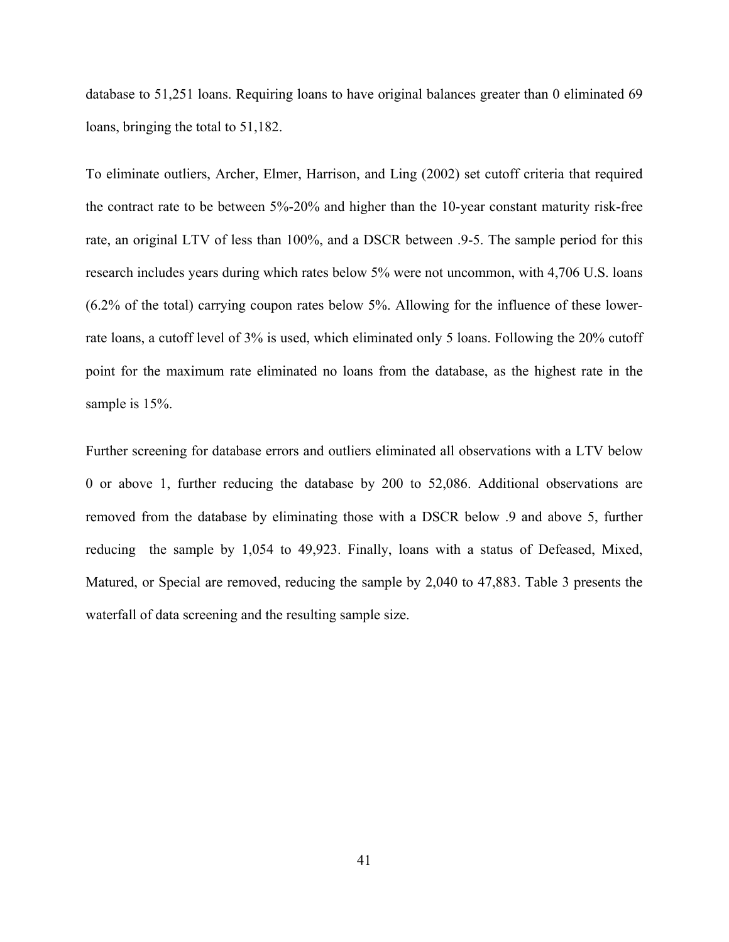database to 51,251 loans. Requiring loans to have original balances greater than 0 eliminated 69 loans, bringing the total to 51,182.

To eliminate outliers, Archer, Elmer, Harrison, and Ling (2002) set cutoff criteria that required the contract rate to be between 5%-20% and higher than the 10-year constant maturity risk-free rate, an original LTV of less than 100%, and a DSCR between .9-5. The sample period for this research includes years during which rates below 5% were not uncommon, with 4,706 U.S. loans (6.2% of the total) carrying coupon rates below 5%. Allowing for the influence of these lowerrate loans, a cutoff level of 3% is used, which eliminated only 5 loans. Following the 20% cutoff point for the maximum rate eliminated no loans from the database, as the highest rate in the sample is  $15%$ .

Further screening for database errors and outliers eliminated all observations with a LTV below 0 or above 1, further reducing the database by 200 to 52,086. Additional observations are removed from the database by eliminating those with a DSCR below .9 and above 5, further reducing the sample by 1,054 to 49,923. Finally, loans with a status of Defeased, Mixed, Matured, or Special are removed, reducing the sample by 2,040 to 47,883. Table 3 presents the waterfall of data screening and the resulting sample size.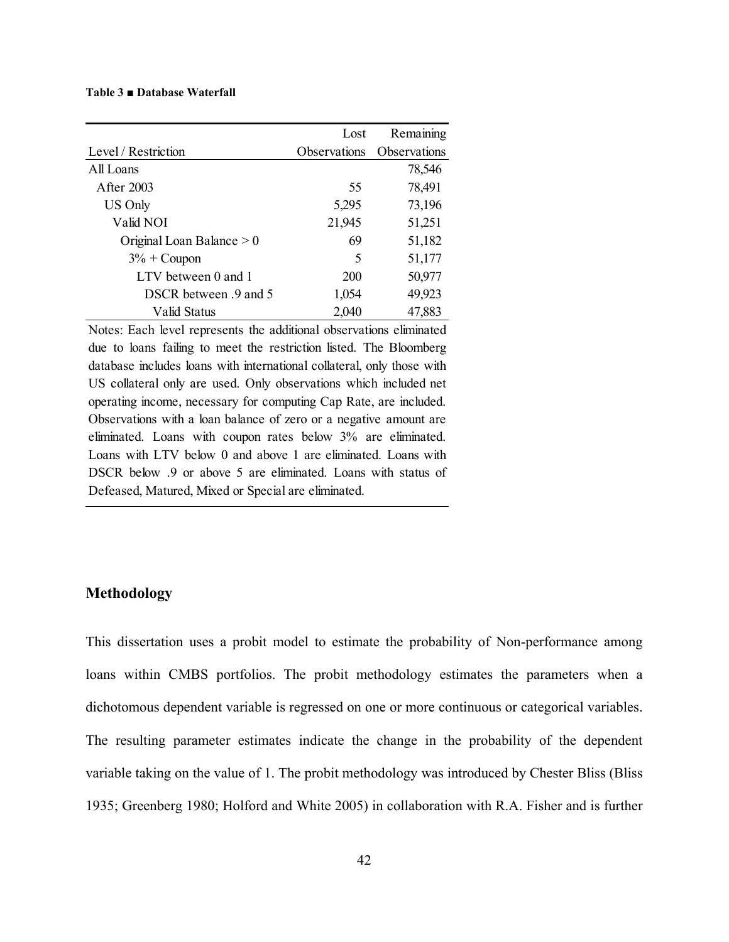#### **Table 3 ■ Database Waterfall**

|                             | Lost         | Remaining    |
|-----------------------------|--------------|--------------|
| Level / Restriction         | Observations | Observations |
| All Loans                   |              | 78,546       |
| After 2003                  | 55           | 78,491       |
| US Only                     | 5,295        | 73,196       |
| Valid NOI                   | 21,945       | 51,251       |
| Original Loan Balance $> 0$ | 69           | 51,182       |
| $3\%$ + Coupon              | 5            | 51,177       |
| LTV between 0 and 1         | <b>200</b>   | 50,977       |
| DSCR between .9 and 5       | 1,054        | 49,923       |
| Valid Status                | 2,040        | 47,883       |

Notes: Each level represents the additional observations eliminated due to loans failing to meet the restriction listed. The Bloomberg database includes loans with international collateral, only those with US collateral only are used. Only observations which included net operating income, necessary for computing Cap Rate, are included. Observations with a loan balance of zero or a negative amount are eliminated. Loans with coupon rates below 3% are eliminated. Loans with LTV below 0 and above 1 are eliminated. Loans with DSCR below .9 or above 5 are eliminated. Loans with status of Defeased, Matured, Mixed or Special are eliminated.

### **Methodology**

This dissertation uses a probit model to estimate the probability of Non-performance among loans within CMBS portfolios. The probit methodology estimates the parameters when a dichotomous dependent variable is regressed on one or more continuous or categorical variables. The resulting parameter estimates indicate the change in the probability of the dependent variable taking on the value of 1. The probit methodology was introduced by Chester Bliss (Bliss 1935; Greenberg 1980; Holford and White 2005) in collaboration with R.A. Fisher and is further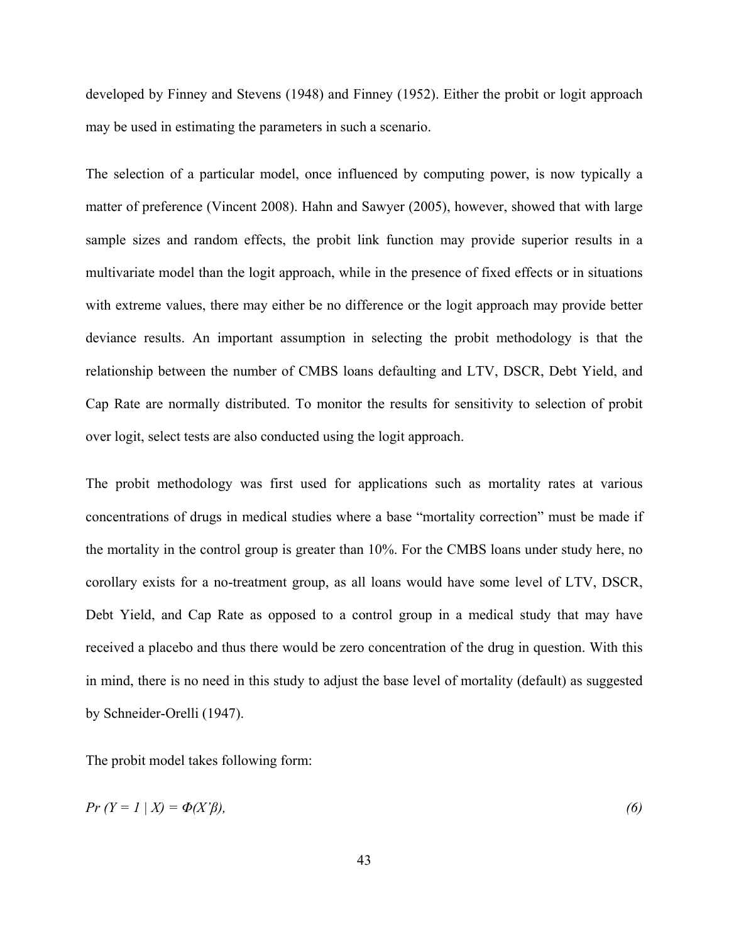developed by Finney and Stevens (1948) and Finney (1952). Either the probit or logit approach may be used in estimating the parameters in such a scenario.

The selection of a particular model, once influenced by computing power, is now typically a matter of preference (Vincent 2008). Hahn and Sawyer (2005), however, showed that with large sample sizes and random effects, the probit link function may provide superior results in a multivariate model than the logit approach, while in the presence of fixed effects or in situations with extreme values, there may either be no difference or the logit approach may provide better deviance results. An important assumption in selecting the probit methodology is that the relationship between the number of CMBS loans defaulting and LTV, DSCR, Debt Yield, and Cap Rate are normally distributed. To monitor the results for sensitivity to selection of probit over logit, select tests are also conducted using the logit approach.

The probit methodology was first used for applications such as mortality rates at various concentrations of drugs in medical studies where a base "mortality correction" must be made if the mortality in the control group is greater than 10%. For the CMBS loans under study here, no corollary exists for a no-treatment group, as all loans would have some level of LTV, DSCR, Debt Yield, and Cap Rate as opposed to a control group in a medical study that may have received a placebo and thus there would be zero concentration of the drug in question. With this in mind, there is no need in this study to adjust the base level of mortality (default) as suggested by Schneider-Orelli (1947).

The probit model takes following form:

$$
Pr(Y = 1 | X) = \Phi(X'\beta),\tag{6}
$$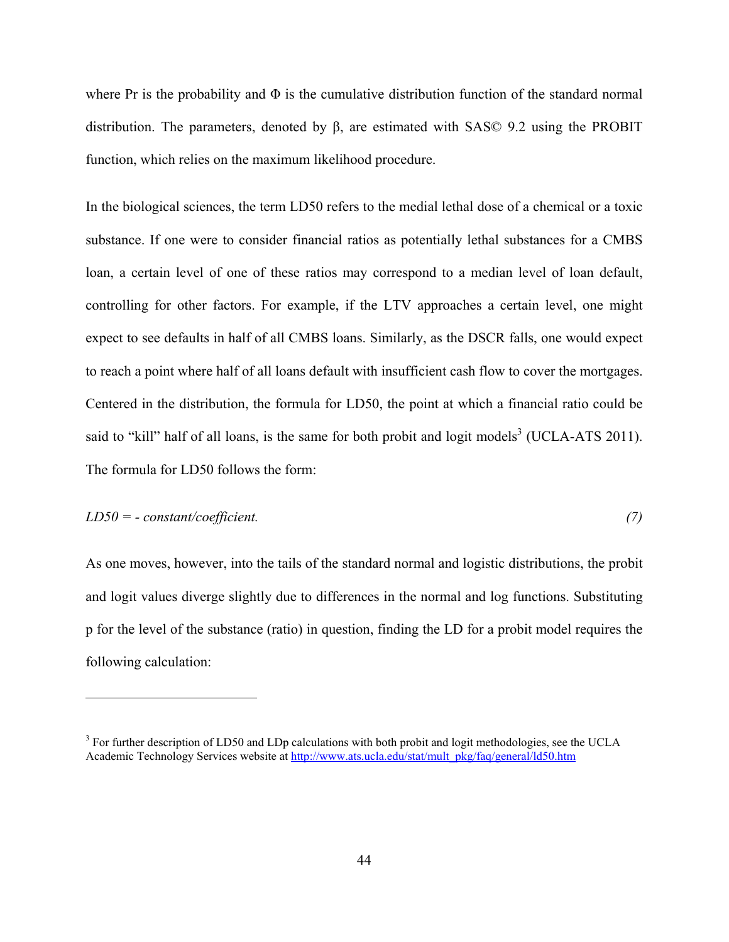where Pr is the probability and  $\Phi$  is the cumulative distribution function of the standard normal distribution. The parameters, denoted by β, are estimated with SAS© 9.2 using the PROBIT function, which relies on the maximum likelihood procedure.

In the biological sciences, the term LD50 refers to the medial lethal dose of a chemical or a toxic substance. If one were to consider financial ratios as potentially lethal substances for a CMBS loan, a certain level of one of these ratios may correspond to a median level of loan default, controlling for other factors. For example, if the LTV approaches a certain level, one might expect to see defaults in half of all CMBS loans. Similarly, as the DSCR falls, one would expect to reach a point where half of all loans default with insufficient cash flow to cover the mortgages. Centered in the distribution, the formula for LD50, the point at which a financial ratio could be said to "kill" half of all loans, is the same for both probit and logit models<sup>3</sup> (UCLA-ATS 2011). The formula for LD50 follows the form:

## *LD50 = - constant/coefficient. (7)*

 $\overline{a}$ 

As one moves, however, into the tails of the standard normal and logistic distributions, the probit and logit values diverge slightly due to differences in the normal and log functions. Substituting p for the level of the substance (ratio) in question, finding the LD for a probit model requires the following calculation:

 $3$  For further description of LD50 and LDp calculations with both probit and logit methodologies, see the UCLA Academic Technology Services website at http://www.ats.ucla.edu/stat/mult\_pkg/faq/general/ld50.htm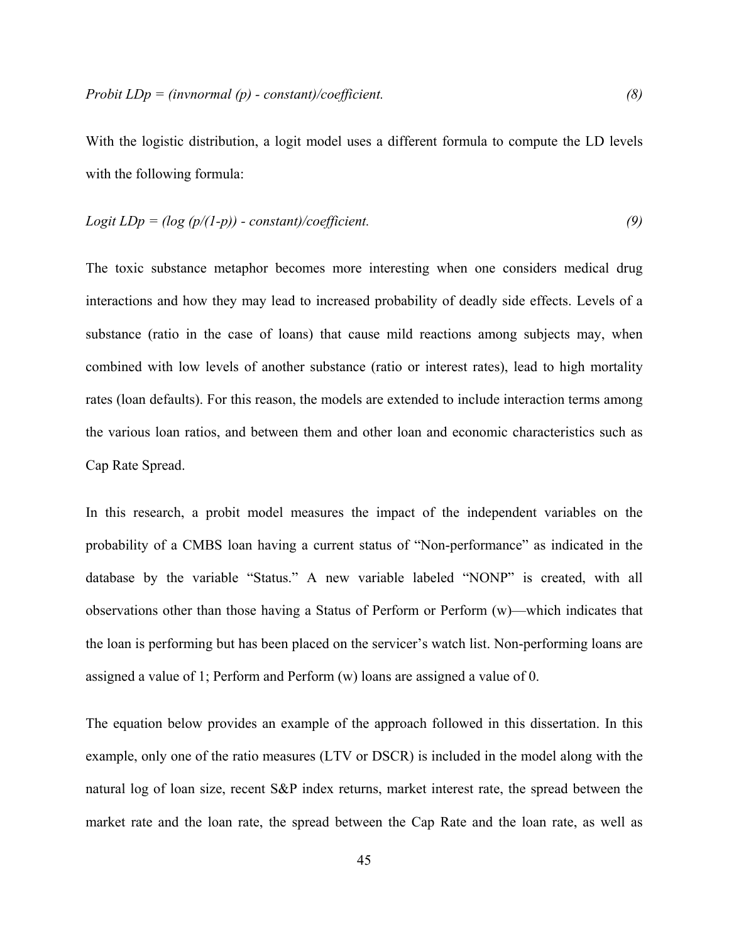With the logistic distribution, a logit model uses a different formula to compute the LD levels with the following formula:

$$
Logit LDp = (log (p/(1-p)) - constant)/coefficient.
$$
\n(9)

The toxic substance metaphor becomes more interesting when one considers medical drug interactions and how they may lead to increased probability of deadly side effects. Levels of a substance (ratio in the case of loans) that cause mild reactions among subjects may, when combined with low levels of another substance (ratio or interest rates), lead to high mortality rates (loan defaults). For this reason, the models are extended to include interaction terms among the various loan ratios, and between them and other loan and economic characteristics such as Cap Rate Spread.

In this research, a probit model measures the impact of the independent variables on the probability of a CMBS loan having a current status of "Non-performance" as indicated in the database by the variable "Status." A new variable labeled "NONP" is created, with all observations other than those having a Status of Perform or Perform (w)—which indicates that the loan is performing but has been placed on the servicer's watch list. Non-performing loans are assigned a value of 1; Perform and Perform (w) loans are assigned a value of 0.

The equation below provides an example of the approach followed in this dissertation. In this example, only one of the ratio measures (LTV or DSCR) is included in the model along with the natural log of loan size, recent S&P index returns, market interest rate, the spread between the market rate and the loan rate, the spread between the Cap Rate and the loan rate, as well as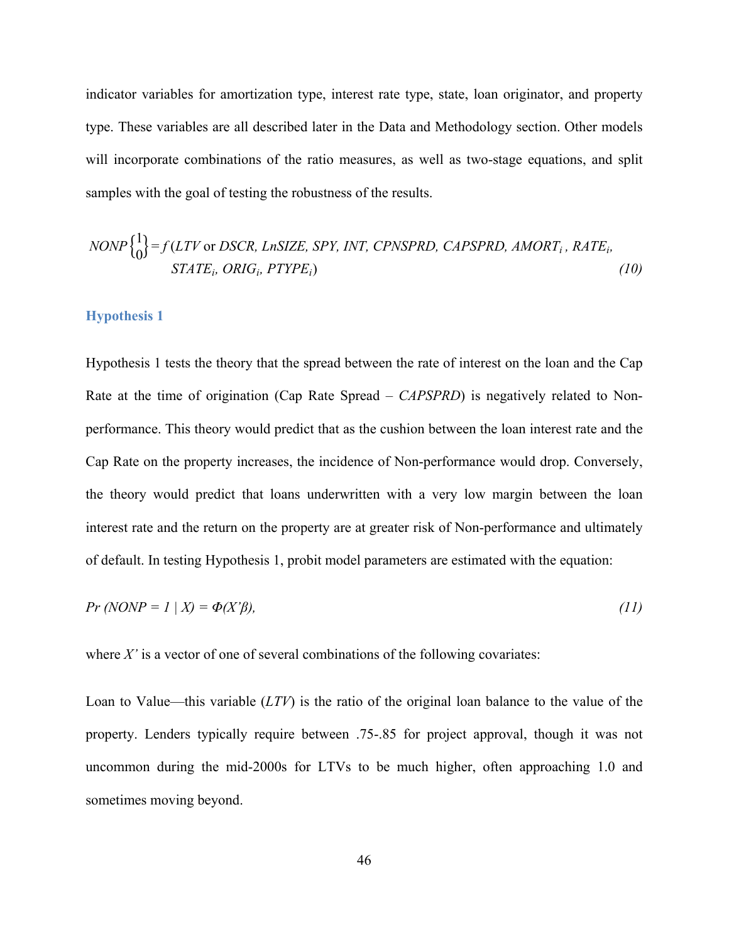indicator variables for amortization type, interest rate type, state, loan originator, and property type. These variables are all described later in the Data and Methodology section. Other models will incorporate combinations of the ratio measures, as well as two-stage equations, and split samples with the goal of testing the robustness of the results.

$$
NONP\begin{Bmatrix} 1 \\ 0 \end{Bmatrix} = f(LTV \text{ or } DSCR, LnSIZE, SPY, INT, CPNSPRD, CAPSPRD, AMORTi, RATEi,STATEi, ORIGi, PTYPEi)
$$
\n(10)

### **Hypothesis 1**

 $141$ 

Hypothesis 1 tests the theory that the spread between the rate of interest on the loan and the Cap Rate at the time of origination (Cap Rate Spread – *CAPSPRD*) is negatively related to Nonperformance. This theory would predict that as the cushion between the loan interest rate and the Cap Rate on the property increases, the incidence of Non-performance would drop. Conversely, the theory would predict that loans underwritten with a very low margin between the loan interest rate and the return on the property are at greater risk of Non-performance and ultimately of default. In testing Hypothesis 1, probit model parameters are estimated with the equation:

$$
Pr(NOMP = 1 | X) = \Phi(X'\beta),\tag{11}
$$

where  $X'$  is a vector of one of several combinations of the following covariates:

Loan to Value—this variable (*LTV*) is the ratio of the original loan balance to the value of the property. Lenders typically require between .75-.85 for project approval, though it was not uncommon during the mid-2000s for LTVs to be much higher, often approaching 1.0 and sometimes moving beyond.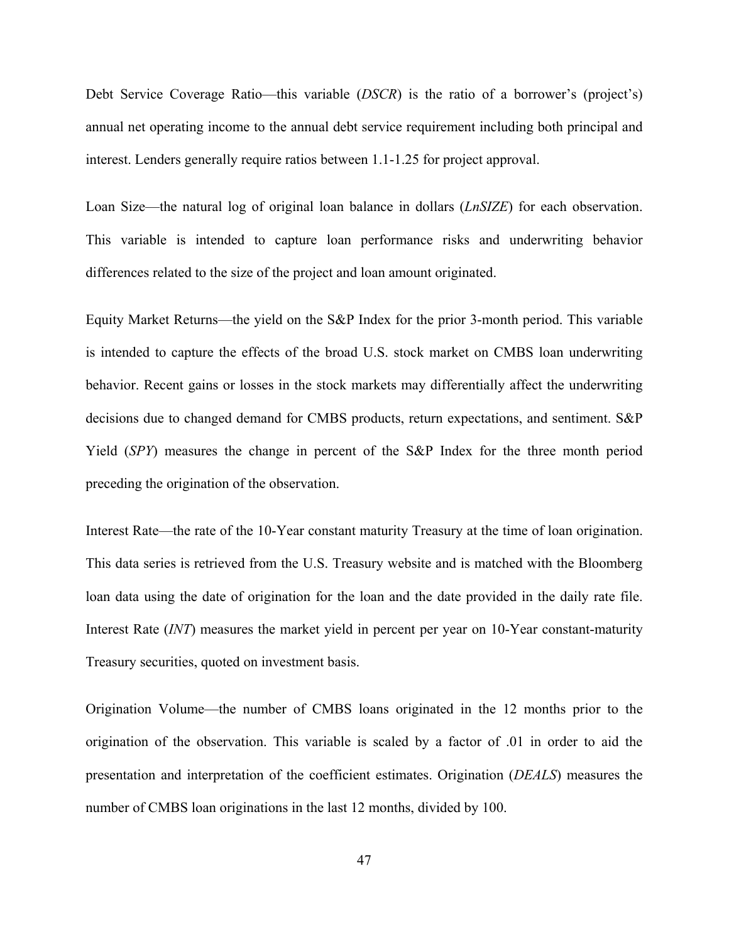Debt Service Coverage Ratio—this variable (*DSCR*) is the ratio of a borrower's (project's) annual net operating income to the annual debt service requirement including both principal and interest. Lenders generally require ratios between 1.1-1.25 for project approval.

Loan Size—the natural log of original loan balance in dollars (*LnSIZE*) for each observation. This variable is intended to capture loan performance risks and underwriting behavior differences related to the size of the project and loan amount originated.

Equity Market Returns—the yield on the S&P Index for the prior 3-month period. This variable is intended to capture the effects of the broad U.S. stock market on CMBS loan underwriting behavior. Recent gains or losses in the stock markets may differentially affect the underwriting decisions due to changed demand for CMBS products, return expectations, and sentiment. S&P Yield (*SPY*) measures the change in percent of the S&P Index for the three month period preceding the origination of the observation.

Interest Rate—the rate of the 10-Year constant maturity Treasury at the time of loan origination. This data series is retrieved from the U.S. Treasury website and is matched with the Bloomberg loan data using the date of origination for the loan and the date provided in the daily rate file. Interest Rate (*INT*) measures the market yield in percent per year on 10-Year constant-maturity Treasury securities, quoted on investment basis.

Origination Volume—the number of CMBS loans originated in the 12 months prior to the origination of the observation. This variable is scaled by a factor of .01 in order to aid the presentation and interpretation of the coefficient estimates. Origination (*DEALS*) measures the number of CMBS loan originations in the last 12 months, divided by 100.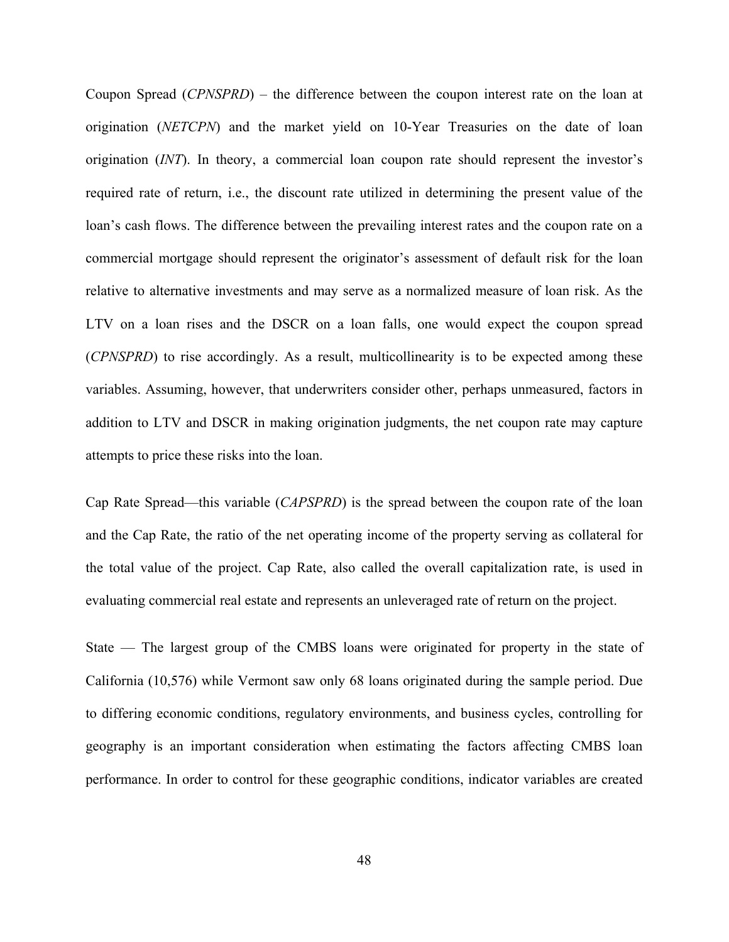Coupon Spread (*CPNSPRD*) – the difference between the coupon interest rate on the loan at origination (*NETCPN*) and the market yield on 10-Year Treasuries on the date of loan origination (*INT*). In theory, a commercial loan coupon rate should represent the investor's required rate of return, i.e., the discount rate utilized in determining the present value of the loan's cash flows. The difference between the prevailing interest rates and the coupon rate on a commercial mortgage should represent the originator's assessment of default risk for the loan relative to alternative investments and may serve as a normalized measure of loan risk. As the LTV on a loan rises and the DSCR on a loan falls, one would expect the coupon spread (*CPNSPRD*) to rise accordingly. As a result, multicollinearity is to be expected among these variables. Assuming, however, that underwriters consider other, perhaps unmeasured, factors in addition to LTV and DSCR in making origination judgments, the net coupon rate may capture attempts to price these risks into the loan.

Cap Rate Spread—this variable (*CAPSPRD*) is the spread between the coupon rate of the loan and the Cap Rate, the ratio of the net operating income of the property serving as collateral for the total value of the project. Cap Rate, also called the overall capitalization rate, is used in evaluating commercial real estate and represents an unleveraged rate of return on the project.

State — The largest group of the CMBS loans were originated for property in the state of California (10,576) while Vermont saw only 68 loans originated during the sample period. Due to differing economic conditions, regulatory environments, and business cycles, controlling for geography is an important consideration when estimating the factors affecting CMBS loan performance. In order to control for these geographic conditions, indicator variables are created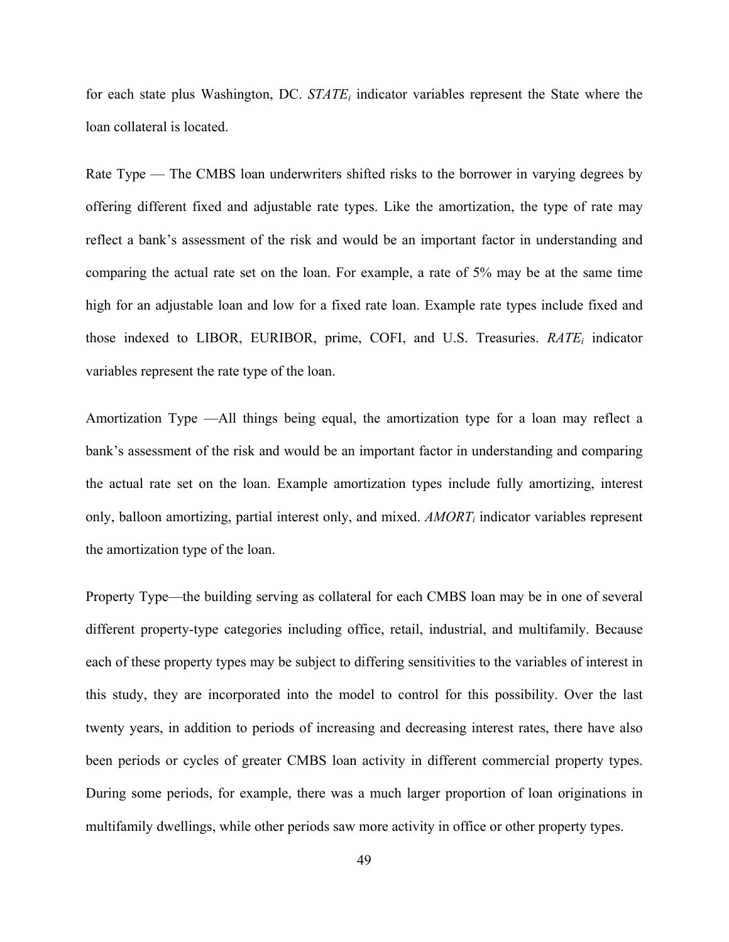for each state plus Washington, DC. *STATEi* indicator variables represent the State where the loan collateral is located.

Rate Type — The CMBS loan underwriters shifted risks to the borrower in varying degrees by offering different fixed and adjustable rate types. Like the amortization, the type of rate may reflect a bank's assessment of the risk and would be an important factor in understanding and comparing the actual rate set on the loan. For example, a rate of 5% may be at the same time high for an adjustable loan and low for a fixed rate loan. Example rate types include fixed and those indexed to LIBOR, EURIBOR, prime, COFI, and U.S. Treasuries. *RATEi* indicator variables represent the rate type of the loan.

Amortization Type —All things being equal, the amortization type for a loan may reflect a bank's assessment of the risk and would be an important factor in understanding and comparing the actual rate set on the loan. Example amortization types include fully amortizing, interest only, balloon amortizing, partial interest only, and mixed. *AMORTi* indicator variables represent the amortization type of the loan.

Property Type—the building serving as collateral for each CMBS loan may be in one of several different property-type categories including office, retail, industrial, and multifamily. Because each of these property types may be subject to differing sensitivities to the variables of interest in this study, they are incorporated into the model to control for this possibility. Over the last twenty years, in addition to periods of increasing and decreasing interest rates, there have also been periods or cycles of greater CMBS loan activity in different commercial property types. During some periods, for example, there was a much larger proportion of loan originations in multifamily dwellings, while other periods saw more activity in office or other property types.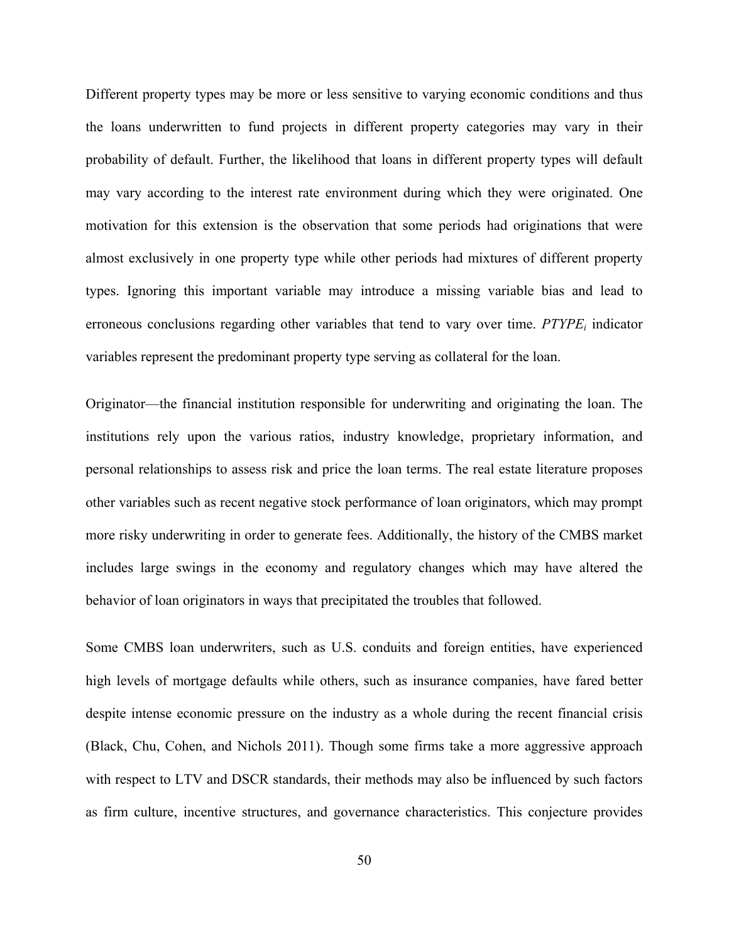Different property types may be more or less sensitive to varying economic conditions and thus the loans underwritten to fund projects in different property categories may vary in their probability of default. Further, the likelihood that loans in different property types will default may vary according to the interest rate environment during which they were originated. One motivation for this extension is the observation that some periods had originations that were almost exclusively in one property type while other periods had mixtures of different property types. Ignoring this important variable may introduce a missing variable bias and lead to erroneous conclusions regarding other variables that tend to vary over time.  $PTYPE<sub>i</sub>$  indicator variables represent the predominant property type serving as collateral for the loan.

Originator—the financial institution responsible for underwriting and originating the loan. The institutions rely upon the various ratios, industry knowledge, proprietary information, and personal relationships to assess risk and price the loan terms. The real estate literature proposes other variables such as recent negative stock performance of loan originators, which may prompt more risky underwriting in order to generate fees. Additionally, the history of the CMBS market includes large swings in the economy and regulatory changes which may have altered the behavior of loan originators in ways that precipitated the troubles that followed.

Some CMBS loan underwriters, such as U.S. conduits and foreign entities, have experienced high levels of mortgage defaults while others, such as insurance companies, have fared better despite intense economic pressure on the industry as a whole during the recent financial crisis (Black, Chu, Cohen, and Nichols 2011). Though some firms take a more aggressive approach with respect to LTV and DSCR standards, their methods may also be influenced by such factors as firm culture, incentive structures, and governance characteristics. This conjecture provides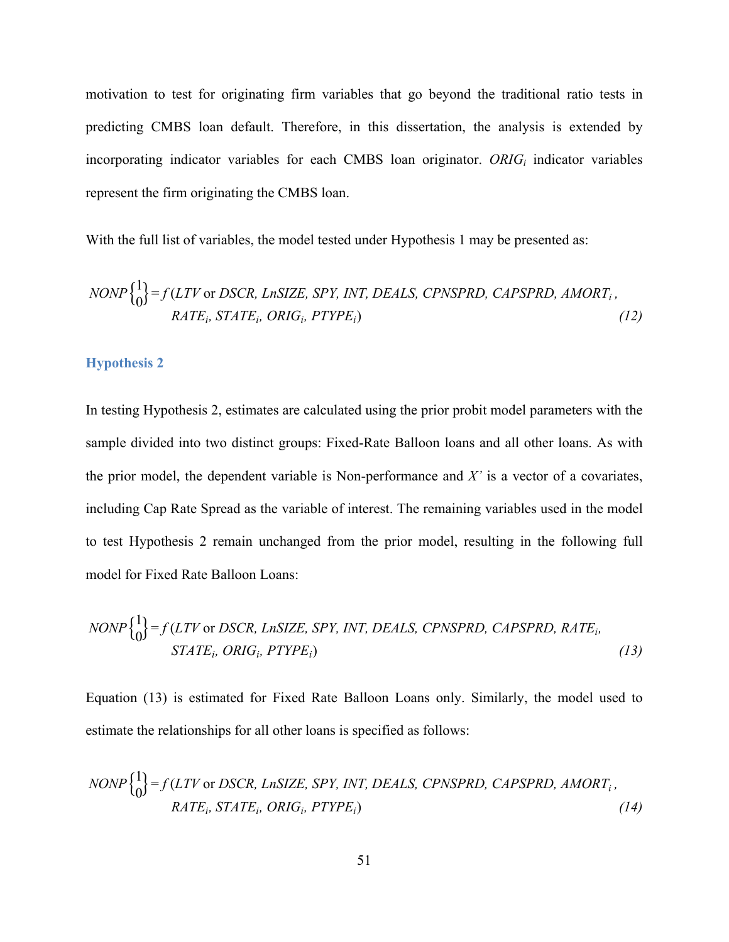motivation to test for originating firm variables that go beyond the traditional ratio tests in predicting CMBS loan default. Therefore, in this dissertation, the analysis is extended by incorporating indicator variables for each CMBS loan originator. *ORIG<sub>i</sub>* indicator variables represent the firm originating the CMBS loan.

With the full list of variables, the model tested under Hypothesis 1 may be presented as:

$$
NONP\begin{Bmatrix} 1 \\ 0 \end{Bmatrix} = f(LTV \text{ or } DSCR, LnSIZE, SPY, INT, DEALS, CPNSPRD, CAPSPRD, AMORTi,RATEi, STATEi, ORIGi, PTYPEi)
$$
(12)

### **Hypothesis 2**

In testing Hypothesis 2, estimates are calculated using the prior probit model parameters with the sample divided into two distinct groups: Fixed-Rate Balloon loans and all other loans. As with the prior model, the dependent variable is Non-performance and *X'* is a vector of a covariates, including Cap Rate Spread as the variable of interest. The remaining variables used in the model to test Hypothesis 2 remain unchanged from the prior model, resulting in the following full model for Fixed Rate Balloon Loans:

$$
NONP\begin{Bmatrix} 1 \\ 0 \end{Bmatrix} = f(LTV \text{ or } DSCR, LnSIZE, SPY, INT, DEALS, CPNSPRD, CAPSPRD, RATEi,STATEi, ORIGi, PTYPEi)
$$
\n(13)

Equation (13) is estimated for Fixed Rate Balloon Loans only. Similarly, the model used to estimate the relationships for all other loans is specified as follows:

$$
NONP\begin{Bmatrix} 1 \\ 0 \end{Bmatrix} = f(LTV \text{ or } DSCR, LnSIZE, SPY, INT, DEALS, CPNSPRD, CAPSPRD, AMORTi,RATEi, STATEi, ORIGi, PTYPEi)
$$
(14)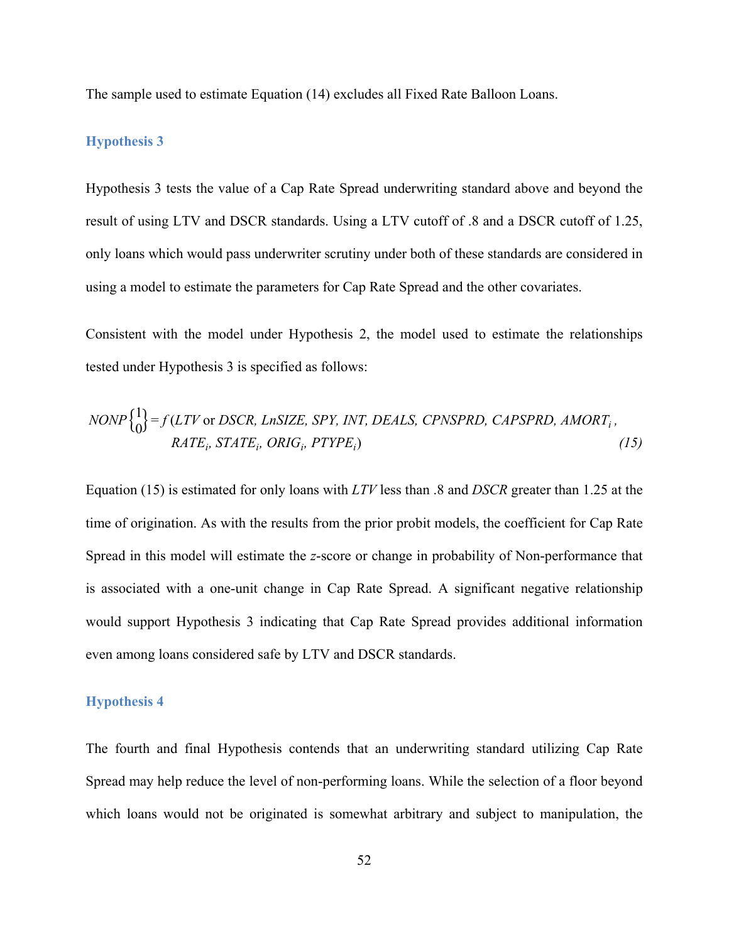The sample used to estimate Equation (14) excludes all Fixed Rate Balloon Loans.

#### **Hypothesis 3**

Hypothesis 3 tests the value of a Cap Rate Spread underwriting standard above and beyond the result of using LTV and DSCR standards. Using a LTV cutoff of .8 and a DSCR cutoff of 1.25, only loans which would pass underwriter scrutiny under both of these standards are considered in using a model to estimate the parameters for Cap Rate Spread and the other covariates.

Consistent with the model under Hypothesis 2, the model used to estimate the relationships tested under Hypothesis 3 is specified as follows:

$$
NONP\begin{Bmatrix} 1 \\ 0 \end{Bmatrix} = f(LTV \text{ or } DSCR, LnSIZE, SPY, INT, DEALS, CPNSPRD, CAPSPRD, AMORTi,RATEi, STATEi, ORIGi, PTYPEi)
$$
\n(15)

Equation (15) is estimated for only loans with *LTV* less than .8 and *DSCR* greater than 1.25 at the time of origination. As with the results from the prior probit models, the coefficient for Cap Rate Spread in this model will estimate the *z*-score or change in probability of Non-performance that is associated with a one-unit change in Cap Rate Spread. A significant negative relationship would support Hypothesis 3 indicating that Cap Rate Spread provides additional information even among loans considered safe by LTV and DSCR standards.

### **Hypothesis 4**

The fourth and final Hypothesis contends that an underwriting standard utilizing Cap Rate Spread may help reduce the level of non-performing loans. While the selection of a floor beyond which loans would not be originated is somewhat arbitrary and subject to manipulation, the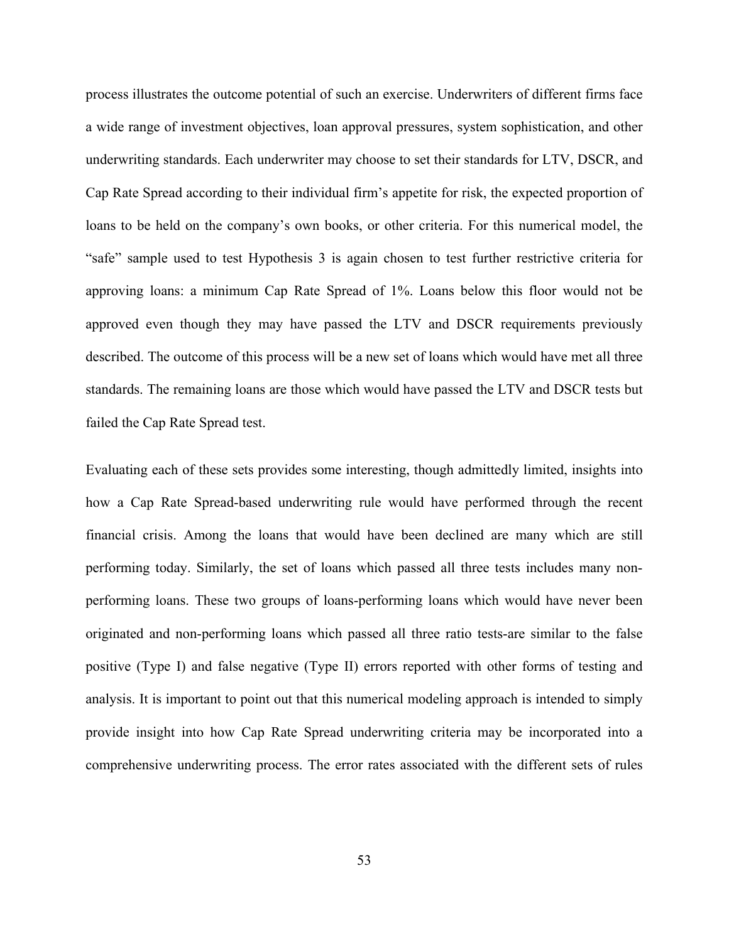process illustrates the outcome potential of such an exercise. Underwriters of different firms face a wide range of investment objectives, loan approval pressures, system sophistication, and other underwriting standards. Each underwriter may choose to set their standards for LTV, DSCR, and Cap Rate Spread according to their individual firm's appetite for risk, the expected proportion of loans to be held on the company's own books, or other criteria. For this numerical model, the "safe" sample used to test Hypothesis 3 is again chosen to test further restrictive criteria for approving loans: a minimum Cap Rate Spread of 1%. Loans below this floor would not be approved even though they may have passed the LTV and DSCR requirements previously described. The outcome of this process will be a new set of loans which would have met all three standards. The remaining loans are those which would have passed the LTV and DSCR tests but failed the Cap Rate Spread test.

Evaluating each of these sets provides some interesting, though admittedly limited, insights into how a Cap Rate Spread-based underwriting rule would have performed through the recent financial crisis. Among the loans that would have been declined are many which are still performing today. Similarly, the set of loans which passed all three tests includes many nonperforming loans. These two groups of loans-performing loans which would have never been originated and non-performing loans which passed all three ratio tests-are similar to the false positive (Type I) and false negative (Type II) errors reported with other forms of testing and analysis. It is important to point out that this numerical modeling approach is intended to simply provide insight into how Cap Rate Spread underwriting criteria may be incorporated into a comprehensive underwriting process. The error rates associated with the different sets of rules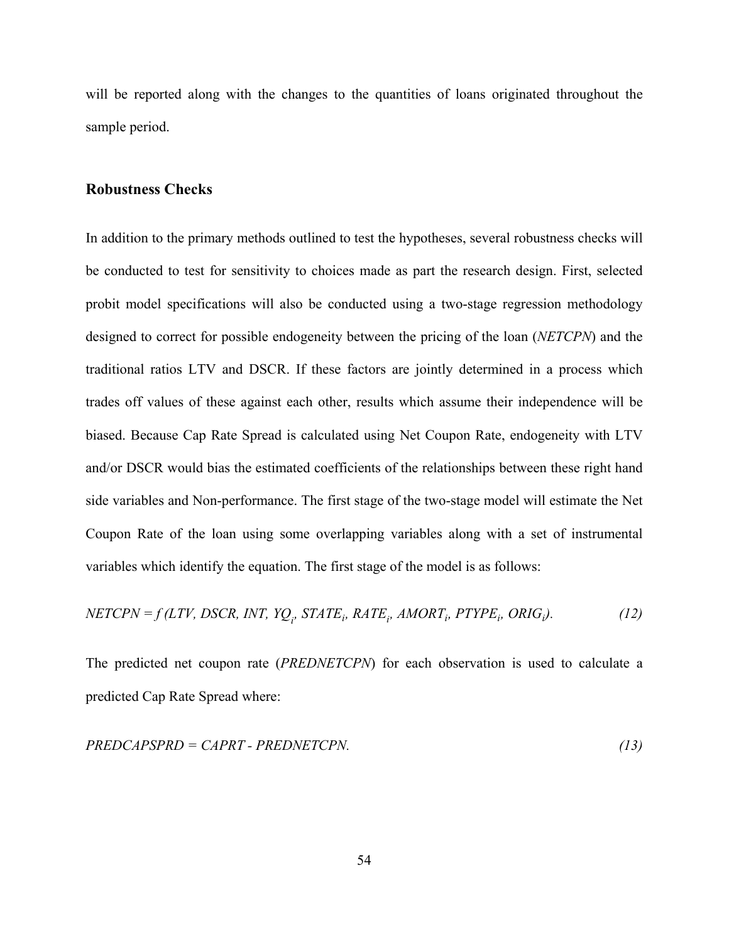will be reported along with the changes to the quantities of loans originated throughout the sample period.

### **Robustness Checks**

In addition to the primary methods outlined to test the hypotheses, several robustness checks will be conducted to test for sensitivity to choices made as part the research design. First, selected probit model specifications will also be conducted using a two-stage regression methodology designed to correct for possible endogeneity between the pricing of the loan (*NETCPN*) and the traditional ratios LTV and DSCR. If these factors are jointly determined in a process which trades off values of these against each other, results which assume their independence will be biased. Because Cap Rate Spread is calculated using Net Coupon Rate, endogeneity with LTV and/or DSCR would bias the estimated coefficients of the relationships between these right hand side variables and Non-performance. The first stage of the two-stage model will estimate the Net Coupon Rate of the loan using some overlapping variables along with a set of instrumental variables which identify the equation. The first stage of the model is as follows:

$$
NETCPN = f(LTV, DSCR, INT, YQ_i, STATE_i, AATE_i, AMORT_i, PTYPE_i, ORIG_i).
$$
 (12)

The predicted net coupon rate (*PREDNETCPN*) for each observation is used to calculate a predicted Cap Rate Spread where:

$$
PREDCAPSPRD = CAPRT - PREDNETCPN.
$$
\n(13)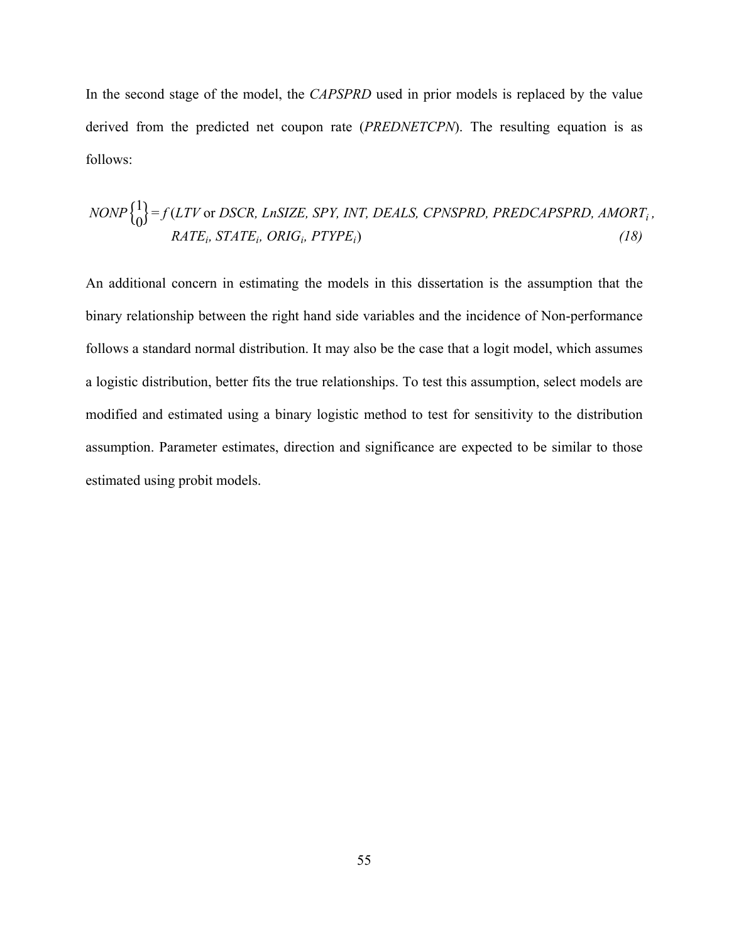In the second stage of the model, the *CAPSPRD* used in prior models is replaced by the value derived from the predicted net coupon rate (*PREDNETCPN*). The resulting equation is as follows:

$$
NONP\begin{Bmatrix} 1 \\ 0 \end{Bmatrix} = f(LTV \text{ or } DSCR, LnSIZE, SPY, INT, DEALS, CPNSPRD, PREDCAPSPRD, AMORT_i,
$$
  
 
$$
RATE_i, STATE_i, ORIG_i, PTYPE_i)
$$
 (18)

An additional concern in estimating the models in this dissertation is the assumption that the binary relationship between the right hand side variables and the incidence of Non-performance follows a standard normal distribution. It may also be the case that a logit model, which assumes a logistic distribution, better fits the true relationships. To test this assumption, select models are modified and estimated using a binary logistic method to test for sensitivity to the distribution assumption. Parameter estimates, direction and significance are expected to be similar to those estimated using probit models.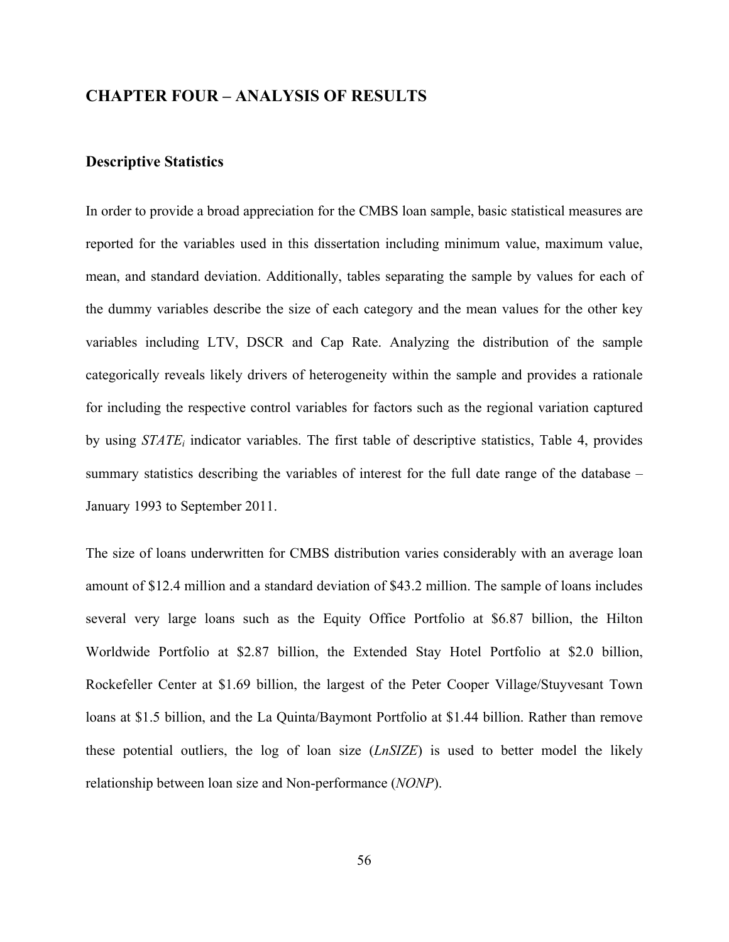# **CHAPTER FOUR – ANALYSIS OF RESULTS**

### **Descriptive Statistics**

In order to provide a broad appreciation for the CMBS loan sample, basic statistical measures are reported for the variables used in this dissertation including minimum value, maximum value, mean, and standard deviation. Additionally, tables separating the sample by values for each of the dummy variables describe the size of each category and the mean values for the other key variables including LTV, DSCR and Cap Rate. Analyzing the distribution of the sample categorically reveals likely drivers of heterogeneity within the sample and provides a rationale for including the respective control variables for factors such as the regional variation captured by using *STATEi* indicator variables. The first table of descriptive statistics, Table 4, provides summary statistics describing the variables of interest for the full date range of the database – January 1993 to September 2011.

The size of loans underwritten for CMBS distribution varies considerably with an average loan amount of \$12.4 million and a standard deviation of \$43.2 million. The sample of loans includes several very large loans such as the Equity Office Portfolio at \$6.87 billion, the Hilton Worldwide Portfolio at \$2.87 billion, the Extended Stay Hotel Portfolio at \$2.0 billion, Rockefeller Center at \$1.69 billion, the largest of the Peter Cooper Village/Stuyvesant Town loans at \$1.5 billion, and the La Quinta/Baymont Portfolio at \$1.44 billion. Rather than remove these potential outliers, the log of loan size (*LnSIZE*) is used to better model the likely relationship between loan size and Non-performance (*NONP*).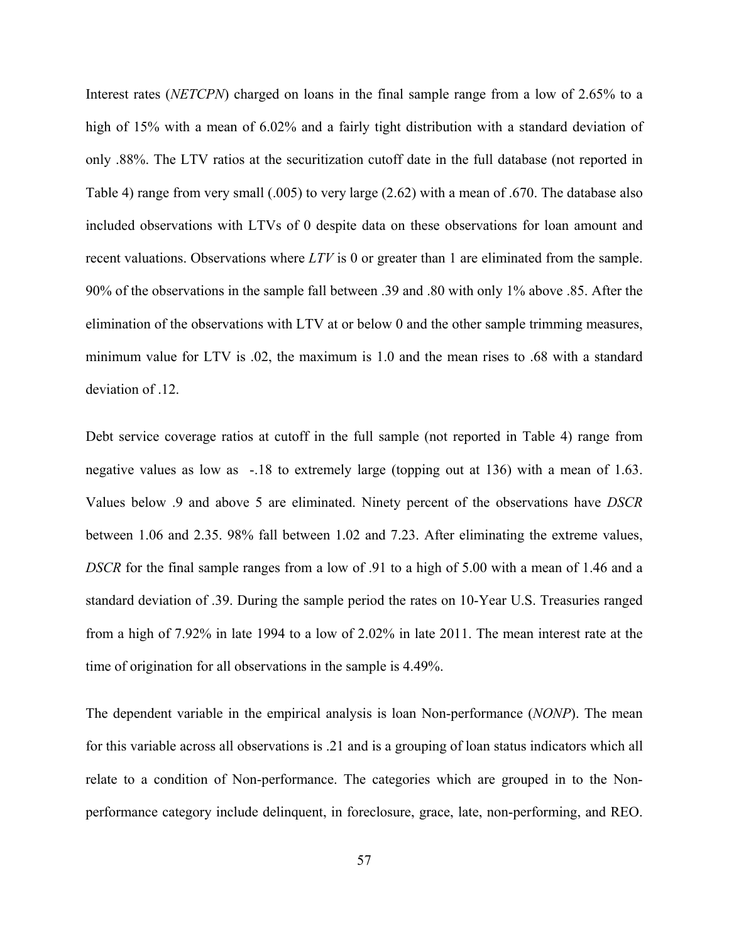Interest rates (*NETCPN*) charged on loans in the final sample range from a low of 2.65% to a high of 15% with a mean of 6.02% and a fairly tight distribution with a standard deviation of only .88%. The LTV ratios at the securitization cutoff date in the full database (not reported in Table 4) range from very small (.005) to very large (2.62) with a mean of .670. The database also included observations with LTVs of 0 despite data on these observations for loan amount and recent valuations. Observations where *LTV* is 0 or greater than 1 are eliminated from the sample. 90% of the observations in the sample fall between .39 and .80 with only 1% above .85. After the elimination of the observations with LTV at or below 0 and the other sample trimming measures, minimum value for LTV is .02, the maximum is 1.0 and the mean rises to .68 with a standard deviation of .12.

Debt service coverage ratios at cutoff in the full sample (not reported in Table 4) range from negative values as low as -.18 to extremely large (topping out at 136) with a mean of 1.63. Values below .9 and above 5 are eliminated. Ninety percent of the observations have *DSCR* between 1.06 and 2.35. 98% fall between 1.02 and 7.23. After eliminating the extreme values, *DSCR* for the final sample ranges from a low of .91 to a high of 5.00 with a mean of 1.46 and a standard deviation of .39. During the sample period the rates on 10-Year U.S. Treasuries ranged from a high of 7.92% in late 1994 to a low of 2.02% in late 2011. The mean interest rate at the time of origination for all observations in the sample is 4.49%.

The dependent variable in the empirical analysis is loan Non-performance (*NONP*). The mean for this variable across all observations is .21 and is a grouping of loan status indicators which all relate to a condition of Non-performance. The categories which are grouped in to the Nonperformance category include delinquent, in foreclosure, grace, late, non-performing, and REO.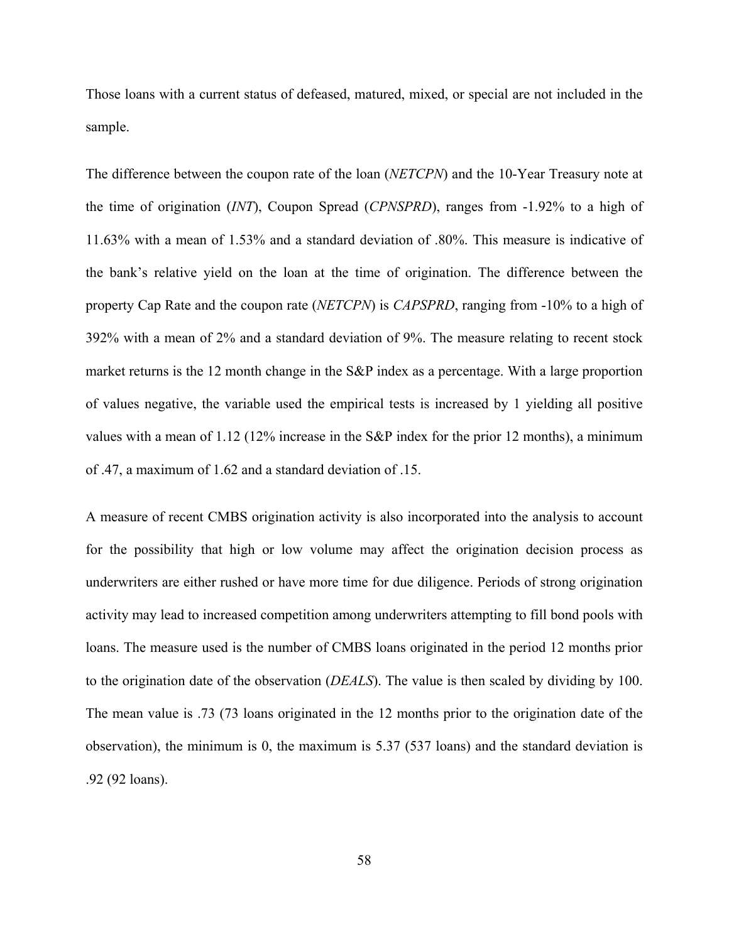Those loans with a current status of defeased, matured, mixed, or special are not included in the sample.

The difference between the coupon rate of the loan (*NETCPN*) and the 10-Year Treasury note at the time of origination (*INT*), Coupon Spread (*CPNSPRD*), ranges from -1.92% to a high of 11.63% with a mean of 1.53% and a standard deviation of .80%. This measure is indicative of the bank's relative yield on the loan at the time of origination. The difference between the property Cap Rate and the coupon rate (*NETCPN*) is *CAPSPRD*, ranging from -10% to a high of 392% with a mean of 2% and a standard deviation of 9%. The measure relating to recent stock market returns is the 12 month change in the S&P index as a percentage. With a large proportion of values negative, the variable used the empirical tests is increased by 1 yielding all positive values with a mean of 1.12 (12% increase in the S&P index for the prior 12 months), a minimum of .47, a maximum of 1.62 and a standard deviation of .15.

A measure of recent CMBS origination activity is also incorporated into the analysis to account for the possibility that high or low volume may affect the origination decision process as underwriters are either rushed or have more time for due diligence. Periods of strong origination activity may lead to increased competition among underwriters attempting to fill bond pools with loans. The measure used is the number of CMBS loans originated in the period 12 months prior to the origination date of the observation (*DEALS*). The value is then scaled by dividing by 100. The mean value is .73 (73 loans originated in the 12 months prior to the origination date of the observation), the minimum is 0, the maximum is 5.37 (537 loans) and the standard deviation is .92 (92 loans).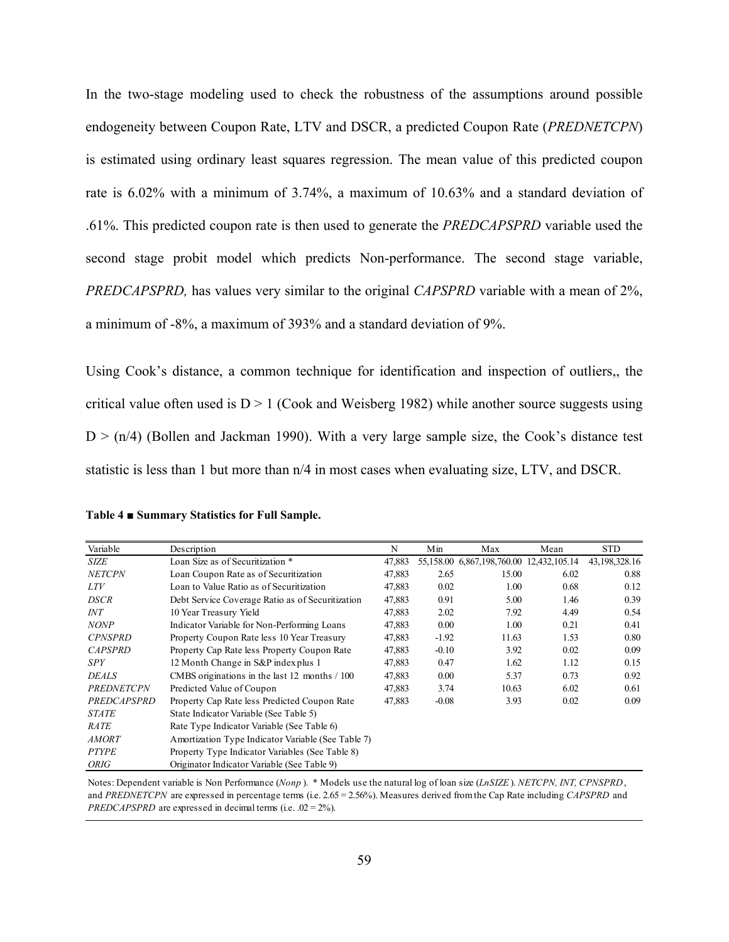In the two-stage modeling used to check the robustness of the assumptions around possible endogeneity between Coupon Rate, LTV and DSCR, a predicted Coupon Rate (*PREDNETCPN*) is estimated using ordinary least squares regression. The mean value of this predicted coupon rate is 6.02% with a minimum of 3.74%, a maximum of 10.63% and a standard deviation of .61%. This predicted coupon rate is then used to generate the *PREDCAPSPRD* variable used the second stage probit model which predicts Non-performance. The second stage variable, *PREDCAPSPRD,* has values very similar to the original *CAPSPRD* variable with a mean of 2%, a minimum of -8%, a maximum of 393% and a standard deviation of 9%.

Using Cook's distance, a common technique for identification and inspection of outliers,, the critical value often used is  $D > 1$  (Cook and Weisberg 1982) while another source suggests using  $D$  > (n/4) (Bollen and Jackman 1990). With a very large sample size, the Cook's distance test statistic is less than 1 but more than n/4 in most cases when evaluating size, LTV, and DSCR.

| Variable          | Description                                        | N      | Min     | Max                                      | Mean | <b>STD</b>    |
|-------------------|----------------------------------------------------|--------|---------|------------------------------------------|------|---------------|
| <b>SIZE</b>       | Loan Size as of Securitization *                   | 47,883 |         | 55,158.00 6,867,198,760.00 12,432,105.14 |      | 43,198,328.16 |
| <b>NETCPN</b>     | Loan Coupon Rate as of Securitization              | 47,883 | 2.65    | 15.00                                    | 6.02 | 0.88          |
| <i>LTV</i>        | Loan to Value Ratio as of Securitization           | 47,883 | 0.02    | 1.00                                     | 0.68 | 0.12          |
| DSCR              | Debt Service Coverage Ratio as of Securitization   | 47,883 | 0.91    | 5.00                                     | 1.46 | 0.39          |
| INT               | 10 Year Treasury Yield                             | 47,883 | 2.02    | 7.92                                     | 4.49 | 0.54          |
| <b>NONP</b>       | Indicator Variable for Non-Performing Loans        | 47,883 | 0.00    | 1.00                                     | 0.21 | 0.41          |
| <b>CPNSPRD</b>    | Property Coupon Rate less 10 Year Treasury         | 47,883 | $-1.92$ | 11.63                                    | 1.53 | 0.80          |
| <b>CAPSPRD</b>    | Property Cap Rate less Property Coupon Rate        | 47,883 | $-0.10$ | 3.92                                     | 0.02 | 0.09          |
| SPY               | 12 Month Change in S&P index plus 1                | 47,883 | 0.47    | 1.62                                     | 1.12 | 0.15          |
| <b>DEALS</b>      | CMBS originations in the last 12 months / 100      | 47,883 | 0.00    | 5.37                                     | 0.73 | 0.92          |
| <b>PREDNETCPN</b> | Predicted Value of Coupon                          | 47,883 | 3.74    | 10.63                                    | 6.02 | 0.61          |
| PREDCAPSPRD       | Property Cap Rate less Predicted Coupon Rate       | 47,883 | $-0.08$ | 3.93                                     | 0.02 | 0.09          |
| <b>STATE</b>      | State Indicator Variable (See Table 5)             |        |         |                                          |      |               |
| RATE              | Rate Type Indicator Variable (See Table 6)         |        |         |                                          |      |               |
| <b>AMORT</b>      | Amortization Type Indicator Variable (See Table 7) |        |         |                                          |      |               |
| <b>PTYPE</b>      | Property Type Indicator Variables (See Table 8)    |        |         |                                          |      |               |
| <b>ORIG</b>       | Originator Indicator Variable (See Table 9)        |        |         |                                          |      |               |

**Table 4 ■ Summary Statistics for Full Sample.** 

Notes: Dependent variable is Non Performance (*Nonp* ). \* Models use the natural log of loan size (*LnSIZE* ). *NETCPN, INT, CPNSPRD*, and *PREDNETCPN* are expressed in percentage terms (i.e. 2.65 = 2.56%). Measures derived from the Cap Rate including *CAPSPRD* and *PREDCAPSPRD* are expressed in decimal terms (i.e.  $.02 = 2\%$ ).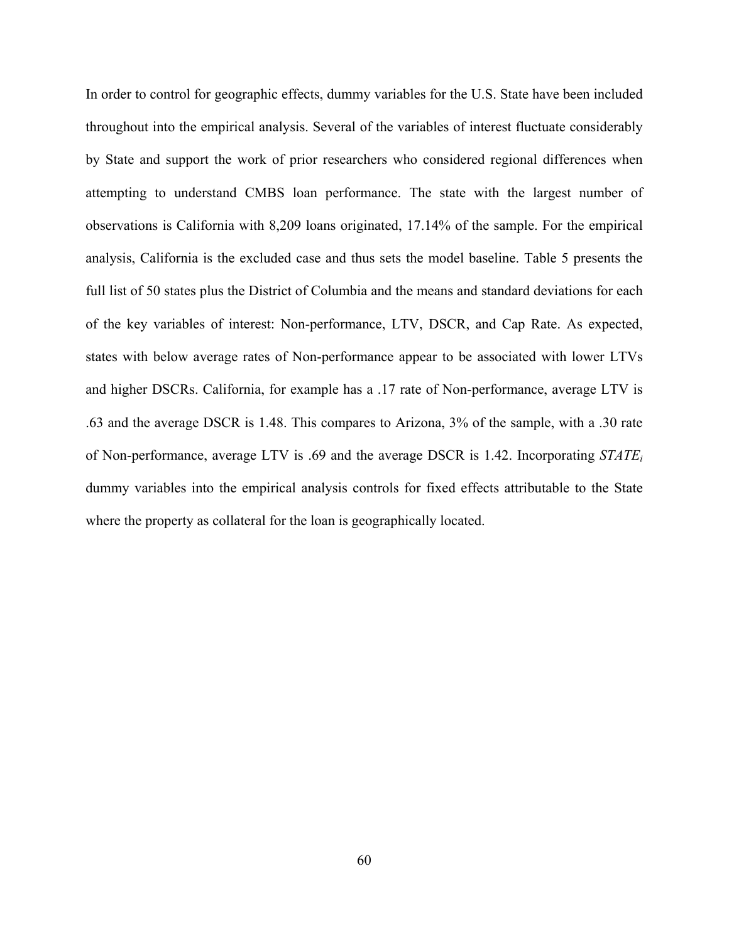In order to control for geographic effects, dummy variables for the U.S. State have been included throughout into the empirical analysis. Several of the variables of interest fluctuate considerably by State and support the work of prior researchers who considered regional differences when attempting to understand CMBS loan performance. The state with the largest number of observations is California with 8,209 loans originated, 17.14% of the sample. For the empirical analysis, California is the excluded case and thus sets the model baseline. Table 5 presents the full list of 50 states plus the District of Columbia and the means and standard deviations for each of the key variables of interest: Non-performance, LTV, DSCR, and Cap Rate. As expected, states with below average rates of Non-performance appear to be associated with lower LTVs and higher DSCRs. California, for example has a .17 rate of Non-performance, average LTV is .63 and the average DSCR is 1.48. This compares to Arizona, 3% of the sample, with a .30 rate of Non-performance, average LTV is .69 and the average DSCR is 1.42. Incorporating *STATEi* dummy variables into the empirical analysis controls for fixed effects attributable to the State where the property as collateral for the loan is geographically located.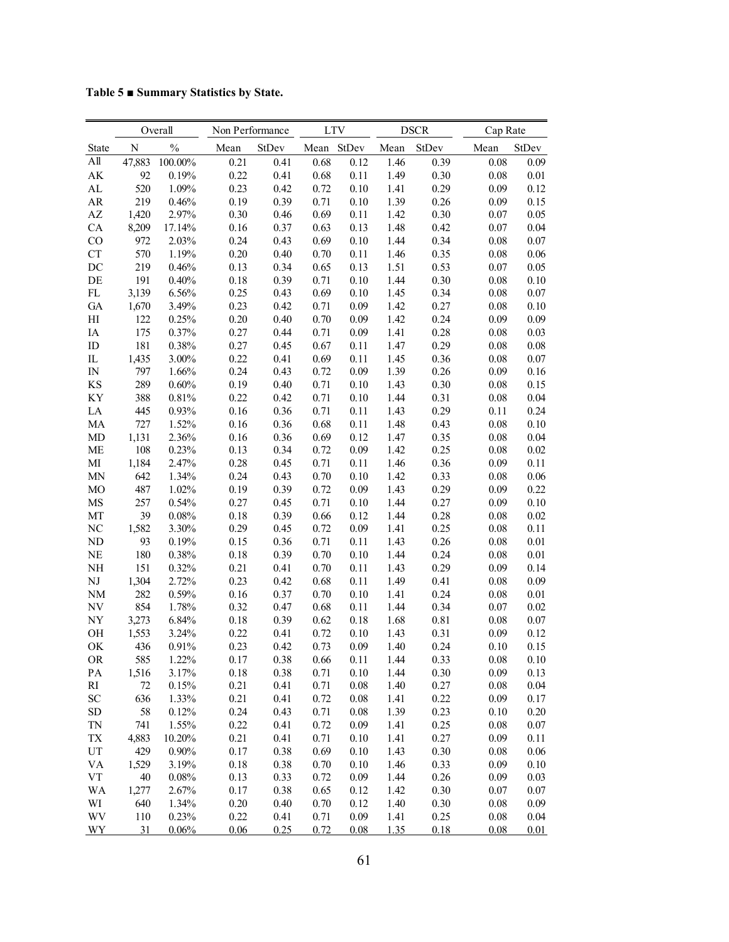**Table 5 ■ Summary Statistics by State.** 

|                        |        | Overall       |          | Non Performance |      | <b>LTV</b> |      | <b>DSCR</b> |      | Cap Rate |  |  |
|------------------------|--------|---------------|----------|-----------------|------|------------|------|-------------|------|----------|--|--|
| State                  | N      | $\frac{0}{0}$ | Mean     | StDev           | Mean | StDev      | Mean | StDev       | Mean | StDev    |  |  |
| All                    | 47,883 | 100.00%       | 0.21     | 0.41            | 0.68 | 0.12       | 1.46 | 0.39        | 0.08 | 0.09     |  |  |
| AK                     | 92     | 0.19%         | 0.22     | 0.41            | 0.68 | 0.11       | 1.49 | 0.30        | 0.08 | 0.01     |  |  |
| AL                     | 520    | 1.09%         | 0.23     | 0.42            | 0.72 | 0.10       | 1.41 | 0.29        | 0.09 | 0.12     |  |  |
| ${\sf AR}$             | 219    | 0.46%         | 0.19     | 0.39            | 0.71 | 0.10       | 1.39 | 0.26        | 0.09 | 0.15     |  |  |
| $\mathbf{A}\mathbf{Z}$ | 1,420  | 2.97%         | 0.30     | 0.46            | 0.69 | 0.11       | 1.42 | 0.30        | 0.07 | 0.05     |  |  |
| CA                     | 8,209  | 17.14%        | 0.16     | 0.37            | 0.63 | 0.13       | 1.48 | 0.42        | 0.07 | 0.04     |  |  |
| CO                     | 972    | 2.03%         | 0.24     | 0.43            | 0.69 | 0.10       | 1.44 | 0.34        | 0.08 | 0.07     |  |  |
| <b>CT</b>              | 570    | 1.19%         | 0.20     | 0.40            | 0.70 | 0.11       | 1.46 | 0.35        | 0.08 | 0.06     |  |  |
| DC                     | 219    | 0.46%         | 0.13     | 0.34            | 0.65 | 0.13       | 1.51 | 0.53        | 0.07 | 0.05     |  |  |
| DE                     | 191    | 0.40%         | 0.18     | 0.39            | 0.71 | 0.10       | 1.44 | 0.30        | 0.08 | 0.10     |  |  |
| FL                     | 3,139  | 6.56%         | 0.25     | 0.43            | 0.69 | 0.10       | 1.45 | 0.34        | 0.08 | 0.07     |  |  |
| GA                     | 1,670  | 3.49%         | 0.23     | 0.42            | 0.71 | 0.09       | 1.42 | 0.27        | 0.08 | 0.10     |  |  |
| H                      | 122    | 0.25%         | 0.20     | 0.40            | 0.70 | 0.09       | 1.42 | 0.24        | 0.09 | 0.09     |  |  |
| IA                     | 175    | 0.37%         | 0.27     | 0.44            | 0.71 | 0.09       | 1.41 | 0.28        | 0.08 | 0.03     |  |  |
| ID                     | 181    | 0.38%         | 0.27     | 0.45            | 0.67 | 0.11       | 1.47 | 0.29        | 0.08 | 0.08     |  |  |
| IL                     | 1,435  | 3.00%         | 0.22     | 0.41            | 0.69 | 0.11       | 1.45 | 0.36        | 0.08 | 0.07     |  |  |
| IN                     | 797    | 1.66%         | 0.24     | 0.43            | 0.72 | 0.09       | 1.39 | 0.26        | 0.09 | 0.16     |  |  |
| KS                     | 289    | 0.60%         | 0.19     | 0.40            | 0.71 | 0.10       | 1.43 | 0.30        | 0.08 | 0.15     |  |  |
| KY                     | 388    | 0.81%         | 0.22     | 0.42            | 0.71 | 0.10       | 1.44 | 0.31        | 0.08 | 0.04     |  |  |
| LA                     | 445    | 0.93%         | 0.16     | 0.36            | 0.71 | 0.11       | 1.43 | 0.29        | 0.11 | 0.24     |  |  |
| MA                     | 727    | 1.52%         | 0.16     | 0.36            | 0.68 | 0.11       | 1.48 | 0.43        | 0.08 | 0.10     |  |  |
| MD                     | 1,131  | 2.36%         | 0.16     | 0.36            | 0.69 | 0.12       | 1.47 | 0.35        | 0.08 | 0.04     |  |  |
| <b>ME</b>              | 108    | 0.23%         | 0.13     | 0.34            | 0.72 | 0.09       | 1.42 | 0.25        | 0.08 | 0.02     |  |  |
| MI                     | 1,184  | 2.47%         | 0.28     | 0.45            | 0.71 | 0.11       | 1.46 | 0.36        | 0.09 | 0.11     |  |  |
| <b>MN</b>              | 642    | 1.34%         | 0.24     | 0.43            | 0.70 | 0.10       | 1.42 | 0.33        | 0.08 | 0.06     |  |  |
| MO                     | 487    | 1.02%         | 0.19     | 0.39            | 0.72 | 0.09       | 1.43 | 0.29        | 0.09 | 0.22     |  |  |
| MS                     | 257    | 0.54%         | 0.27     | 0.45            | 0.71 | 0.10       | 1.44 | 0.27        | 0.09 | 0.10     |  |  |
| MT                     | 39     | 0.08%         | 0.18     | 0.39            | 0.66 | 0.12       | 1.44 | 0.28        | 0.08 | 0.02     |  |  |
| NC                     | 1,582  | 3.30%         | 0.29     | 0.45            | 0.72 | 0.09       | 1.41 | 0.25        | 0.08 | 0.11     |  |  |
| ND                     | 93     | 0.19%         | 0.15     | 0.36            | 0.71 | 0.11       | 1.43 | 0.26        | 0.08 | 0.01     |  |  |
| NE                     | 180    | 0.38%         | 0.18     | 0.39            | 0.70 | 0.10       | 1.44 | 0.24        | 0.08 | 0.01     |  |  |
| NH                     | 151    | 0.32%         | 0.21     | 0.41            | 0.70 | 0.11       | 1.43 | 0.29        | 0.09 | 0.14     |  |  |
| $\mathbf{N}\mathbf{J}$ | 1,304  | 2.72%         | 0.23     | 0.42            | 0.68 | 0.11       | 1.49 | 0.41        | 0.08 | 0.09     |  |  |
| <b>NM</b>              | 282    | 0.59%         | 0.16     | 0.37            | 0.70 | 0.10       | 1.41 | 0.24        | 0.08 | 0.01     |  |  |
| NV                     | 854    | 1.78%         | 0.32     | 0.47            | 0.68 | 0.11       | 1.44 | 0.34        | 0.07 | 0.02     |  |  |
| NY                     | 3,273  | 6.84%         | 0.18     | 0.39            | 0.62 | 0.18       | 1.68 | 0.81        | 0.08 | 0.07     |  |  |
| <b>OH</b>              | 1,553  | 3.24%         | 0.22     | 0.41            | 0.72 | 0.10       | 1.43 | 0.31        | 0.09 | 0.12     |  |  |
| OK                     | 436    | 0.91%         | 0.23     | 0.42            | 0.73 | 0.09       | 1.40 | 0.24        | 0.10 | 0.15     |  |  |
| <b>OR</b>              | 585    | 1.22%         | 0.17     | 0.38            | 0.66 | 0.11       | 1.44 | 0.33        | 0.08 | 0.10     |  |  |
| PA                     | 1,516  | 3.17%         | 0.18     | 0.38            | 0.71 | 0.10       | 1.44 | 0.30        | 0.09 | 0.13     |  |  |
| RI                     | $72\,$ | 0.15%         | 0.21     | 0.41            | 0.71 | 0.08       | 1.40 | 0.27        | 0.08 | 0.04     |  |  |
| SC                     | 636    | 1.33%         | 0.21     | 0.41            | 0.72 | 0.08       | 1.41 | 0.22        | 0.09 | 0.17     |  |  |
| <b>SD</b>              | 58     | 0.12%         | 0.24     | 0.43            | 0.71 | 0.08       | 1.39 | 0.23        | 0.10 | 0.20     |  |  |
| <b>TN</b>              | 741    | 1.55%         | 0.22     | 0.41            | 0.72 | 0.09       | 1.41 | 0.25        | 0.08 | 0.07     |  |  |
| ${\rm TX}$             | 4,883  | 10.20%        | 0.21     | 0.41            | 0.71 | 0.10       | 1.41 | 0.27        | 0.09 | 0.11     |  |  |
| UT                     | 429    | 0.90%         | 0.17     | 0.38            | 0.69 | 0.10       | 1.43 | 0.30        | 0.08 | 0.06     |  |  |
| VA                     | 1,529  | 3.19%         | 0.18     | 0.38            | 0.70 | 0.10       | 1.46 | 0.33        | 0.09 | 0.10     |  |  |
| ${\rm VT}$             | 40     | 0.08%         | 0.13     | 0.33            | 0.72 | 0.09       | 1.44 | 0.26        | 0.09 | 0.03     |  |  |
| <b>WA</b>              | 1,277  | 2.67%         | 0.17     | 0.38            | 0.65 | 0.12       | 1.42 | 0.30        | 0.07 | 0.07     |  |  |
| WI                     | 640    | 1.34%         | $0.20\,$ | 0.40            | 0.70 | 0.12       | 1.40 | 0.30        | 0.08 | 0.09     |  |  |
| WV                     | 110    | 0.23%         | 0.22     | 0.41            | 0.71 | 0.09       | 1.41 | 0.25        | 0.08 | 0.04     |  |  |
| <b>WY</b>              | 31     | 0.06%         | 0.06     | 0.25            | 0.72 | 0.08       | 1.35 | 0.18        | 0.08 | 0.01     |  |  |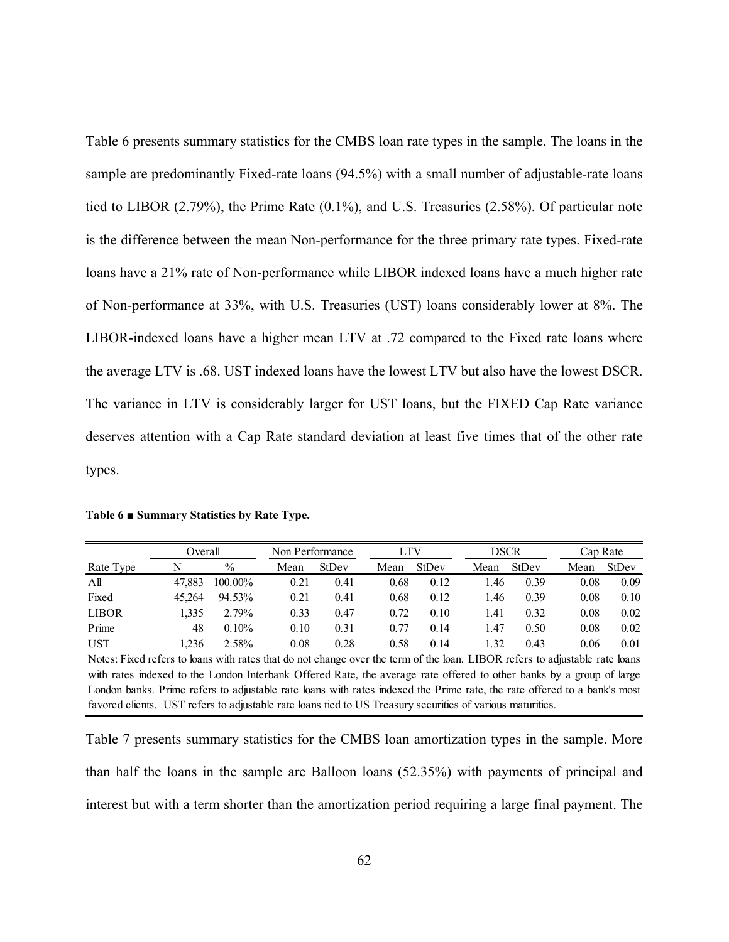Table 6 presents summary statistics for the CMBS loan rate types in the sample. The loans in the sample are predominantly Fixed-rate loans (94.5%) with a small number of adjustable-rate loans tied to LIBOR (2.79%), the Prime Rate (0.1%), and U.S. Treasuries (2.58%). Of particular note is the difference between the mean Non-performance for the three primary rate types. Fixed-rate loans have a 21% rate of Non-performance while LIBOR indexed loans have a much higher rate of Non-performance at 33%, with U.S. Treasuries (UST) loans considerably lower at 8%. The LIBOR-indexed loans have a higher mean LTV at .72 compared to the Fixed rate loans where the average LTV is .68. UST indexed loans have the lowest LTV but also have the lowest DSCR. The variance in LTV is considerably larger for UST loans, but the FIXED Cap Rate variance deserves attention with a Cap Rate standard deviation at least five times that of the other rate types.

|              | Overall |               |      | Non Performance |      | <b>LTV</b>   | <b>DSCR</b> |              | Cap Rate |       |
|--------------|---------|---------------|------|-----------------|------|--------------|-------------|--------------|----------|-------|
| Rate Type    | N       | $\frac{0}{0}$ | Mean | <b>StDev</b>    | Mean | <b>StDev</b> | Mean        | <b>StDev</b> | Mean     | StDev |
| Αll          | 47.883  | 100.00%       | 0.21 | 0.41            | 0.68 | 0.12         | .46         | 0.39         | 0.08     | 0.09  |
| Fixed        | 45.264  | 94.53%        | 0.21 | 0.41            | 0.68 | 0.12         | l.46        | 0.39         | 0.08     | 0.10  |
| <b>LIBOR</b> | 1.335   | 2.79%         | 0.33 | 0.47            | 0.72 | 0.10         | 1.41        | 0.32         | 0.08     | 0.02  |
| Prime        | 48      | 0.10%         | 0.10 | 0.31            | 0.77 | 0.14         | 1.47        | 0.50         | 0.08     | 0.02  |
| <b>UST</b>   | .236    | 2.58%         | 0.08 | 0.28            | 0.58 | 0.14         | .32         | 0.43         | 0.06     | 0.01  |

**Table 6 ■ Summary Statistics by Rate Type.** 

Notes: Fixed refers to loans with rates that do not change over the term of the loan. LIBOR refers to adjustable rate loans with rates indexed to the London Interbank Offered Rate, the average rate offered to other banks by a group of large London banks. Prime refers to adjustable rate loans with rates indexed the Prime rate, the rate offered to a bank's most favored clients. UST refers to adjustable rate loans tied to US Treasury securities of various maturities.

Table 7 presents summary statistics for the CMBS loan amortization types in the sample. More than half the loans in the sample are Balloon loans (52.35%) with payments of principal and interest but with a term shorter than the amortization period requiring a large final payment. The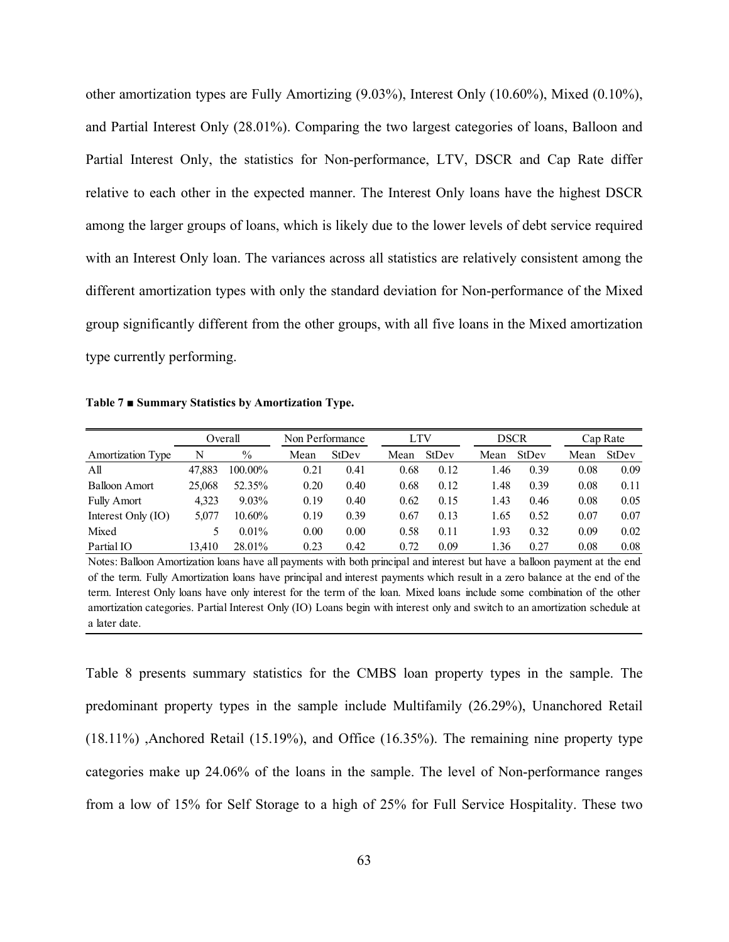other amortization types are Fully Amortizing (9.03%), Interest Only (10.60%), Mixed (0.10%), and Partial Interest Only (28.01%). Comparing the two largest categories of loans, Balloon and Partial Interest Only, the statistics for Non-performance, LTV, DSCR and Cap Rate differ relative to each other in the expected manner. The Interest Only loans have the highest DSCR among the larger groups of loans, which is likely due to the lower levels of debt service required with an Interest Only loan. The variances across all statistics are relatively consistent among the different amortization types with only the standard deviation for Non-performance of the Mixed group significantly different from the other groups, with all five loans in the Mixed amortization type currently performing.

**Table 7 ■ Summary Statistics by Amortization Type.** 

|                          |        | Overall       | Non Performance |       |      | LTV   |      | DSCR  |      | Cap Rate |
|--------------------------|--------|---------------|-----------------|-------|------|-------|------|-------|------|----------|
| <b>Amortization Type</b> | N      | $\frac{0}{0}$ | Mean            | StDev | Mean | StDev | Mean | StDev | Mean | StDev    |
| All                      | 47.883 | 100.00%       | 0.21            | 0.41  | 0.68 | 0.12  | l.46 | 0.39  | 0.08 | 0.09     |
| <b>Balloon Amort</b>     | 25,068 | 52.35%        | 0.20            | 0.40  | 0.68 | 0.12  | 1.48 | 0.39  | 0.08 | 0.11     |
| <b>Fully Amort</b>       | 4.323  | $9.03\%$      | 0.19            | 0.40  | 0.62 | 0.15  | 1.43 | 0.46  | 0.08 | 0.05     |
| Interest Only (IO)       | 5.077  | 10.60%        | 0.19            | 0.39  | 0.67 | 0.13  | 1.65 | 0.52  | 0.07 | 0.07     |
| Mixed                    |        | $0.01\%$      | 0.00            | 0.00  | 0.58 | 0.11  | 1.93 | 0.32  | 0.09 | 0.02     |
| Partial IO               | 13.410 | 28.01%        | 0.23            | 0.42  | 0.72 | 0.09  | l.36 | 0.27  | 0.08 | 0.08     |

Notes: Balloon Amortization loans have all payments with both principal and interest but have a balloon payment at the end of the term. Fully Amortization loans have principal and interest payments which result in a zero balance at the end of the term. Interest Only loans have only interest for the term of the loan. Mixed loans include some combination of the other amortization categories. Partial Interest Only (IO) Loans begin with interest only and switch to an amortization schedule at a later date.

Table 8 presents summary statistics for the CMBS loan property types in the sample. The predominant property types in the sample include Multifamily (26.29%), Unanchored Retail (18.11%) ,Anchored Retail (15.19%), and Office (16.35%). The remaining nine property type categories make up 24.06% of the loans in the sample. The level of Non-performance ranges from a low of 15% for Self Storage to a high of 25% for Full Service Hospitality. These two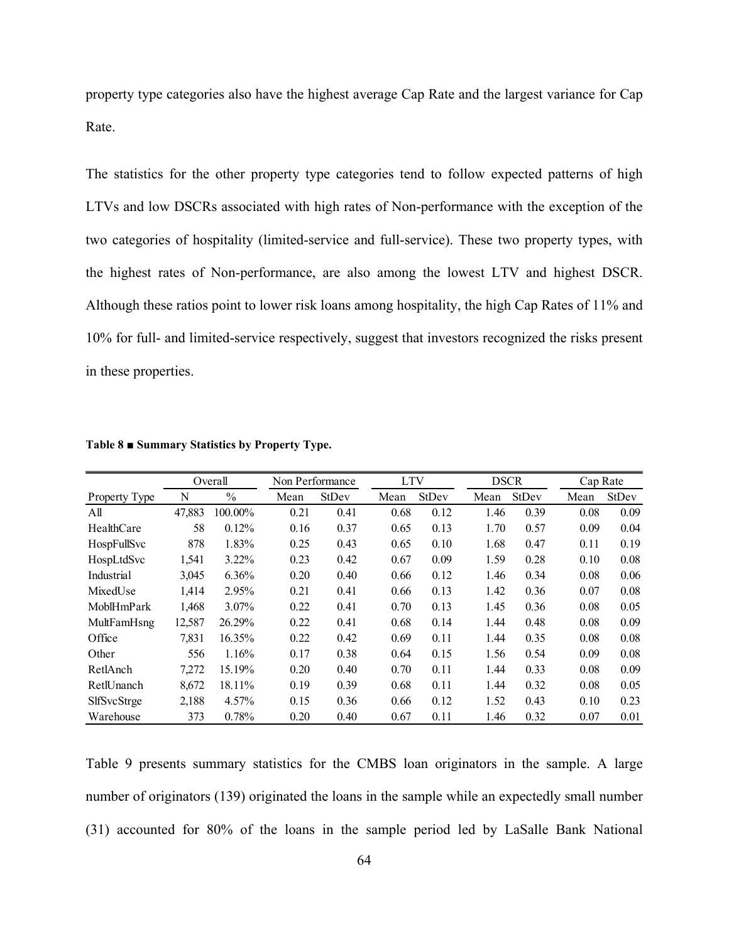property type categories also have the highest average Cap Rate and the largest variance for Cap Rate.

The statistics for the other property type categories tend to follow expected patterns of high LTVs and low DSCRs associated with high rates of Non-performance with the exception of the two categories of hospitality (limited-service and full-service). These two property types, with the highest rates of Non-performance, are also among the lowest LTV and highest DSCR. Although these ratios point to lower risk loans among hospitality, the high Cap Rates of 11% and 10% for full- and limited-service respectively, suggest that investors recognized the risks present in these properties.

|                    |        | Overall       |      | Non Performance | <b>LTV</b> |              | <b>DSCR</b> |              | Cap Rate |              |
|--------------------|--------|---------------|------|-----------------|------------|--------------|-------------|--------------|----------|--------------|
| Property Type      | N      | $\frac{0}{0}$ | Mean | StDev           | Mean       | <b>StDev</b> | Mean        | <b>StDev</b> | Mean     | <b>StDev</b> |
| All                | 47,883 | 100.00%       | 0.21 | 0.41            | 0.68       | 0.12         | 1.46        | 0.39         | 0.08     | 0.09         |
| HealthCare         | 58     | 0.12%         | 0.16 | 0.37            | 0.65       | 0.13         | 1.70        | 0.57         | 0.09     | 0.04         |
| HospFullSvc        | 878    | 1.83%         | 0.25 | 0.43            | 0.65       | 0.10         | 1.68        | 0.47         | 0.11     | 0.19         |
| HospLtdSvc         | 1,541  | $3.22\%$      | 0.23 | 0.42            | 0.67       | 0.09         | 1.59        | 0.28         | 0.10     | 0.08         |
| Industrial         | 3,045  | 6.36%         | 0.20 | 0.40            | 0.66       | 0.12         | 1.46        | 0.34         | 0.08     | 0.06         |
| MixedUse           | 1,414  | 2.95%         | 0.21 | 0.41            | 0.66       | 0.13         | 1.42        | 0.36         | 0.07     | 0.08         |
| MoblHmPark         | 1,468  | $3.07\%$      | 0.22 | 0.41            | 0.70       | 0.13         | 1.45        | 0.36         | 0.08     | 0.05         |
| MultFamHsng        | 12,587 | 26.29%        | 0.22 | 0.41            | 0.68       | 0.14         | 1.44        | 0.48         | 0.08     | 0.09         |
| Office             | 7,831  | 16.35%        | 0.22 | 0.42            | 0.69       | 0.11         | 1.44        | 0.35         | 0.08     | 0.08         |
| Other              | 556    | 1.16%         | 0.17 | 0.38            | 0.64       | 0.15         | 1.56        | 0.54         | 0.09     | 0.08         |
| RetlAnch           | 7,272  | 15.19%        | 0.20 | 0.40            | 0.70       | 0.11         | 1.44        | 0.33         | 0.08     | 0.09         |
| RetlUnanch         | 8,672  | 18.11%        | 0.19 | 0.39            | 0.68       | 0.11         | 1.44        | 0.32         | 0.08     | 0.05         |
| <b>SlfSvcStrge</b> | 2,188  | 4.57%         | 0.15 | 0.36            | 0.66       | 0.12         | 1.52        | 0.43         | 0.10     | 0.23         |
| Warehouse          | 373    | 0.78%         | 0.20 | 0.40            | 0.67       | 0.11         | 1.46        | 0.32         | 0.07     | 0.01         |

**Table 8 ■ Summary Statistics by Property Type.** 

Table 9 presents summary statistics for the CMBS loan originators in the sample. A large number of originators (139) originated the loans in the sample while an expectedly small number (31) accounted for 80% of the loans in the sample period led by LaSalle Bank National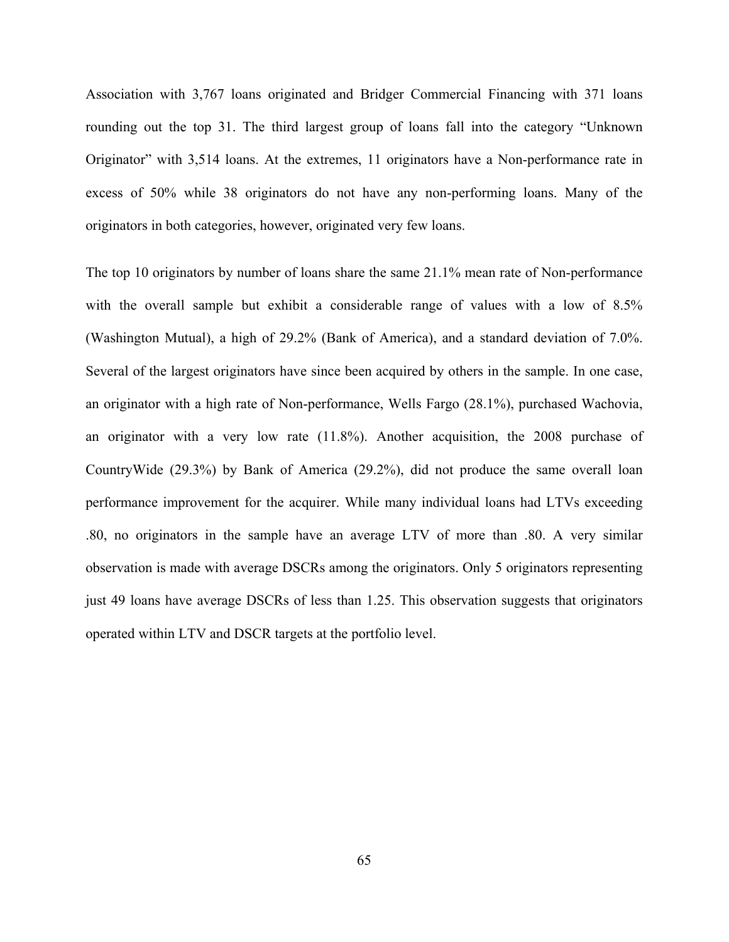Association with 3,767 loans originated and Bridger Commercial Financing with 371 loans rounding out the top 31. The third largest group of loans fall into the category "Unknown Originator" with 3,514 loans. At the extremes, 11 originators have a Non-performance rate in excess of 50% while 38 originators do not have any non-performing loans. Many of the originators in both categories, however, originated very few loans.

The top 10 originators by number of loans share the same 21.1% mean rate of Non-performance with the overall sample but exhibit a considerable range of values with a low of 8.5% (Washington Mutual), a high of 29.2% (Bank of America), and a standard deviation of 7.0%. Several of the largest originators have since been acquired by others in the sample. In one case, an originator with a high rate of Non-performance, Wells Fargo (28.1%), purchased Wachovia, an originator with a very low rate (11.8%). Another acquisition, the 2008 purchase of CountryWide (29.3%) by Bank of America (29.2%), did not produce the same overall loan performance improvement for the acquirer. While many individual loans had LTVs exceeding .80, no originators in the sample have an average LTV of more than .80. A very similar observation is made with average DSCRs among the originators. Only 5 originators representing just 49 loans have average DSCRs of less than 1.25. This observation suggests that originators operated within LTV and DSCR targets at the portfolio level.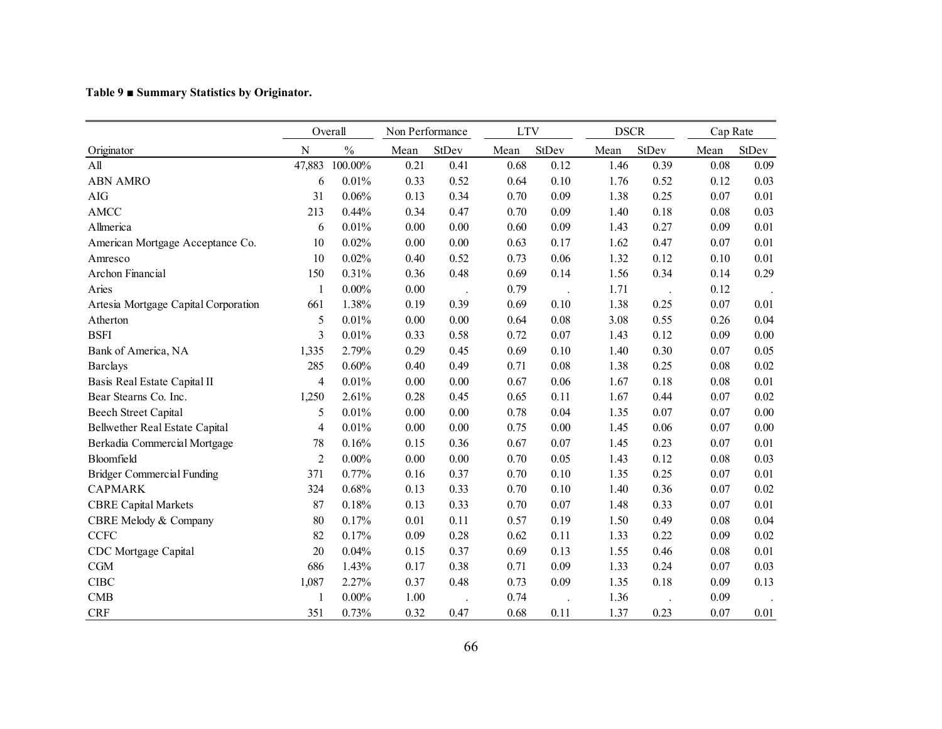|  |  | Table 9 ■ Summary Statistics by Originator. |
|--|--|---------------------------------------------|

|                                      |                | Overall       | Non Performance |       | <b>LTV</b> |          | <b>DSCR</b> |       | Cap Rate |          |
|--------------------------------------|----------------|---------------|-----------------|-------|------------|----------|-------------|-------|----------|----------|
| Originator                           | N              | $\frac{0}{0}$ | Mean            | StDev | Mean       | StDev    | Mean        | StDev | Mean     | StDev    |
| All                                  | 47,883         | 100.00%       | 0.21            | 0.41  | 0.68       | 0.12     | 1.46        | 0.39  | 0.08     | 0.09     |
| <b>ABN AMRO</b>                      | 6              | 0.01%         | 0.33            | 0.52  | 0.64       | 0.10     | 1.76        | 0.52  | 0.12     | 0.03     |
| <b>AIG</b>                           | 31             | 0.06%         | 0.13            | 0.34  | 0.70       | 0.09     | 1.38        | 0.25  | 0.07     | 0.01     |
| <b>AMCC</b>                          | 213            | 0.44%         | 0.34            | 0.47  | 0.70       | 0.09     | 1.40        | 0.18  | 0.08     | 0.03     |
| Allmerica                            | 6              | 0.01%         | 0.00            | 0.00  | 0.60       | 0.09     | 1.43        | 0.27  | 0.09     | 0.01     |
| American Mortgage Acceptance Co.     | 10             | 0.02%         | 0.00            | 0.00  | 0.63       | 0.17     | 1.62        | 0.47  | 0.07     | 0.01     |
| Amresco                              | 10             | 0.02%         | 0.40            | 0.52  | 0.73       | 0.06     | 1.32        | 0.12  | 0.10     | 0.01     |
| Archon Financial                     | 150            | 0.31%         | 0.36            | 0.48  | 0.69       | 0.14     | 1.56        | 0.34  | 0.14     | 0.29     |
| Aries                                | 1              | $0.00\%$      | 0.00            |       | 0.79       |          | 1.71        |       | 0.12     |          |
| Artesia Mortgage Capital Corporation | 661            | 1.38%         | 0.19            | 0.39  | 0.69       | 0.10     | 1.38        | 0.25  | 0.07     | 0.01     |
| Atherton                             | 5              | 0.01%         | 0.00            | 0.00  | 0.64       | 0.08     | 3.08        | 0.55  | 0.26     | 0.04     |
| <b>BSFI</b>                          | 3              | 0.01%         | 0.33            | 0.58  | 0.72       | 0.07     | 1.43        | 0.12  | 0.09     | 0.00     |
| Bank of America, NA                  | 1,335          | 2.79%         | 0.29            | 0.45  | 0.69       | 0.10     | 1.40        | 0.30  | 0.07     | 0.05     |
| <b>Barclays</b>                      | 285            | 0.60%         | 0.40            | 0.49  | 0.71       | 0.08     | 1.38        | 0.25  | 0.08     | 0.02     |
| Basis Real Estate Capital II         | 4              | 0.01%         | 0.00            | 0.00  | 0.67       | 0.06     | 1.67        | 0.18  | 0.08     | $0.01\,$ |
| Bear Stearns Co. Inc.                | 1,250          | 2.61%         | 0.28            | 0.45  | 0.65       | 0.11     | 1.67        | 0.44  | 0.07     | 0.02     |
| <b>Beech Street Capital</b>          | 5              | 0.01%         | 0.00            | 0.00  | 0.78       | 0.04     | 1.35        | 0.07  | 0.07     | 0.00     |
| Bellwether Real Estate Capital       | 4              | 0.01%         | 0.00            | 0.00  | 0.75       | $0.00\,$ | 1.45        | 0.06  | 0.07     | $0.00\,$ |
| Berkadia Commercial Mortgage         | 78             | 0.16%         | 0.15            | 0.36  | 0.67       | 0.07     | 1.45        | 0.23  | 0.07     | 0.01     |
| Bloomfield                           | $\overline{2}$ | $0.00\%$      | 0.00            | 0.00  | 0.70       | 0.05     | 1.43        | 0.12  | 0.08     | 0.03     |
| <b>Bridger Commercial Funding</b>    | 371            | 0.77%         | 0.16            | 0.37  | 0.70       | 0.10     | 1.35        | 0.25  | 0.07     | $0.01\,$ |
| <b>CAPMARK</b>                       | 324            | 0.68%         | 0.13            | 0.33  | 0.70       | 0.10     | 1.40        | 0.36  | 0.07     | 0.02     |
| <b>CBRE Capital Markets</b>          | 87             | 0.18%         | 0.13            | 0.33  | 0.70       | 0.07     | 1.48        | 0.33  | 0.07     | 0.01     |
| CBRE Melody & Company                | 80             | 0.17%         | 0.01            | 0.11  | 0.57       | 0.19     | 1.50        | 0.49  | 0.08     | 0.04     |
| <b>CCFC</b>                          | 82             | 0.17%         | 0.09            | 0.28  | 0.62       | 0.11     | 1.33        | 0.22  | 0.09     | 0.02     |
| CDC Mortgage Capital                 | 20             | 0.04%         | 0.15            | 0.37  | 0.69       | 0.13     | 1.55        | 0.46  | 0.08     | 0.01     |
| CGM                                  | 686            | 1.43%         | 0.17            | 0.38  | 0.71       | 0.09     | 1.33        | 0.24  | 0.07     | 0.03     |
| <b>CIBC</b>                          | 1,087          | 2.27%         | 0.37            | 0.48  | 0.73       | 0.09     | 1.35        | 0.18  | 0.09     | 0.13     |
| <b>CMB</b>                           | 1              | $0.00\%$      | 1.00            |       | 0.74       |          | 1.36        |       | 0.09     |          |
| CRF                                  | 351            | 0.73%         | 0.32            | 0.47  | 0.68       | 0.11     | 1.37        | 0.23  | 0.07     | 0.01     |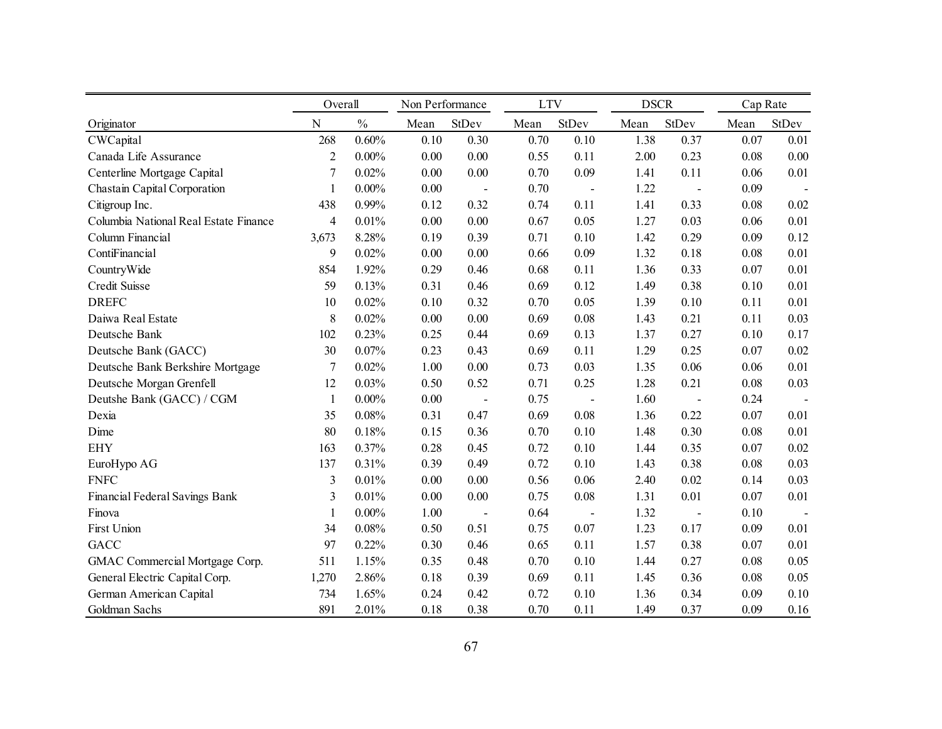|                                       | Overall        |               | Non Performance |                          | <b>LTV</b> |                | <b>DSCR</b> |                | Cap Rate |                   |
|---------------------------------------|----------------|---------------|-----------------|--------------------------|------------|----------------|-------------|----------------|----------|-------------------|
| Originator                            | $\mathbf N$    | $\frac{0}{0}$ | Mean            | <b>StDev</b>             | Mean       | StDev          | Mean        | <b>StDev</b>   | Mean     | StDev             |
| CWCapital                             | 268            | 0.60%         | 0.10            | 0.30                     | 0.70       | 0.10           | 1.38        | 0.37           | 0.07     | 0.01              |
| Canada Life Assurance                 | $\overline{c}$ | $0.00\%$      | 0.00            | $0.00\,$                 | 0.55       | 0.11           | 2.00        | 0.23           | 0.08     | 0.00              |
| Centerline Mortgage Capital           | $\overline{7}$ | 0.02%         | 0.00            | 0.00                     | 0.70       | 0.09           | 1.41        | 0.11           | 0.06     | 0.01              |
| Chastain Capital Corporation          | 1              | $0.00\%$      | 0.00            | $\overline{a}$           | 0.70       | $\blacksquare$ | 1.22        | $\overline{a}$ | 0.09     |                   |
| Citigroup Inc.                        | 438            | 0.99%         | 0.12            | 0.32                     | 0.74       | 0.11           | 1.41        | 0.33           | 0.08     | 0.02              |
| Columbia National Real Estate Finance | 4              | 0.01%         | 0.00            | 0.00                     | 0.67       | 0.05           | 1.27        | 0.03           | 0.06     | 0.01              |
| Column Financial                      | 3,673          | 8.28%         | 0.19            | 0.39                     | 0.71       | 0.10           | 1.42        | 0.29           | 0.09     | 0.12              |
| ContiFinancial                        | 9              | 0.02%         | 0.00            | 0.00                     | 0.66       | 0.09           | 1.32        | 0.18           | 0.08     | 0.01              |
| CountryWide                           | 854            | 1.92%         | 0.29            | 0.46                     | 0.68       | 0.11           | 1.36        | 0.33           | 0.07     | 0.01              |
| Credit Suisse                         | 59             | 0.13%         | 0.31            | 0.46                     | 0.69       | 0.12           | 1.49        | 0.38           | 0.10     | 0.01              |
| <b>DREFC</b>                          | 10             | 0.02%         | 0.10            | 0.32                     | 0.70       | 0.05           | 1.39        | 0.10           | 0.11     | 0.01              |
| Daiwa Real Estate                     | 8              | 0.02%         | 0.00            | 0.00                     | 0.69       | 0.08           | 1.43        | 0.21           | 0.11     | 0.03              |
| Deutsche Bank                         | 102            | 0.23%         | 0.25            | 0.44                     | 0.69       | 0.13           | 1.37        | 0.27           | 0.10     | 0.17              |
| Deutsche Bank (GACC)                  | 30             | 0.07%         | 0.23            | 0.43                     | 0.69       | 0.11           | 1.29        | 0.25           | 0.07     | 0.02              |
| Deutsche Bank Berkshire Mortgage      | 7              | 0.02%         | 1.00            | $0.00\,$                 | 0.73       | 0.03           | 1.35        | 0.06           | 0.06     | 0.01              |
| Deutsche Morgan Grenfell              | 12             | 0.03%         | 0.50            | 0.52                     | 0.71       | 0.25           | 1.28        | 0.21           | 0.08     | 0.03              |
| Deutshe Bank (GACC) / CGM             | $\mathbf{1}$   | $0.00\%$      | 0.00            | $\overline{a}$           | 0.75       |                | 1.60        | $\overline{a}$ | 0.24     |                   |
| Dexia                                 | 35             | 0.08%         | 0.31            | 0.47                     | 0.69       | 0.08           | 1.36        | 0.22           | 0.07     | 0.01              |
| Dime                                  | 80             | 0.18%         | 0.15            | 0.36                     | 0.70       | 0.10           | 1.48        | 0.30           | 0.08     | 0.01              |
| <b>EHY</b>                            | 163            | 0.37%         | 0.28            | 0.45                     | 0.72       | 0.10           | 1.44        | 0.35           | 0.07     | 0.02              |
| EuroHypo AG                           | 137            | 0.31%         | 0.39            | 0.49                     | 0.72       | 0.10           | 1.43        | 0.38           | 0.08     | 0.03              |
| <b>FNFC</b>                           | 3              | 0.01%         | 0.00            | $0.00\,$                 | 0.56       | 0.06           | 2.40        | 0.02           | 0.14     | 0.03              |
| Financial Federal Savings Bank        | 3              | 0.01%         | 0.00            | 0.00                     | 0.75       | 0.08           | 1.31        | 0.01           | 0.07     | 0.01              |
| Finova                                | 1              | $0.00\%$      | 1.00            | $\overline{\phantom{a}}$ | 0.64       | $\overline{a}$ | 1.32        | $\overline{a}$ | 0.10     | $\qquad \qquad -$ |
| First Union                           | 34             | 0.08%         | 0.50            | 0.51                     | 0.75       | 0.07           | 1.23        | 0.17           | 0.09     | 0.01              |
| <b>GACC</b>                           | 97             | 0.22%         | 0.30            | 0.46                     | 0.65       | 0.11           | 1.57        | 0.38           | 0.07     | 0.01              |
| GMAC Commercial Mortgage Corp.        | 511            | 1.15%         | 0.35            | 0.48                     | 0.70       | 0.10           | 1.44        | 0.27           | 0.08     | 0.05              |
| General Electric Capital Corp.        | 1,270          | 2.86%         | 0.18            | 0.39                     | 0.69       | 0.11           | 1.45        | 0.36           | 0.08     | 0.05              |
| German American Capital               | 734            | 1.65%         | 0.24            | 0.42                     | 0.72       | 0.10           | 1.36        | 0.34           | 0.09     | 0.10              |
| Goldman Sachs                         | 891            | 2.01%         | 0.18            | 0.38                     | 0.70       | 0.11           | 1.49        | 0.37           | 0.09     | 0.16              |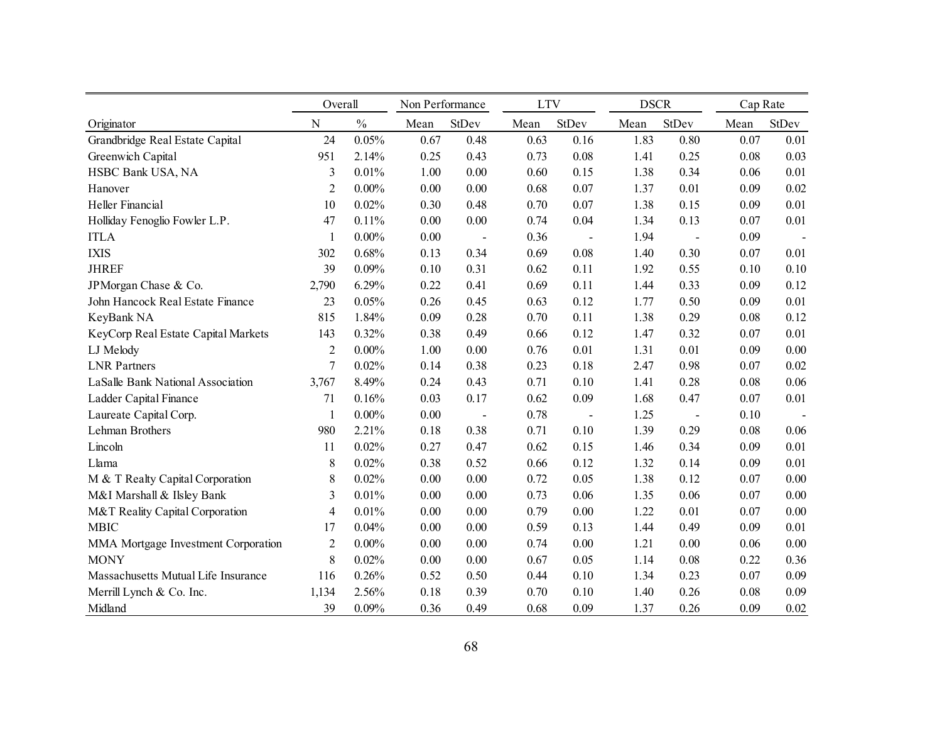|                                     | Overall        |               | Non Performance |                          | <b>LTV</b> |                          | <b>DSCR</b> |                | Cap Rate |                          |
|-------------------------------------|----------------|---------------|-----------------|--------------------------|------------|--------------------------|-------------|----------------|----------|--------------------------|
| Originator                          | $\mathbf N$    | $\frac{0}{0}$ | Mean            | StDev                    | Mean       | StDev                    | Mean        | StDev          | Mean     | StDev                    |
| Grandbridge Real Estate Capital     | 24             | 0.05%         | 0.67            | 0.48                     | 0.63       | 0.16                     | 1.83        | 0.80           | 0.07     | 0.01                     |
| Greenwich Capital                   | 951            | 2.14%         | 0.25            | 0.43                     | 0.73       | 0.08                     | 1.41        | 0.25           | 0.08     | 0.03                     |
| HSBC Bank USA, NA                   | 3              | 0.01%         | 1.00            | 0.00                     | 0.60       | 0.15                     | 1.38        | 0.34           | 0.06     | 0.01                     |
| Hanover                             | $\overline{2}$ | $0.00\%$      | 0.00            | 0.00                     | 0.68       | 0.07                     | 1.37        | 0.01           | 0.09     | 0.02                     |
| Heller Financial                    | 10             | 0.02%         | 0.30            | 0.48                     | 0.70       | 0.07                     | 1.38        | 0.15           | 0.09     | 0.01                     |
| Holliday Fenoglio Fowler L.P.       | 47             | 0.11%         | 0.00            | 0.00                     | 0.74       | 0.04                     | 1.34        | 0.13           | 0.07     | 0.01                     |
| <b>ITLA</b>                         | 1              | $0.00\%$      | 0.00            | $\overline{\phantom{a}}$ | 0.36       | $\overline{\phantom{a}}$ | 1.94        | $\overline{a}$ | 0.09     | $\overline{\phantom{a}}$ |
| <b>IXIS</b>                         | 302            | 0.68%         | 0.13            | 0.34                     | 0.69       | 0.08                     | 1.40        | 0.30           | 0.07     | 0.01                     |
| <b>JHREF</b>                        | 39             | 0.09%         | 0.10            | 0.31                     | 0.62       | 0.11                     | 1.92        | 0.55           | 0.10     | 0.10                     |
| JPMorgan Chase & Co.                | 2,790          | 6.29%         | 0.22            | 0.41                     | 0.69       | 0.11                     | 1.44        | 0.33           | 0.09     | 0.12                     |
| John Hancock Real Estate Finance    | 23             | 0.05%         | 0.26            | 0.45                     | 0.63       | 0.12                     | 1.77        | 0.50           | 0.09     | 0.01                     |
| KeyBank NA                          | 815            | 1.84%         | 0.09            | 0.28                     | 0.70       | 0.11                     | 1.38        | 0.29           | 0.08     | 0.12                     |
| KeyCorp Real Estate Capital Markets | 143            | 0.32%         | 0.38            | 0.49                     | 0.66       | 0.12                     | 1.47        | 0.32           | 0.07     | 0.01                     |
| LJ Melody                           | $\overline{2}$ | $0.00\%$      | 1.00            | 0.00                     | 0.76       | 0.01                     | 1.31        | 0.01           | 0.09     | 0.00                     |
| <b>LNR</b> Partners                 | 7              | 0.02%         | 0.14            | 0.38                     | 0.23       | 0.18                     | 2.47        | 0.98           | 0.07     | 0.02                     |
| LaSalle Bank National Association   | 3,767          | 8.49%         | 0.24            | 0.43                     | 0.71       | 0.10                     | 1.41        | 0.28           | 0.08     | 0.06                     |
| Ladder Capital Finance              | 71             | 0.16%         | 0.03            | 0.17                     | 0.62       | 0.09                     | 1.68        | 0.47           | 0.07     | 0.01                     |
| Laureate Capital Corp.              | $\mathbf{1}$   | $0.00\%$      | 0.00            | $\overline{\phantom{a}}$ | 0.78       | $\blacksquare$           | 1.25        | $\blacksquare$ | 0.10     |                          |
| Lehman Brothers                     | 980            | 2.21%         | 0.18            | 0.38                     | 0.71       | 0.10                     | 1.39        | 0.29           | 0.08     | 0.06                     |
| Lincoln                             | 11             | 0.02%         | 0.27            | 0.47                     | 0.62       | 0.15                     | 1.46        | 0.34           | 0.09     | 0.01                     |
| Llama                               | $\,$ 8 $\,$    | 0.02%         | 0.38            | 0.52                     | 0.66       | 0.12                     | 1.32        | 0.14           | 0.09     | 0.01                     |
| M & T Realty Capital Corporation    | 8              | 0.02%         | 0.00            | 0.00                     | 0.72       | 0.05                     | 1.38        | 0.12           | 0.07     | 0.00                     |
| M&I Marshall & Ilsley Bank          | 3              | 0.01%         | 0.00            | 0.00                     | 0.73       | 0.06                     | 1.35        | 0.06           | 0.07     | 0.00                     |
| M&T Reality Capital Corporation     | 4              | 0.01%         | 0.00            | 0.00                     | 0.79       | 0.00                     | 1.22        | 0.01           | 0.07     | 0.00                     |
| <b>MBIC</b>                         | 17             | 0.04%         | 0.00            | 0.00                     | 0.59       | 0.13                     | 1.44        | 0.49           | 0.09     | 0.01                     |
| MMA Mortgage Investment Corporation | 2              | $0.00\%$      | 0.00            | 0.00                     | 0.74       | 0.00                     | 1.21        | 0.00           | 0.06     | 0.00                     |
| <b>MONY</b>                         | $\,$ 8 $\,$    | 0.02%         | 0.00            | 0.00                     | 0.67       | 0.05                     | 1.14        | 0.08           | 0.22     | 0.36                     |
| Massachusetts Mutual Life Insurance | 116            | 0.26%         | 0.52            | 0.50                     | 0.44       | 0.10                     | 1.34        | 0.23           | 0.07     | 0.09                     |
| Merrill Lynch & Co. Inc.            | 1,134          | 2.56%         | 0.18            | 0.39                     | 0.70       | 0.10                     | 1.40        | 0.26           | 0.08     | 0.09                     |
| Midland                             | 39             | 0.09%         | 0.36            | 0.49                     | 0.68       | 0.09                     | 1.37        | 0.26           | 0.09     | 0.02                     |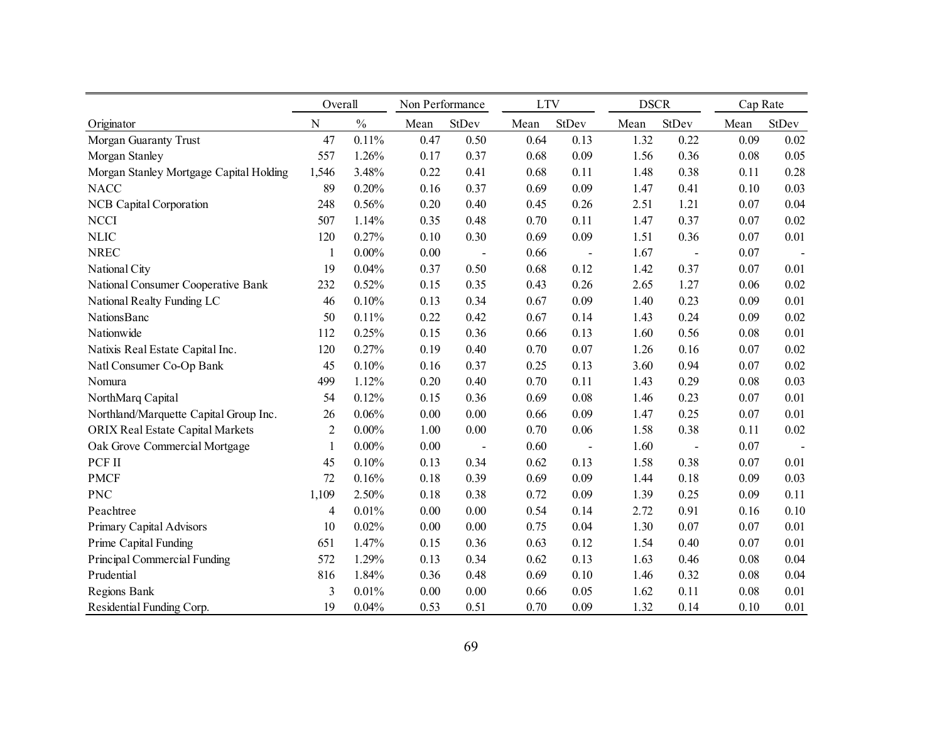|                                         | Overall                 |               |          | Non Performance |      | <b>LTV</b>               |      | <b>DSCR</b>    |      | Cap Rate |  |
|-----------------------------------------|-------------------------|---------------|----------|-----------------|------|--------------------------|------|----------------|------|----------|--|
| Originator                              | ${\bf N}$               | $\frac{0}{0}$ | Mean     | StDev           | Mean | StDev                    | Mean | StDev          | Mean | StDev    |  |
| Morgan Guaranty Trust                   | 47                      | 0.11%         | 0.47     | 0.50            | 0.64 | 0.13                     | 1.32 | 0.22           | 0.09 | 0.02     |  |
| Morgan Stanley                          | 557                     | 1.26%         | 0.17     | 0.37            | 0.68 | 0.09                     | 1.56 | 0.36           | 0.08 | 0.05     |  |
| Morgan Stanley Mortgage Capital Holding | 1,546                   | 3.48%         | 0.22     | 0.41            | 0.68 | 0.11                     | 1.48 | 0.38           | 0.11 | 0.28     |  |
| <b>NACC</b>                             | 89                      | 0.20%         | 0.16     | 0.37            | 0.69 | 0.09                     | 1.47 | 0.41           | 0.10 | 0.03     |  |
| <b>NCB Capital Corporation</b>          | 248                     | 0.56%         | 0.20     | 0.40            | 0.45 | 0.26                     | 2.51 | 1.21           | 0.07 | 0.04     |  |
| <b>NCCI</b>                             | 507                     | 1.14%         | 0.35     | 0.48            | 0.70 | 0.11                     | 1.47 | 0.37           | 0.07 | 0.02     |  |
| <b>NLIC</b>                             | 120                     | 0.27%         | $0.10\,$ | 0.30            | 0.69 | 0.09                     | 1.51 | 0.36           | 0.07 | 0.01     |  |
| <b>NREC</b>                             | $\mathbf{1}$            | $0.00\%$      | 0.00     | $\overline{a}$  | 0.66 | $\overline{a}$           | 1.67 | $\overline{a}$ | 0.07 |          |  |
| National City                           | 19                      | 0.04%         | 0.37     | 0.50            | 0.68 | 0.12                     | 1.42 | 0.37           | 0.07 | 0.01     |  |
| National Consumer Cooperative Bank      | 232                     | 0.52%         | 0.15     | 0.35            | 0.43 | 0.26                     | 2.65 | 1.27           | 0.06 | 0.02     |  |
| National Realty Funding LC              | 46                      | 0.10%         | 0.13     | 0.34            | 0.67 | 0.09                     | 1.40 | 0.23           | 0.09 | 0.01     |  |
| <b>NationsBanc</b>                      | 50                      | 0.11%         | 0.22     | 0.42            | 0.67 | 0.14                     | 1.43 | 0.24           | 0.09 | 0.02     |  |
| Nationwide                              | 112                     | 0.25%         | 0.15     | 0.36            | 0.66 | 0.13                     | 1.60 | 0.56           | 0.08 | 0.01     |  |
| Natixis Real Estate Capital Inc.        | 120                     | 0.27%         | 0.19     | 0.40            | 0.70 | 0.07                     | 1.26 | 0.16           | 0.07 | 0.02     |  |
| Natl Consumer Co-Op Bank                | 45                      | 0.10%         | 0.16     | 0.37            | 0.25 | 0.13                     | 3.60 | 0.94           | 0.07 | 0.02     |  |
| Nomura                                  | 499                     | 1.12%         | 0.20     | 0.40            | 0.70 | 0.11                     | 1.43 | 0.29           | 0.08 | 0.03     |  |
| NorthMarq Capital                       | 54                      | 0.12%         | 0.15     | 0.36            | 0.69 | 0.08                     | 1.46 | 0.23           | 0.07 | 0.01     |  |
| Northland/Marquette Capital Group Inc.  | 26                      | 0.06%         | 0.00     | 0.00            | 0.66 | 0.09                     | 1.47 | 0.25           | 0.07 | 0.01     |  |
| <b>ORIX Real Estate Capital Markets</b> | $\overline{2}$          | 0.00%         | 1.00     | 0.00            | 0.70 | 0.06                     | 1.58 | 0.38           | 0.11 | 0.02     |  |
| Oak Grove Commercial Mortgage           | 1                       | $0.00\%$      | 0.00     | $\overline{a}$  | 0.60 | $\overline{\phantom{a}}$ | 1.60 | $\overline{a}$ | 0.07 |          |  |
| PCF II                                  | 45                      | 0.10%         | 0.13     | 0.34            | 0.62 | 0.13                     | 1.58 | 0.38           | 0.07 | 0.01     |  |
| <b>PMCF</b>                             | 72                      | 0.16%         | 0.18     | 0.39            | 0.69 | 0.09                     | 1.44 | 0.18           | 0.09 | 0.03     |  |
| <b>PNC</b>                              | 1,109                   | 2.50%         | 0.18     | 0.38            | 0.72 | 0.09                     | 1.39 | 0.25           | 0.09 | 0.11     |  |
| Peachtree                               | $\overline{\mathbf{4}}$ | 0.01%         | 0.00     | 0.00            | 0.54 | 0.14                     | 2.72 | 0.91           | 0.16 | 0.10     |  |
| Primary Capital Advisors                | 10                      | 0.02%         | 0.00     | 0.00            | 0.75 | 0.04                     | 1.30 | 0.07           | 0.07 | 0.01     |  |
| Prime Capital Funding                   | 651                     | 1.47%         | 0.15     | 0.36            | 0.63 | 0.12                     | 1.54 | 0.40           | 0.07 | 0.01     |  |
| Principal Commercial Funding            | 572                     | 1.29%         | 0.13     | 0.34            | 0.62 | 0.13                     | 1.63 | 0.46           | 0.08 | 0.04     |  |
| Prudential                              | 816                     | 1.84%         | 0.36     | 0.48            | 0.69 | 0.10                     | 1.46 | 0.32           | 0.08 | 0.04     |  |
| Regions Bank                            | 3                       | 0.01%         | 0.00     | 0.00            | 0.66 | 0.05                     | 1.62 | 0.11           | 0.08 | 0.01     |  |
| Residential Funding Corp.               | 19                      | 0.04%         | 0.53     | 0.51            | 0.70 | 0.09                     | 1.32 | 0.14           | 0.10 | 0.01     |  |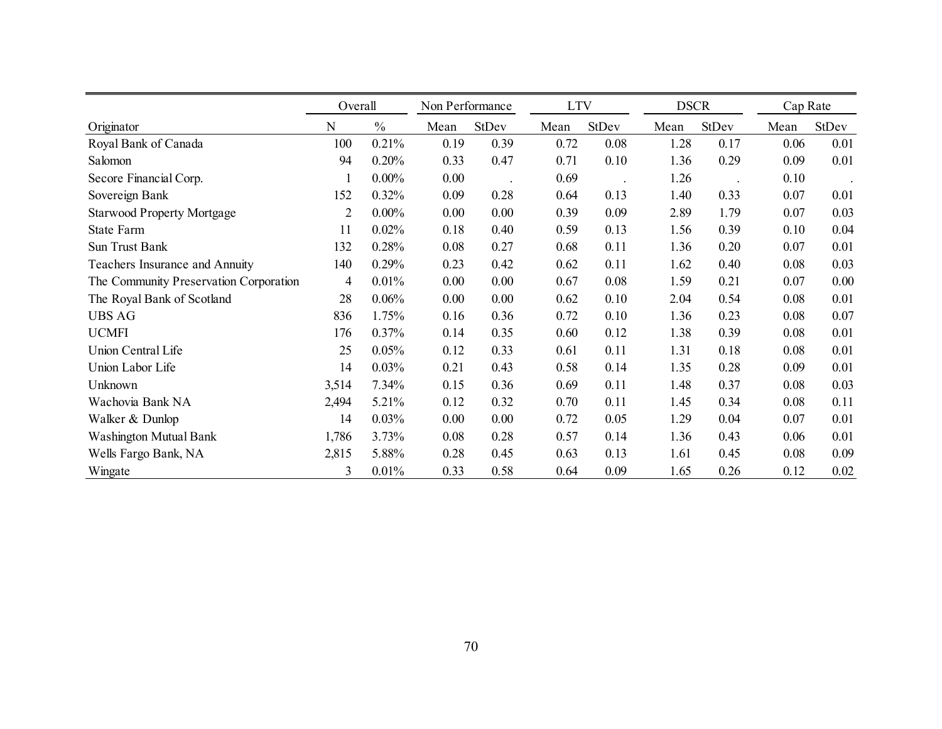|                                        | Overall        |               | Non Performance |       | <b>LTV</b> |       | <b>DSCR</b> |       | Cap Rate |       |
|----------------------------------------|----------------|---------------|-----------------|-------|------------|-------|-------------|-------|----------|-------|
| Originator                             | N              | $\frac{0}{0}$ | Mean            | StDev | Mean       | StDev | Mean        | StDev | Mean     | StDev |
| Royal Bank of Canada                   | 100            | 0.21%         | 0.19            | 0.39  | 0.72       | 0.08  | 1.28        | 0.17  | 0.06     | 0.01  |
| Salomon                                | 94             | 0.20%         | 0.33            | 0.47  | 0.71       | 0.10  | 1.36        | 0.29  | 0.09     | 0.01  |
| Secore Financial Corp.                 | 1              | $0.00\%$      | 0.00            |       | 0.69       |       | 1.26        |       | 0.10     |       |
| Sovereign Bank                         | 152            | 0.32%         | 0.09            | 0.28  | 0.64       | 0.13  | 1.40        | 0.33  | 0.07     | 0.01  |
| <b>Starwood Property Mortgage</b>      | $\overline{2}$ | $0.00\%$      | 0.00            | 0.00  | 0.39       | 0.09  | 2.89        | 1.79  | 0.07     | 0.03  |
| State Farm                             | 11             | 0.02%         | 0.18            | 0.40  | 0.59       | 0.13  | 1.56        | 0.39  | 0.10     | 0.04  |
| Sun Trust Bank                         | 132            | 0.28%         | 0.08            | 0.27  | 0.68       | 0.11  | 1.36        | 0.20  | 0.07     | 0.01  |
| Teachers Insurance and Annuity         | 140            | 0.29%         | 0.23            | 0.42  | 0.62       | 0.11  | 1.62        | 0.40  | 0.08     | 0.03  |
| The Community Preservation Corporation | 4              | 0.01%         | 0.00            | 0.00  | 0.67       | 0.08  | 1.59        | 0.21  | 0.07     | 0.00  |
| The Royal Bank of Scotland             | 28             | 0.06%         | 0.00            | 0.00  | 0.62       | 0.10  | 2.04        | 0.54  | 0.08     | 0.01  |
| <b>UBS AG</b>                          | 836            | 1.75%         | 0.16            | 0.36  | 0.72       | 0.10  | 1.36        | 0.23  | 0.08     | 0.07  |
| <b>UCMFI</b>                           | 176            | 0.37%         | 0.14            | 0.35  | 0.60       | 0.12  | 1.38        | 0.39  | 0.08     | 0.01  |
| Union Central Life                     | 25             | 0.05%         | 0.12            | 0.33  | 0.61       | 0.11  | 1.31        | 0.18  | 0.08     | 0.01  |
| Union Labor Life                       | 14             | 0.03%         | 0.21            | 0.43  | 0.58       | 0.14  | 1.35        | 0.28  | 0.09     | 0.01  |
| Unknown                                | 3,514          | 7.34%         | 0.15            | 0.36  | 0.69       | 0.11  | 1.48        | 0.37  | 0.08     | 0.03  |
| Wachovia Bank NA                       | 2,494          | 5.21%         | 0.12            | 0.32  | 0.70       | 0.11  | 1.45        | 0.34  | 0.08     | 0.11  |
| Walker & Dunlop                        | 14             | 0.03%         | 0.00            | 0.00  | 0.72       | 0.05  | 1.29        | 0.04  | 0.07     | 0.01  |
| <b>Washington Mutual Bank</b>          | 1,786          | 3.73%         | 0.08            | 0.28  | 0.57       | 0.14  | 1.36        | 0.43  | 0.06     | 0.01  |
| Wells Fargo Bank, NA                   | 2,815          | 5.88%         | 0.28            | 0.45  | 0.63       | 0.13  | 1.61        | 0.45  | 0.08     | 0.09  |
| Wingate                                | 3              | 0.01%         | 0.33            | 0.58  | 0.64       | 0.09  | 1.65        | 0.26  | 0.12     | 0.02  |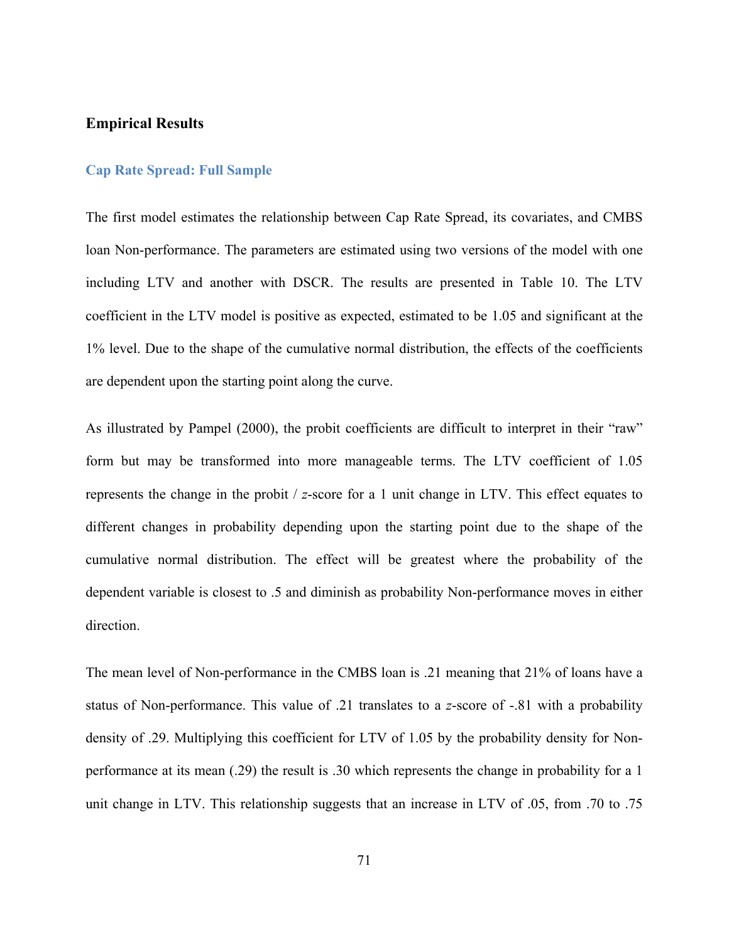#### **Empirical Results**

### **Cap Rate Spread: Full Sample**

The first model estimates the relationship between Cap Rate Spread, its covariates, and CMBS loan Non-performance. The parameters are estimated using two versions of the model with one including LTV and another with DSCR. The results are presented in Table 10. The LTV coefficient in the LTV model is positive as expected, estimated to be 1.05 and significant at the 1% level. Due to the shape of the cumulative normal distribution, the effects of the coefficients are dependent upon the starting point along the curve.

As illustrated by Pampel (2000), the probit coefficients are difficult to interpret in their "raw" form but may be transformed into more manageable terms. The LTV coefficient of 1.05 represents the change in the probit / *z*-score for a 1 unit change in LTV. This effect equates to different changes in probability depending upon the starting point due to the shape of the cumulative normal distribution. The effect will be greatest where the probability of the dependent variable is closest to .5 and diminish as probability Non-performance moves in either direction.

The mean level of Non-performance in the CMBS loan is .21 meaning that 21% of loans have a status of Non-performance. This value of .21 translates to a *z*-score of -.81 with a probability density of .29. Multiplying this coefficient for LTV of 1.05 by the probability density for Nonperformance at its mean (.29) the result is .30 which represents the change in probability for a 1 unit change in LTV. This relationship suggests that an increase in LTV of .05, from .70 to .75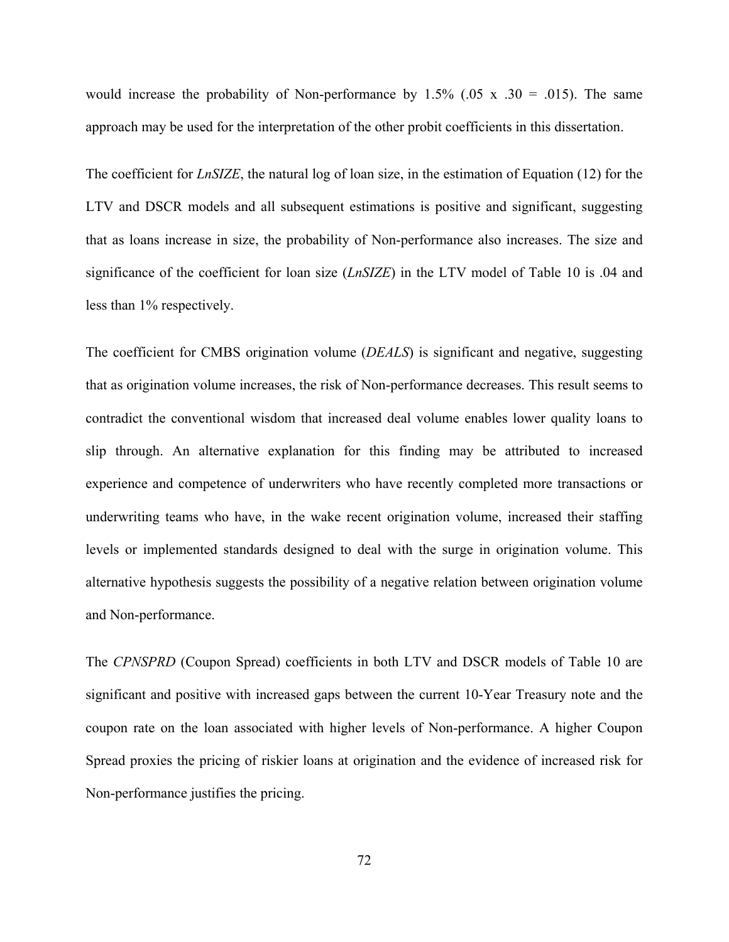would increase the probability of Non-performance by  $1.5\%$  (.05 x .30 = .015). The same approach may be used for the interpretation of the other probit coefficients in this dissertation.

The coefficient for *LnSIZE*, the natural log of loan size, in the estimation of Equation (12) for the LTV and DSCR models and all subsequent estimations is positive and significant, suggesting that as loans increase in size, the probability of Non-performance also increases. The size and significance of the coefficient for loan size (*LnSIZE*) in the LTV model of Table 10 is .04 and less than 1% respectively.

The coefficient for CMBS origination volume (*DEALS*) is significant and negative, suggesting that as origination volume increases, the risk of Non-performance decreases. This result seems to contradict the conventional wisdom that increased deal volume enables lower quality loans to slip through. An alternative explanation for this finding may be attributed to increased experience and competence of underwriters who have recently completed more transactions or underwriting teams who have, in the wake recent origination volume, increased their staffing levels or implemented standards designed to deal with the surge in origination volume. This alternative hypothesis suggests the possibility of a negative relation between origination volume and Non-performance.

The *CPNSPRD* (Coupon Spread) coefficients in both LTV and DSCR models of Table 10 are significant and positive with increased gaps between the current 10-Year Treasury note and the coupon rate on the loan associated with higher levels of Non-performance. A higher Coupon Spread proxies the pricing of riskier loans at origination and the evidence of increased risk for Non-performance justifies the pricing.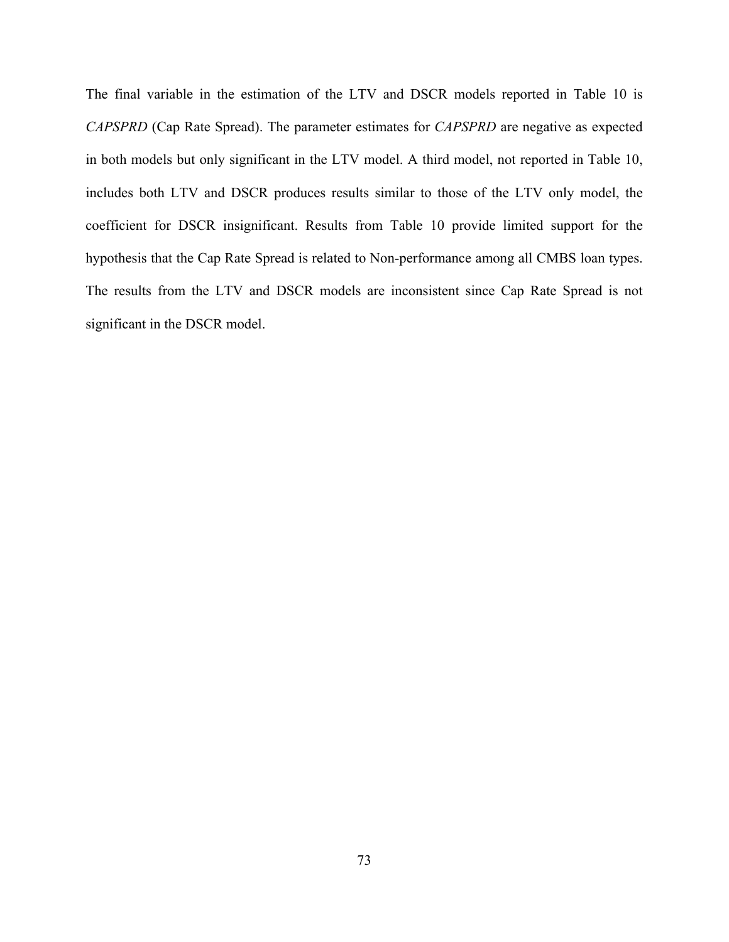The final variable in the estimation of the LTV and DSCR models reported in Table 10 is *CAPSPRD* (Cap Rate Spread). The parameter estimates for *CAPSPRD* are negative as expected in both models but only significant in the LTV model. A third model, not reported in Table 10, includes both LTV and DSCR produces results similar to those of the LTV only model, the coefficient for DSCR insignificant. Results from Table 10 provide limited support for the hypothesis that the Cap Rate Spread is related to Non-performance among all CMBS loan types. The results from the LTV and DSCR models are inconsistent since Cap Rate Spread is not significant in the DSCR model.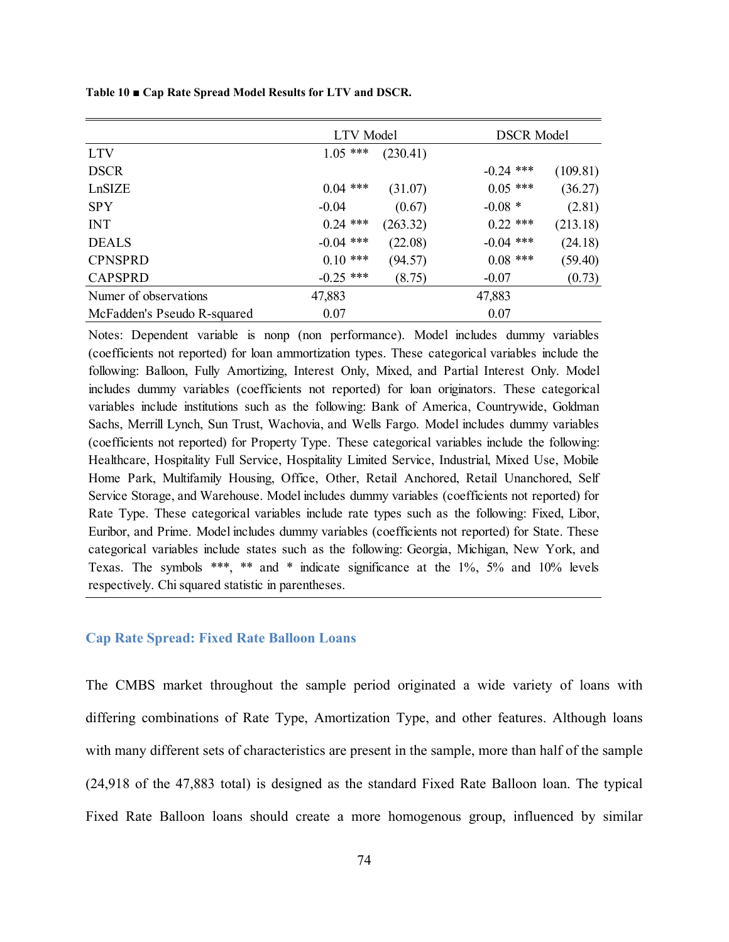**Table 10 ■ Cap Rate Spread Model Results for LTV and DSCR.** 

|                             | <b>LTV</b> Model |          | <b>DSCR Model</b> |          |  |
|-----------------------------|------------------|----------|-------------------|----------|--|
| <b>LTV</b>                  | $1.05$ ***       | (230.41) |                   |          |  |
| <b>DSCR</b>                 |                  |          | $-0.24$ ***       | (109.81) |  |
| LnSIZE                      | $0.04$ ***       | (31.07)  | $0.05$ ***        | (36.27)  |  |
| <b>SPY</b>                  | $-0.04$          | (0.67)   | $-0.08*$          | (2.81)   |  |
| <b>INT</b>                  | $0.24$ ***       | (263.32) | $0.22$ ***        | (213.18) |  |
| <b>DEALS</b>                | $-0.04$ ***      | (22.08)  | $-0.04$ ***       | (24.18)  |  |
| <b>CPNSPRD</b>              | $0.10$ ***       | (94.57)  | $0.08$ ***        | (59.40)  |  |
| <b>CAPSPRD</b>              | $-0.25$ ***      | (8.75)   | $-0.07$           | (0.73)   |  |
| Numer of observations       | 47,883           |          | 47,883            |          |  |
| McFadden's Pseudo R-squared | 0.07             |          | 0.07              |          |  |

Notes: Dependent variable is nonp (non performance). Model includes dummy variables (coefficients not reported) for loan ammortization types. These categorical variables include the following: Balloon, Fully Amortizing, Interest Only, Mixed, and Partial Interest Only. Model includes dummy variables (coefficients not reported) for loan originators. These categorical variables include institutions such as the following: Bank of America, Countrywide, Goldman Sachs, Merrill Lynch, Sun Trust, Wachovia, and Wells Fargo. Model includes dummy variables (coefficients not reported) for Property Type. These categorical variables include the following: Healthcare, Hospitality Full Service, Hospitality Limited Service, Industrial, Mixed Use, Mobile Home Park, Multifamily Housing, Office, Other, Retail Anchored, Retail Unanchored, Self Service Storage, and Warehouse. Model includes dummy variables (coefficients not reported) for Rate Type. These categorical variables include rate types such as the following: Fixed, Libor, Euribor, and Prime. Model includes dummy variables (coefficients not reported) for State. These categorical variables include states such as the following: Georgia, Michigan, New York, and Texas. The symbols \*\*\*, \*\* and \* indicate significance at the 1%, 5% and 10% levels respectively. Chi squared statistic in parentheses.

#### **Cap Rate Spread: Fixed Rate Balloon Loans**

The CMBS market throughout the sample period originated a wide variety of loans with differing combinations of Rate Type, Amortization Type, and other features. Although loans with many different sets of characteristics are present in the sample, more than half of the sample (24,918 of the 47,883 total) is designed as the standard Fixed Rate Balloon loan. The typical Fixed Rate Balloon loans should create a more homogenous group, influenced by similar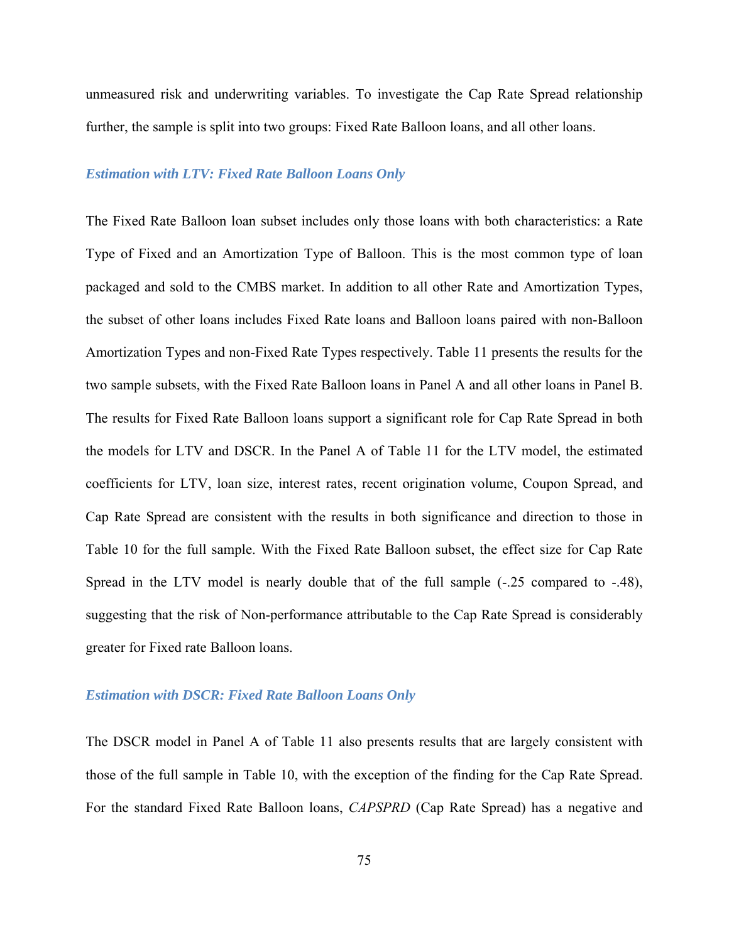unmeasured risk and underwriting variables. To investigate the Cap Rate Spread relationship further, the sample is split into two groups: Fixed Rate Balloon loans, and all other loans.

## *Estimation with LTV: Fixed Rate Balloon Loans Only*

The Fixed Rate Balloon loan subset includes only those loans with both characteristics: a Rate Type of Fixed and an Amortization Type of Balloon. This is the most common type of loan packaged and sold to the CMBS market. In addition to all other Rate and Amortization Types, the subset of other loans includes Fixed Rate loans and Balloon loans paired with non-Balloon Amortization Types and non-Fixed Rate Types respectively. Table 11 presents the results for the two sample subsets, with the Fixed Rate Balloon loans in Panel A and all other loans in Panel B. The results for Fixed Rate Balloon loans support a significant role for Cap Rate Spread in both the models for LTV and DSCR. In the Panel A of Table 11 for the LTV model, the estimated coefficients for LTV, loan size, interest rates, recent origination volume, Coupon Spread, and Cap Rate Spread are consistent with the results in both significance and direction to those in Table 10 for the full sample. With the Fixed Rate Balloon subset, the effect size for Cap Rate Spread in the LTV model is nearly double that of the full sample  $(-.25)$  compared to  $-0.48$ ), suggesting that the risk of Non-performance attributable to the Cap Rate Spread is considerably greater for Fixed rate Balloon loans.

## *Estimation with DSCR: Fixed Rate Balloon Loans Only*

The DSCR model in Panel A of Table 11 also presents results that are largely consistent with those of the full sample in Table 10, with the exception of the finding for the Cap Rate Spread. For the standard Fixed Rate Balloon loans, *CAPSPRD* (Cap Rate Spread) has a negative and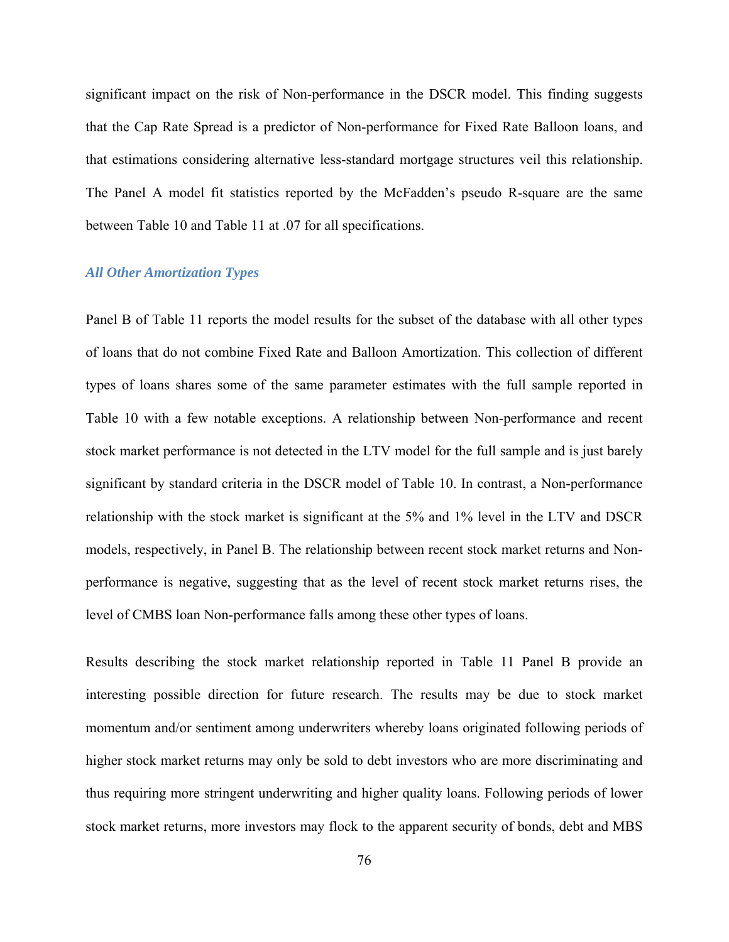significant impact on the risk of Non-performance in the DSCR model. This finding suggests that the Cap Rate Spread is a predictor of Non-performance for Fixed Rate Balloon loans, and that estimations considering alternative less-standard mortgage structures veil this relationship. The Panel A model fit statistics reported by the McFadden's pseudo R-square are the same between Table 10 and Table 11 at .07 for all specifications.

#### *All Other Amortization Types*

Panel B of Table 11 reports the model results for the subset of the database with all other types of loans that do not combine Fixed Rate and Balloon Amortization. This collection of different types of loans shares some of the same parameter estimates with the full sample reported in Table 10 with a few notable exceptions. A relationship between Non-performance and recent stock market performance is not detected in the LTV model for the full sample and is just barely significant by standard criteria in the DSCR model of Table 10. In contrast, a Non-performance relationship with the stock market is significant at the 5% and 1% level in the LTV and DSCR models, respectively, in Panel B. The relationship between recent stock market returns and Nonperformance is negative, suggesting that as the level of recent stock market returns rises, the level of CMBS loan Non-performance falls among these other types of loans.

Results describing the stock market relationship reported in Table 11 Panel B provide an interesting possible direction for future research. The results may be due to stock market momentum and/or sentiment among underwriters whereby loans originated following periods of higher stock market returns may only be sold to debt investors who are more discriminating and thus requiring more stringent underwriting and higher quality loans. Following periods of lower stock market returns, more investors may flock to the apparent security of bonds, debt and MBS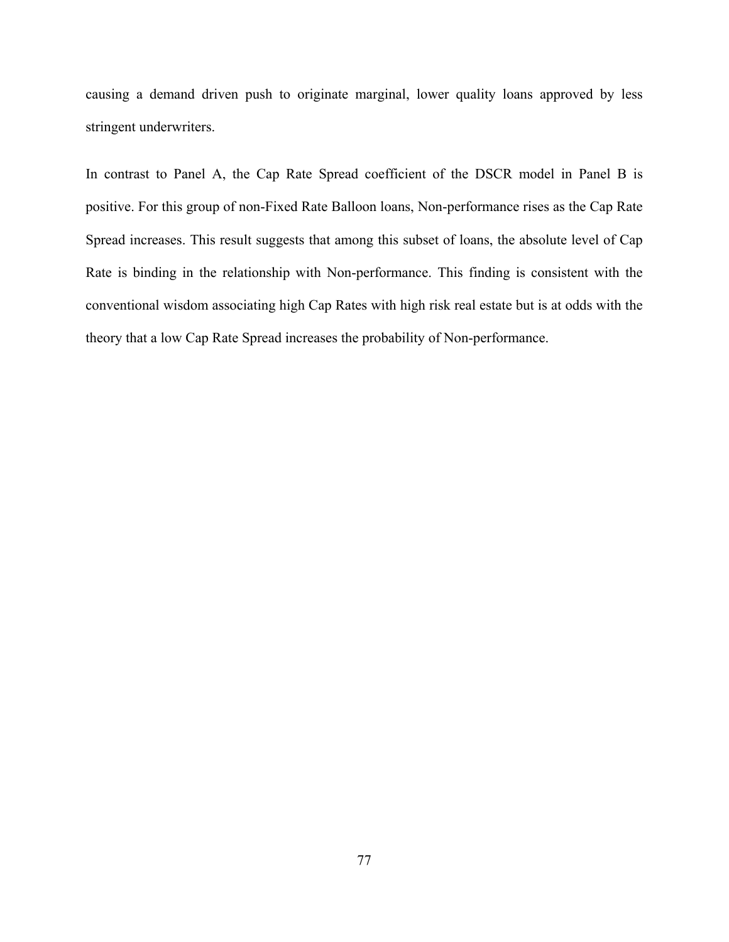causing a demand driven push to originate marginal, lower quality loans approved by less stringent underwriters.

In contrast to Panel A, the Cap Rate Spread coefficient of the DSCR model in Panel B is positive. For this group of non-Fixed Rate Balloon loans, Non-performance rises as the Cap Rate Spread increases. This result suggests that among this subset of loans, the absolute level of Cap Rate is binding in the relationship with Non-performance. This finding is consistent with the conventional wisdom associating high Cap Rates with high risk real estate but is at odds with the theory that a low Cap Rate Spread increases the probability of Non-performance.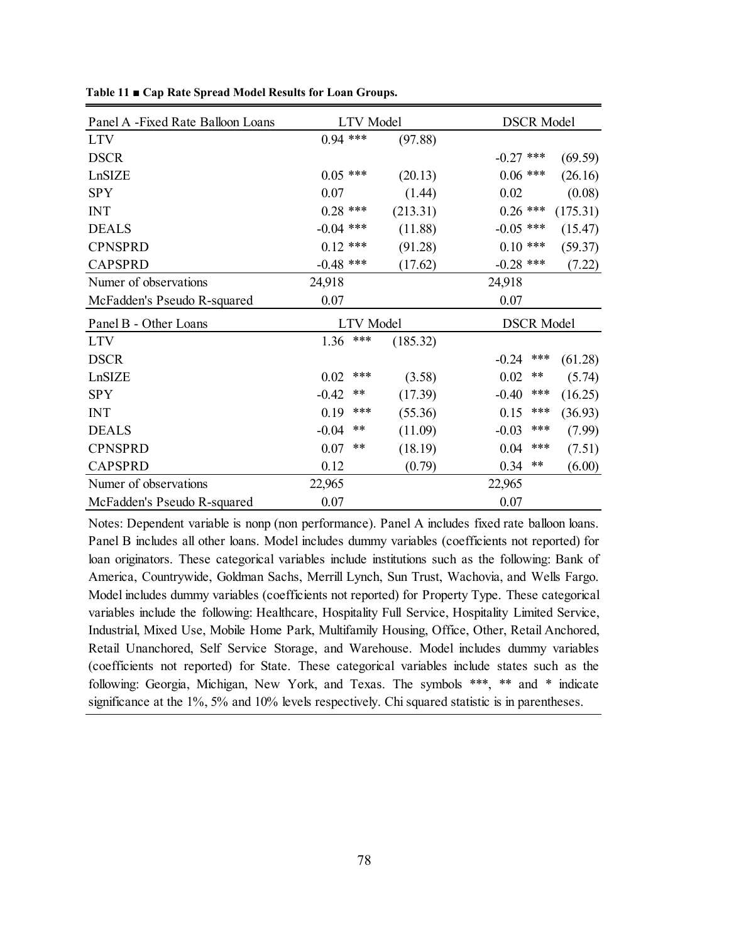| Panel A -Fixed Rate Balloon Loans | <b>LTV</b> Model |          | <b>DSCR Model</b>           |  |  |
|-----------------------------------|------------------|----------|-----------------------------|--|--|
| <b>LTV</b>                        | $0.94$ ***       | (97.88)  |                             |  |  |
| <b>DSCR</b>                       |                  |          | $-0.27$ ***<br>(69.59)      |  |  |
| LnSIZE                            | $0.05$ ***       | (20.13)  | $0.06$ ***<br>(26.16)       |  |  |
| <b>SPY</b>                        | 0.07             | (1.44)   | 0.02<br>(0.08)              |  |  |
| <b>INT</b>                        | $0.28$ ***       | (213.31) | $0.26$ ***<br>(175.31)      |  |  |
| <b>DEALS</b>                      | $-0.04$ ***      | (11.88)  | $-0.05$ ***<br>(15.47)      |  |  |
| <b>CPNSPRD</b>                    | $0.12$ ***       | (91.28)  | $0.10$ ***<br>(59.37)       |  |  |
| <b>CAPSPRD</b>                    | $-0.48$ ***      | (17.62)  | $-0.28$ ***<br>(7.22)       |  |  |
| Numer of observations             | 24,918           |          | 24,918                      |  |  |
| McFadden's Pseudo R-squared       | 0.07             |          | 0.07                        |  |  |
| Panel B - Other Loans             | <b>LTV</b> Model |          | <b>DSCR Model</b>           |  |  |
| <b>LTV</b>                        | ***<br>1.36      | (185.32) |                             |  |  |
| <b>DSCR</b>                       |                  |          | $***$<br>$-0.24$<br>(61.28) |  |  |
| LnSIZE                            | ***<br>0.02      | (3.58)   | 0.02<br>$***$<br>(5.74)     |  |  |
| <b>SPY</b>                        | $-0.42$<br>$***$ | (17.39)  | ***<br>$-0.40$<br>(16.25)   |  |  |
| <b>INT</b>                        | 0.19<br>***      | (55.36)  | ***<br>(36.93)<br>0.15      |  |  |
| <b>DEALS</b>                      | $-0.04$<br>$***$ | (11.09)  | ***<br>$-0.03$<br>(7.99)    |  |  |
| <b>CPNSPRD</b>                    | $***$<br>0.07    | (18.19)  | ***<br>0.04<br>(7.51)       |  |  |
| <b>CAPSPRD</b>                    | 0.12             | (0.79)   | $***$<br>0.34<br>(6.00)     |  |  |
| Numer of observations             | 22,965           |          | 22,965                      |  |  |
| McFadden's Pseudo R-squared       | 0.07             |          | 0.07                        |  |  |

**Table 11 ■ Cap Rate Spread Model Results for Loan Groups.** 

Notes: Dependent variable is nonp (non performance). Panel A includes fixed rate balloon loans. Panel B includes all other loans. Model includes dummy variables (coefficients not reported) for loan originators. These categorical variables include institutions such as the following: Bank of America, Countrywide, Goldman Sachs, Merrill Lynch, Sun Trust, Wachovia, and Wells Fargo. Model includes dummy variables (coefficients not reported) for Property Type. These categorical variables include the following: Healthcare, Hospitality Full Service, Hospitality Limited Service, Industrial, Mixed Use, Mobile Home Park, Multifamily Housing, Office, Other, Retail Anchored, Retail Unanchored, Self Service Storage, and Warehouse. Model includes dummy variables (coefficients not reported) for State. These categorical variables include states such as the following: Georgia, Michigan, New York, and Texas. The symbols \*\*\*, \*\* and \* indicate significance at the 1%, 5% and 10% levels respectively. Chi squared statistic is in parentheses.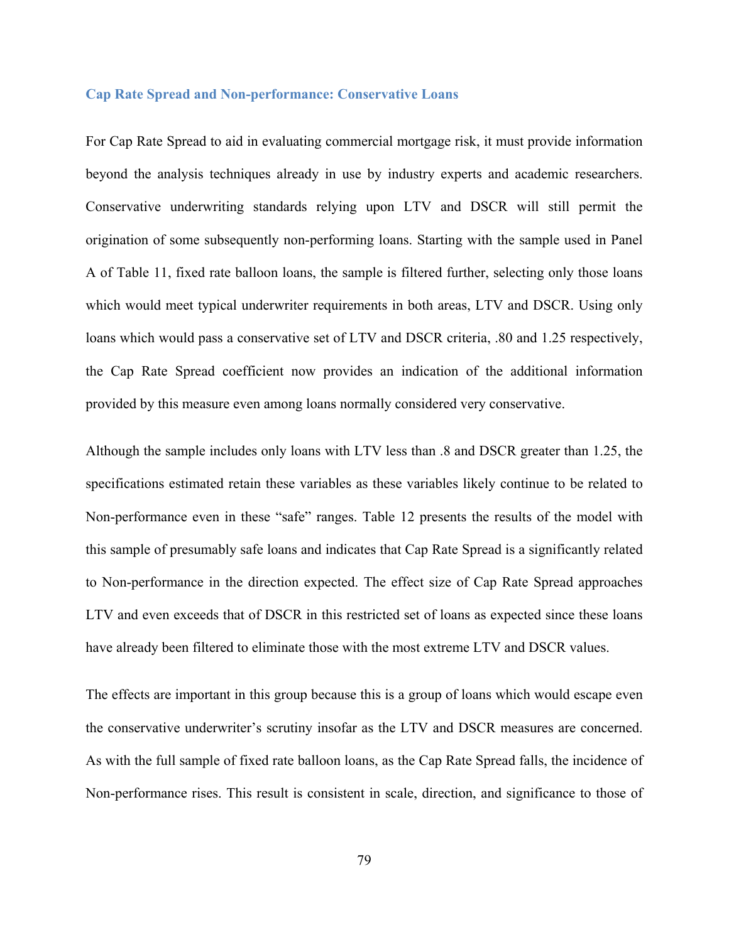#### **Cap Rate Spread and Non-performance: Conservative Loans**

For Cap Rate Spread to aid in evaluating commercial mortgage risk, it must provide information beyond the analysis techniques already in use by industry experts and academic researchers. Conservative underwriting standards relying upon LTV and DSCR will still permit the origination of some subsequently non-performing loans. Starting with the sample used in Panel A of Table 11, fixed rate balloon loans, the sample is filtered further, selecting only those loans which would meet typical underwriter requirements in both areas, LTV and DSCR. Using only loans which would pass a conservative set of LTV and DSCR criteria, .80 and 1.25 respectively, the Cap Rate Spread coefficient now provides an indication of the additional information provided by this measure even among loans normally considered very conservative.

Although the sample includes only loans with LTV less than .8 and DSCR greater than 1.25, the specifications estimated retain these variables as these variables likely continue to be related to Non-performance even in these "safe" ranges. Table 12 presents the results of the model with this sample of presumably safe loans and indicates that Cap Rate Spread is a significantly related to Non-performance in the direction expected. The effect size of Cap Rate Spread approaches LTV and even exceeds that of DSCR in this restricted set of loans as expected since these loans have already been filtered to eliminate those with the most extreme LTV and DSCR values.

The effects are important in this group because this is a group of loans which would escape even the conservative underwriter's scrutiny insofar as the LTV and DSCR measures are concerned. As with the full sample of fixed rate balloon loans, as the Cap Rate Spread falls, the incidence of Non-performance rises. This result is consistent in scale, direction, and significance to those of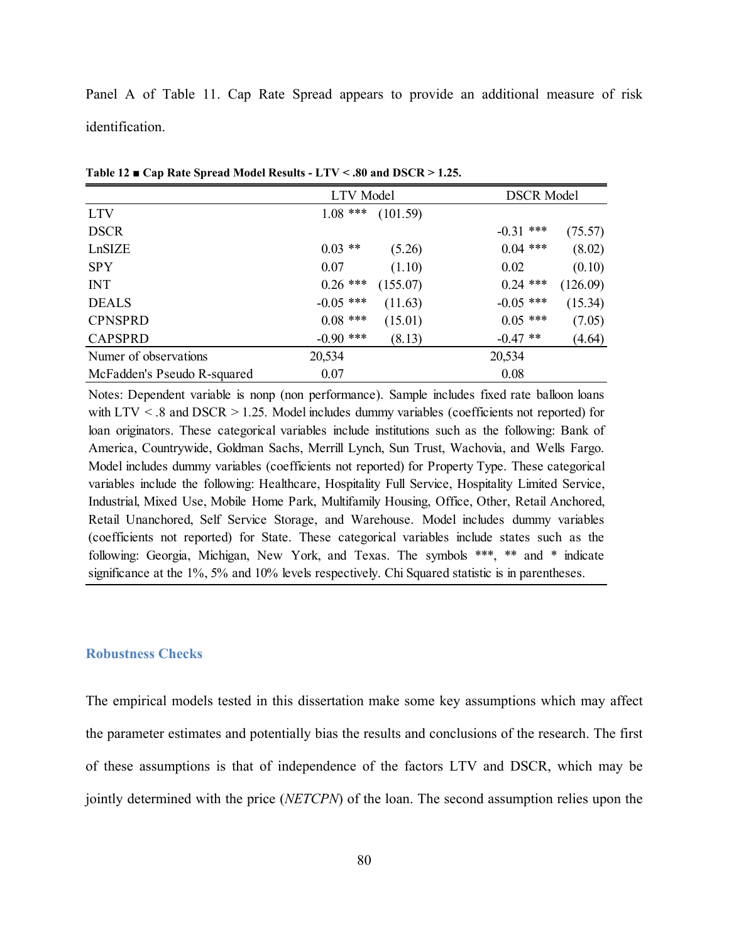Panel A of Table 11. Cap Rate Spread appears to provide an additional measure of risk identification.

|                             | LTV Model   |          |             | <b>DSCR Model</b> |  |  |
|-----------------------------|-------------|----------|-------------|-------------------|--|--|
| <b>LTV</b>                  | $1.08$ ***  | (101.59) |             |                   |  |  |
| <b>DSCR</b>                 |             |          | $-0.31$ *** | (75.57)           |  |  |
| LnSIZE                      | $0.03$ **   | (5.26)   | $0.04$ ***  | (8.02)            |  |  |
| <b>SPY</b>                  | 0.07        | (1.10)   | 0.02        | (0.10)            |  |  |
| <b>INT</b>                  | $0.26$ ***  | (155.07) | $0.24$ ***  | (126.09)          |  |  |
| <b>DEALS</b>                | $-0.05$ *** | (11.63)  | $-0.05$ *** | (15.34)           |  |  |
| <b>CPNSPRD</b>              | $0.08$ ***  | (15.01)  | $0.05$ ***  | (7.05)            |  |  |
| <b>CAPSPRD</b>              | $-0.90$ *** | (8.13)   | $-0.47$ **  | (4.64)            |  |  |
| Numer of observations       | 20,534      |          | 20,534      |                   |  |  |
| McFadden's Pseudo R-squared | 0.07        |          | 0.08        |                   |  |  |

**Table 12 ■ Cap Rate Spread Model Results - LTV < .80 and DSCR > 1.25.** 

Notes: Dependent variable is nonp (non performance). Sample includes fixed rate balloon loans with LTV < .8 and DSCR > 1.25. Model includes dummy variables (coefficients not reported) for loan originators. These categorical variables include institutions such as the following: Bank of America, Countrywide, Goldman Sachs, Merrill Lynch, Sun Trust, Wachovia, and Wells Fargo. Model includes dummy variables (coefficients not reported) for Property Type. These categorical variables include the following: Healthcare, Hospitality Full Service, Hospitality Limited Service, Industrial, Mixed Use, Mobile Home Park, Multifamily Housing, Office, Other, Retail Anchored, Retail Unanchored, Self Service Storage, and Warehouse. Model includes dummy variables (coefficients not reported) for State. These categorical variables include states such as the following: Georgia, Michigan, New York, and Texas. The symbols \*\*\*, \*\* and \* indicate significance at the 1%, 5% and 10% levels respectively. Chi Squared statistic is in parentheses.

#### **Robustness Checks**

The empirical models tested in this dissertation make some key assumptions which may affect the parameter estimates and potentially bias the results and conclusions of the research. The first of these assumptions is that of independence of the factors LTV and DSCR, which may be jointly determined with the price (*NETCPN*) of the loan. The second assumption relies upon the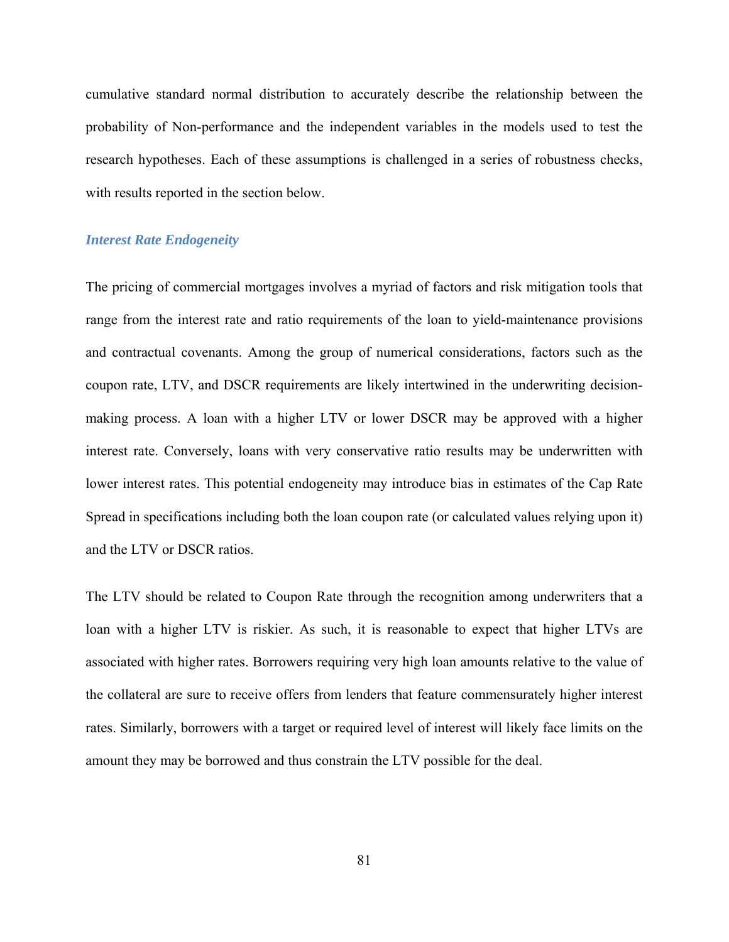cumulative standard normal distribution to accurately describe the relationship between the probability of Non-performance and the independent variables in the models used to test the research hypotheses. Each of these assumptions is challenged in a series of robustness checks, with results reported in the section below.

## *Interest Rate Endogeneity*

The pricing of commercial mortgages involves a myriad of factors and risk mitigation tools that range from the interest rate and ratio requirements of the loan to yield-maintenance provisions and contractual covenants. Among the group of numerical considerations, factors such as the coupon rate, LTV, and DSCR requirements are likely intertwined in the underwriting decisionmaking process. A loan with a higher LTV or lower DSCR may be approved with a higher interest rate. Conversely, loans with very conservative ratio results may be underwritten with lower interest rates. This potential endogeneity may introduce bias in estimates of the Cap Rate Spread in specifications including both the loan coupon rate (or calculated values relying upon it) and the LTV or DSCR ratios.

The LTV should be related to Coupon Rate through the recognition among underwriters that a loan with a higher LTV is riskier. As such, it is reasonable to expect that higher LTVs are associated with higher rates. Borrowers requiring very high loan amounts relative to the value of the collateral are sure to receive offers from lenders that feature commensurately higher interest rates. Similarly, borrowers with a target or required level of interest will likely face limits on the amount they may be borrowed and thus constrain the LTV possible for the deal.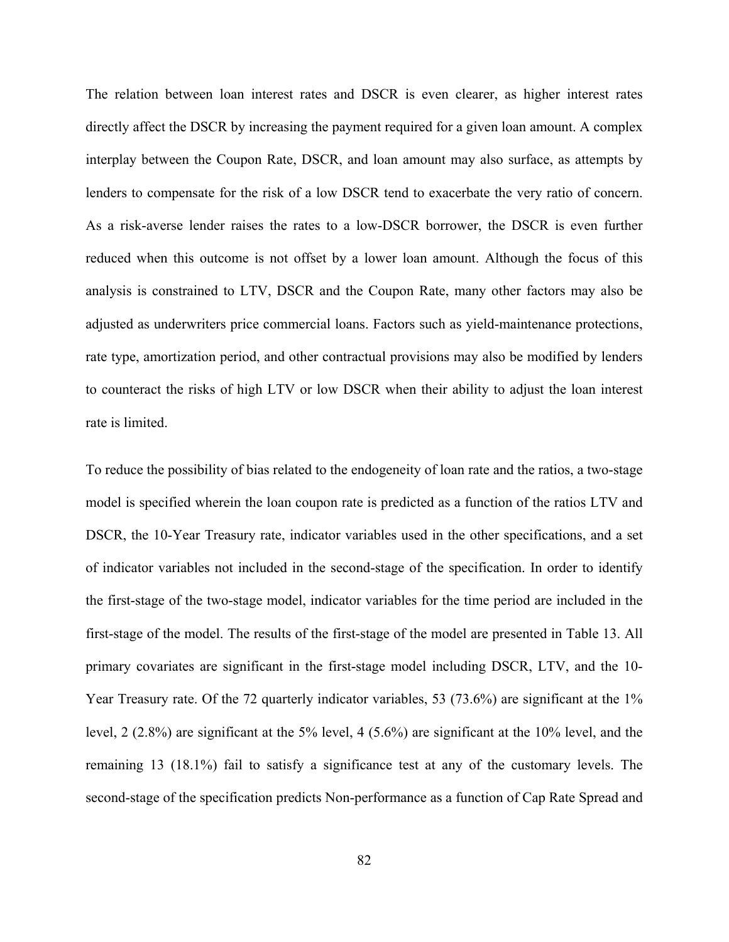The relation between loan interest rates and DSCR is even clearer, as higher interest rates directly affect the DSCR by increasing the payment required for a given loan amount. A complex interplay between the Coupon Rate, DSCR, and loan amount may also surface, as attempts by lenders to compensate for the risk of a low DSCR tend to exacerbate the very ratio of concern. As a risk-averse lender raises the rates to a low-DSCR borrower, the DSCR is even further reduced when this outcome is not offset by a lower loan amount. Although the focus of this analysis is constrained to LTV, DSCR and the Coupon Rate, many other factors may also be adjusted as underwriters price commercial loans. Factors such as yield-maintenance protections, rate type, amortization period, and other contractual provisions may also be modified by lenders to counteract the risks of high LTV or low DSCR when their ability to adjust the loan interest rate is limited.

To reduce the possibility of bias related to the endogeneity of loan rate and the ratios, a two-stage model is specified wherein the loan coupon rate is predicted as a function of the ratios LTV and DSCR, the 10-Year Treasury rate, indicator variables used in the other specifications, and a set of indicator variables not included in the second-stage of the specification. In order to identify the first-stage of the two-stage model, indicator variables for the time period are included in the first-stage of the model. The results of the first-stage of the model are presented in Table 13. All primary covariates are significant in the first-stage model including DSCR, LTV, and the 10- Year Treasury rate. Of the 72 quarterly indicator variables, 53 (73.6%) are significant at the 1% level, 2 (2.8%) are significant at the 5% level, 4 (5.6%) are significant at the 10% level, and the remaining 13 (18.1%) fail to satisfy a significance test at any of the customary levels. The second-stage of the specification predicts Non-performance as a function of Cap Rate Spread and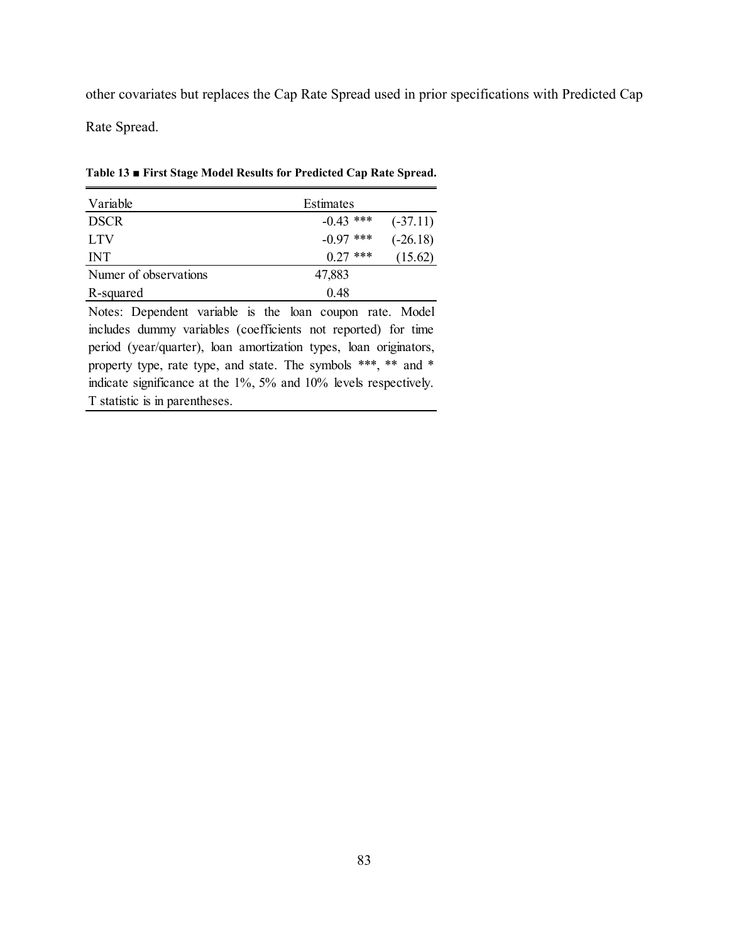other covariates but replaces the Cap Rate Spread used in prior specifications with Predicted Cap Rate Spread.

Variable **Estimates** DSCR -0.43 \*\*\* (-37.11) LTV  $-0.97$  \*\*\*  $(-26.18)$ INT  $0.27$  \*\*\*  $(15.62)$ Numer of observations 47,883 R-squared 0.48

**Table 13 ■ First Stage Model Results for Predicted Cap Rate Spread.** 

Notes: Dependent variable is the loan coupon rate. Model includes dummy variables (coefficients not reported) for time period (year/quarter), loan amortization types, loan originators, property type, rate type, and state. The symbols \*\*\*, \*\* and \* indicate significance at the 1%, 5% and 10% levels respectively. T statistic is in parentheses.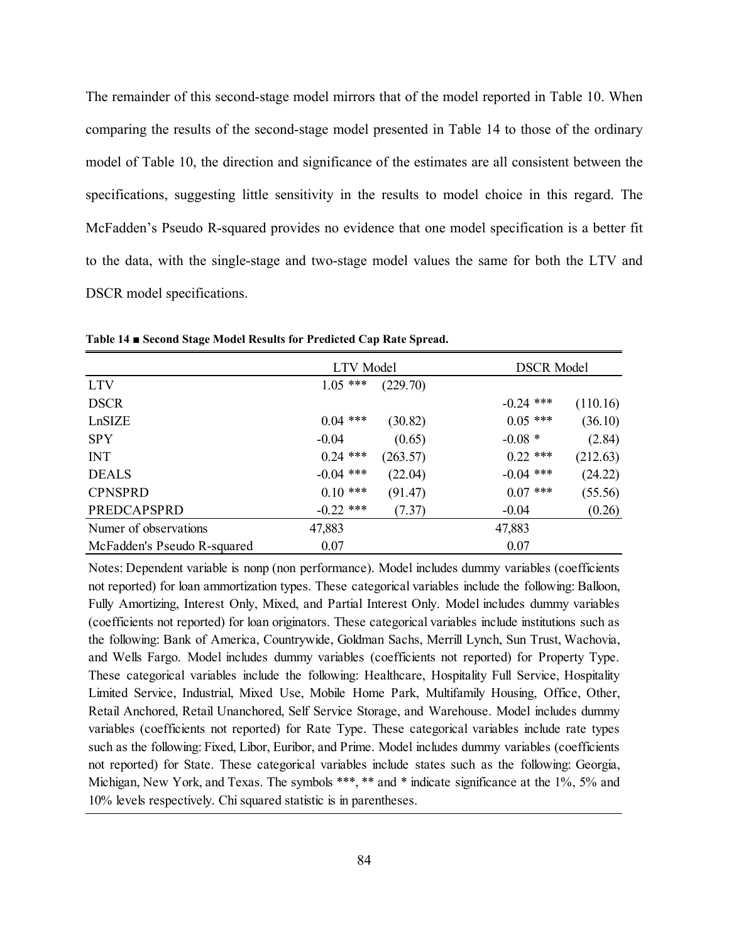The remainder of this second-stage model mirrors that of the model reported in Table 10. When comparing the results of the second-stage model presented in Table 14 to those of the ordinary model of Table 10, the direction and significance of the estimates are all consistent between the specifications, suggesting little sensitivity in the results to model choice in this regard. The McFadden's Pseudo R-squared provides no evidence that one model specification is a better fit to the data, with the single-stage and two-stage model values the same for both the LTV and DSCR model specifications.

|                             | LTV Model   |          | <b>DSCR</b> Model |          |  |
|-----------------------------|-------------|----------|-------------------|----------|--|
| <b>LTV</b>                  | $1.05$ ***  | (229.70) |                   |          |  |
| <b>DSCR</b>                 |             |          | $-0.24$ ***       | (110.16) |  |
| LnSIZE                      | $0.04$ ***  | (30.82)  | $0.05$ ***        | (36.10)  |  |
| <b>SPY</b>                  | $-0.04$     | (0.65)   | $-0.08 *$         | (2.84)   |  |
| <b>INT</b>                  | $0.24$ ***  | (263.57) | $0.22$ ***        | (212.63) |  |
| <b>DEALS</b>                | $-0.04$ *** | (22.04)  | $-0.04$ ***       | (24.22)  |  |
| <b>CPNSPRD</b>              | $0.10$ ***  | (91.47)  | $0.07$ ***        | (55.56)  |  |
| PREDCAPSPRD                 | $-0.22$ *** | (7.37)   | $-0.04$           | (0.26)   |  |
| Numer of observations       | 47,883      |          | 47,883            |          |  |
| McFadden's Pseudo R-squared | 0.07        |          | 0.07              |          |  |

**Table 14 ■ Second Stage Model Results for Predicted Cap Rate Spread.** 

Notes: Dependent variable is nonp (non performance). Model includes dummy variables (coefficients not reported) for loan ammortization types. These categorical variables include the following: Balloon, Fully Amortizing, Interest Only, Mixed, and Partial Interest Only. Model includes dummy variables (coefficients not reported) for loan originators. These categorical variables include institutions such as the following: Bank of America, Countrywide, Goldman Sachs, Merrill Lynch, Sun Trust, Wachovia, and Wells Fargo. Model includes dummy variables (coefficients not reported) for Property Type. These categorical variables include the following: Healthcare, Hospitality Full Service, Hospitality Limited Service, Industrial, Mixed Use, Mobile Home Park, Multifamily Housing, Office, Other, Retail Anchored, Retail Unanchored, Self Service Storage, and Warehouse. Model includes dummy variables (coefficients not reported) for Rate Type. These categorical variables include rate types such as the following: Fixed, Libor, Euribor, and Prime. Model includes dummy variables (coefficients not reported) for State. These categorical variables include states such as the following: Georgia, Michigan, New York, and Texas. The symbols \*\*\*, \*\* and \* indicate significance at the 1%, 5% and 10% levels respectively. Chi squared statistic is in parentheses.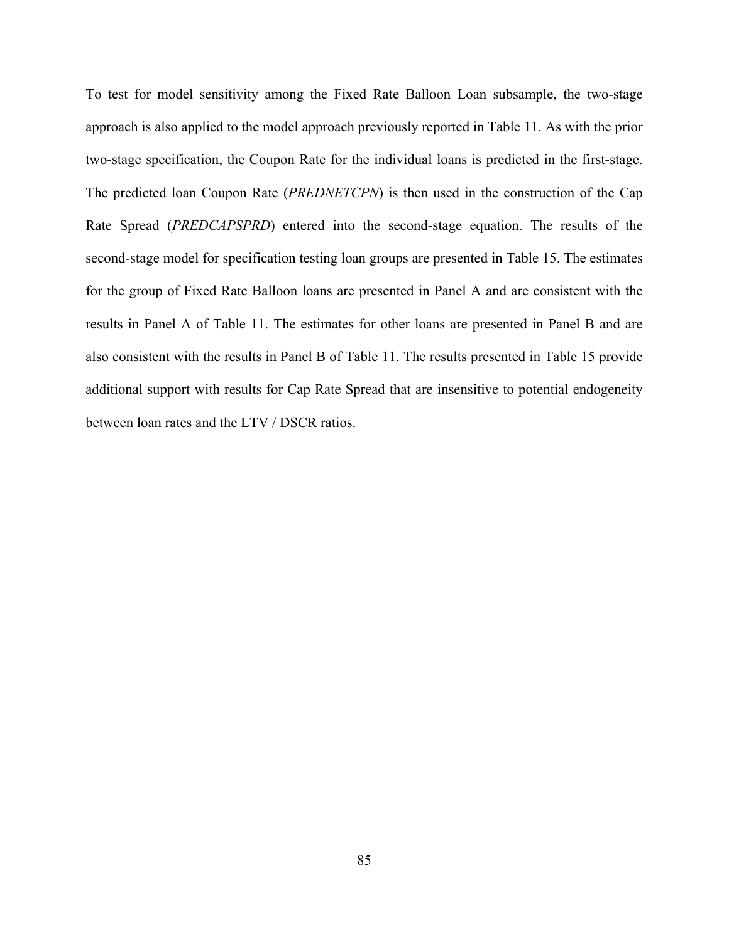To test for model sensitivity among the Fixed Rate Balloon Loan subsample, the two-stage approach is also applied to the model approach previously reported in Table 11. As with the prior two-stage specification, the Coupon Rate for the individual loans is predicted in the first-stage. The predicted loan Coupon Rate (*PREDNETCPN*) is then used in the construction of the Cap Rate Spread (*PREDCAPSPRD*) entered into the second-stage equation. The results of the second-stage model for specification testing loan groups are presented in Table 15. The estimates for the group of Fixed Rate Balloon loans are presented in Panel A and are consistent with the results in Panel A of Table 11. The estimates for other loans are presented in Panel B and are also consistent with the results in Panel B of Table 11. The results presented in Table 15 provide additional support with results for Cap Rate Spread that are insensitive to potential endogeneity between loan rates and the LTV / DSCR ratios.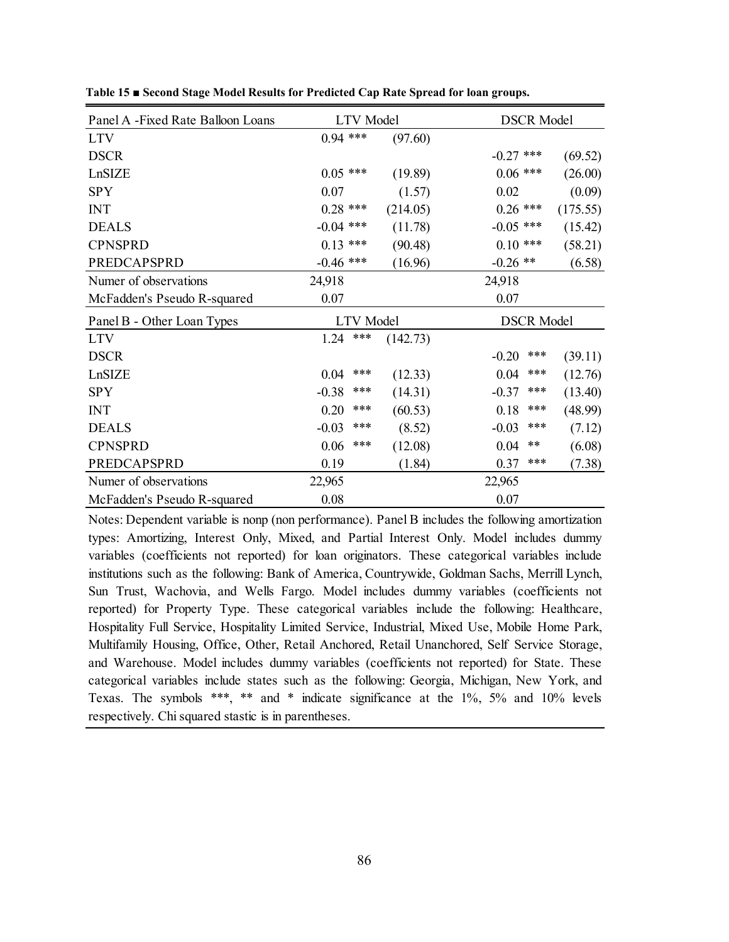| Panel A -Fixed Rate Balloon Loans | <b>LTV</b> Model |          | <b>DSCR Model</b> |          |  |
|-----------------------------------|------------------|----------|-------------------|----------|--|
| <b>LTV</b>                        | $0.94$ ***       | (97.60)  |                   |          |  |
| <b>DSCR</b>                       |                  |          | $-0.27$ ***       | (69.52)  |  |
| LnSIZE                            | $0.05$ ***       | (19.89)  | $0.06$ ***        | (26.00)  |  |
| <b>SPY</b>                        | 0.07             | (1.57)   | 0.02              | (0.09)   |  |
| <b>INT</b>                        | $0.28$ ***       | (214.05) | $0.26$ ***        | (175.55) |  |
| <b>DEALS</b>                      | $-0.04$ ***      | (11.78)  | $-0.05$ ***       | (15.42)  |  |
| <b>CPNSPRD</b>                    | $0.13$ ***       | (90.48)  | $0.10$ ***        | (58.21)  |  |
| <b>PREDCAPSPRD</b>                | $-0.46$ ***      | (16.96)  | $-0.26$ **        | (6.58)   |  |
| Numer of observations             | 24,918           |          | 24,918            |          |  |
| McFadden's Pseudo R-squared       | 0.07             |          | 0.07              |          |  |
| Panel B - Other Loan Types        | <b>LTV</b> Model |          | <b>DSCR Model</b> |          |  |
| <b>LTV</b>                        | ***<br>1.24      | (142.73) |                   |          |  |
| <b>DSCR</b>                       |                  |          | ***<br>$-0.20$    | (39.11)  |  |
| LnSIZE                            | ***<br>0.04      | (12.33)  | ***<br>0.04       | (12.76)  |  |
| <b>SPY</b>                        | $-0.38$<br>***   | (14.31)  | ***<br>$-0.37$    | (13.40)  |  |
| <b>INT</b>                        | ***<br>0.20      | (60.53)  | ***<br>0.18       | (48.99)  |  |
| <b>DEALS</b>                      | ***<br>$-0.03$   | (8.52)   | ***<br>$-0.03$    | (7.12)   |  |
| <b>CPNSPRD</b>                    | ***<br>0.06      | (12.08)  | $***$<br>0.04     | (6.08)   |  |
| <b>PREDCAPSPRD</b>                | 0.19             | (1.84)   | ***<br>0.37       | (7.38)   |  |
| Numer of observations             | 22,965           |          | 22,965            |          |  |
| McFadden's Pseudo R-squared       |                  |          |                   |          |  |

**Table 15 ■ Second Stage Model Results for Predicted Cap Rate Spread for loan groups.** 

Notes: Dependent variable is nonp (non performance). Panel B includes the following amortization types: Amortizing, Interest Only, Mixed, and Partial Interest Only. Model includes dummy variables (coefficients not reported) for loan originators. These categorical variables include institutions such as the following: Bank of America, Countrywide, Goldman Sachs, Merrill Lynch, Sun Trust, Wachovia, and Wells Fargo. Model includes dummy variables (coefficients not reported) for Property Type. These categorical variables include the following: Healthcare, Hospitality Full Service, Hospitality Limited Service, Industrial, Mixed Use, Mobile Home Park, Multifamily Housing, Office, Other, Retail Anchored, Retail Unanchored, Self Service Storage, and Warehouse. Model includes dummy variables (coefficients not reported) for State. These categorical variables include states such as the following: Georgia, Michigan, New York, and Texas. The symbols \*\*\*, \*\* and \* indicate significance at the 1%, 5% and 10% levels respectively. Chi squared stastic is in parentheses.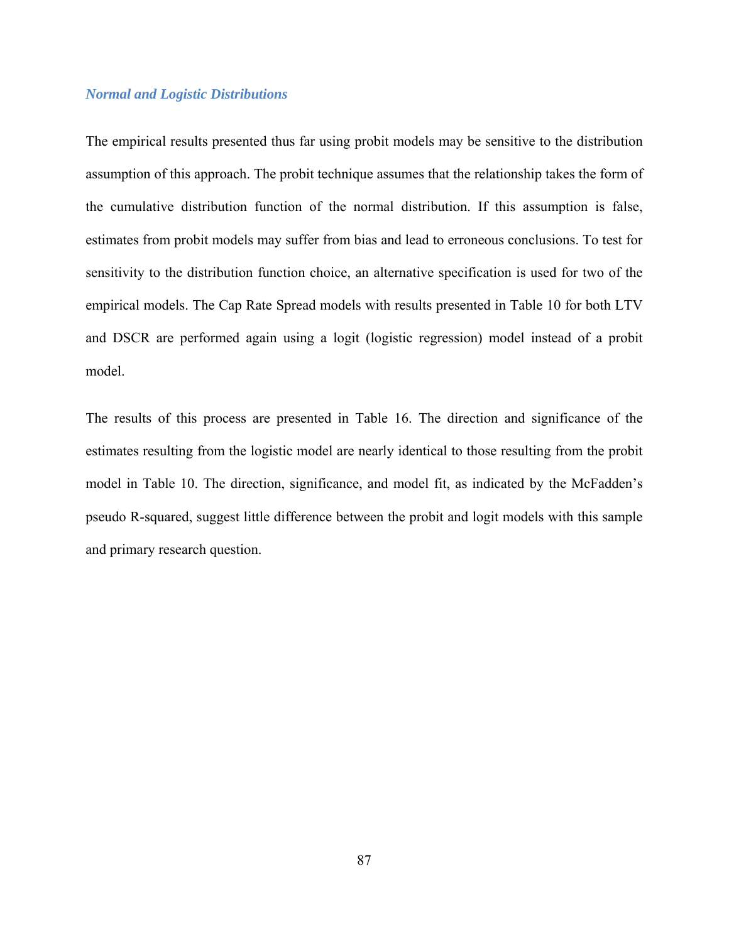## *Normal and Logistic Distributions*

The empirical results presented thus far using probit models may be sensitive to the distribution assumption of this approach. The probit technique assumes that the relationship takes the form of the cumulative distribution function of the normal distribution. If this assumption is false, estimates from probit models may suffer from bias and lead to erroneous conclusions. To test for sensitivity to the distribution function choice, an alternative specification is used for two of the empirical models. The Cap Rate Spread models with results presented in Table 10 for both LTV and DSCR are performed again using a logit (logistic regression) model instead of a probit model.

The results of this process are presented in Table 16. The direction and significance of the estimates resulting from the logistic model are nearly identical to those resulting from the probit model in Table 10. The direction, significance, and model fit, as indicated by the McFadden's pseudo R-squared, suggest little difference between the probit and logit models with this sample and primary research question.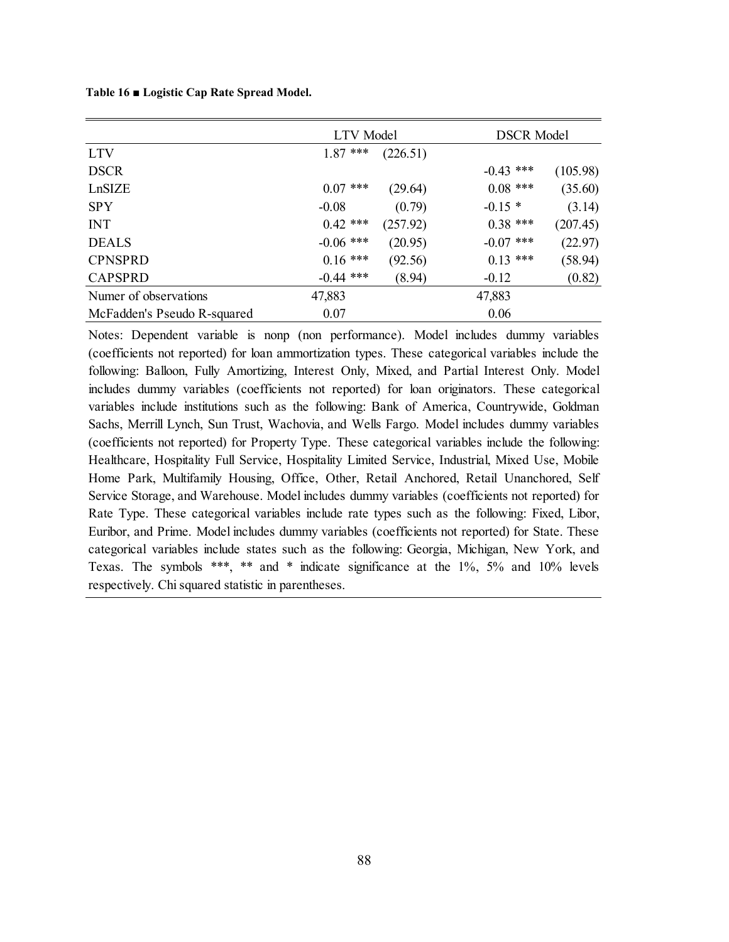**Table 16 ■ Logistic Cap Rate Spread Model.** 

|                             | <b>LTV</b> Model |          | <b>DSCR Model</b> |          |  |
|-----------------------------|------------------|----------|-------------------|----------|--|
| <b>LTV</b>                  | $1.87$ ***       | (226.51) |                   |          |  |
| <b>DSCR</b>                 |                  |          | $-0.43$ ***       | (105.98) |  |
| LnSIZE                      | $0.07$ ***       | (29.64)  | $0.08$ ***        | (35.60)  |  |
| <b>SPY</b>                  | $-0.08$          | (0.79)   | $-0.15*$          | (3.14)   |  |
| <b>INT</b>                  | $0.42$ ***       | (257.92) | $0.38$ ***        | (207.45) |  |
| <b>DEALS</b>                | $-0.06$ ***      | (20.95)  | $-0.07$ ***       | (22.97)  |  |
| <b>CPNSPRD</b>              | $0.16$ ***       | (92.56)  | $0.13$ ***        | (58.94)  |  |
| <b>CAPSPRD</b>              | $-0.44$ ***      | (8.94)   | $-0.12$           | (0.82)   |  |
| Numer of observations       | 47,883           |          | 47,883            |          |  |
| McFadden's Pseudo R-squared | 0.07             |          | 0.06              |          |  |

Notes: Dependent variable is nonp (non performance). Model includes dummy variables (coefficients not reported) for loan ammortization types. These categorical variables include the following: Balloon, Fully Amortizing, Interest Only, Mixed, and Partial Interest Only. Model includes dummy variables (coefficients not reported) for loan originators. These categorical variables include institutions such as the following: Bank of America, Countrywide, Goldman Sachs, Merrill Lynch, Sun Trust, Wachovia, and Wells Fargo. Model includes dummy variables (coefficients not reported) for Property Type. These categorical variables include the following: Healthcare, Hospitality Full Service, Hospitality Limited Service, Industrial, Mixed Use, Mobile Home Park, Multifamily Housing, Office, Other, Retail Anchored, Retail Unanchored, Self Service Storage, and Warehouse. Model includes dummy variables (coefficients not reported) for Rate Type. These categorical variables include rate types such as the following: Fixed, Libor, Euribor, and Prime. Model includes dummy variables (coefficients not reported) for State. These categorical variables include states such as the following: Georgia, Michigan, New York, and Texas. The symbols \*\*\*, \*\* and \* indicate significance at the 1%, 5% and 10% levels respectively. Chi squared statistic in parentheses.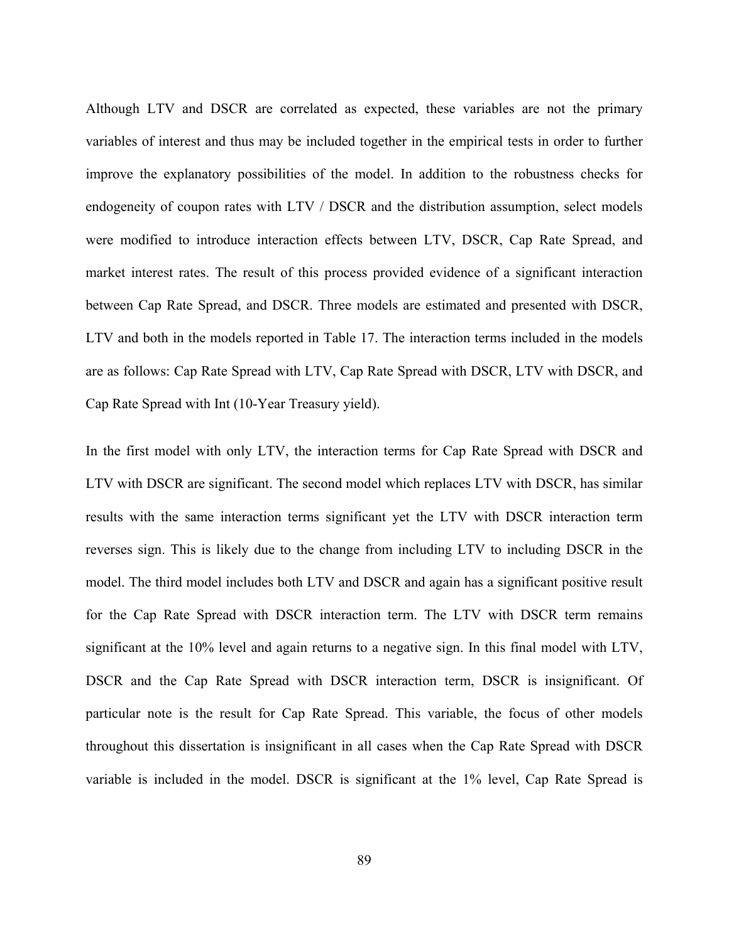Although LTV and DSCR are correlated as expected, these variables are not the primary variables of interest and thus may be included together in the empirical tests in order to further improve the explanatory possibilities of the model. In addition to the robustness checks for endogeneity of coupon rates with LTV / DSCR and the distribution assumption, select models were modified to introduce interaction effects between LTV, DSCR, Cap Rate Spread, and market interest rates. The result of this process provided evidence of a significant interaction between Cap Rate Spread, and DSCR. Three models are estimated and presented with DSCR, LTV and both in the models reported in Table 17. The interaction terms included in the models are as follows: Cap Rate Spread with LTV, Cap Rate Spread with DSCR, LTV with DSCR, and Cap Rate Spread with Int (10-Year Treasury yield).

In the first model with only LTV, the interaction terms for Cap Rate Spread with DSCR and LTV with DSCR are significant. The second model which replaces LTV with DSCR, has similar results with the same interaction terms significant yet the LTV with DSCR interaction term reverses sign. This is likely due to the change from including LTV to including DSCR in the model. The third model includes both LTV and DSCR and again has a significant positive result for the Cap Rate Spread with DSCR interaction term. The LTV with DSCR term remains significant at the 10% level and again returns to a negative sign. In this final model with LTV, DSCR and the Cap Rate Spread with DSCR interaction term, DSCR is insignificant. Of particular note is the result for Cap Rate Spread. This variable, the focus of other models throughout this dissertation is insignificant in all cases when the Cap Rate Spread with DSCR variable is included in the model. DSCR is significant at the 1% level, Cap Rate Spread is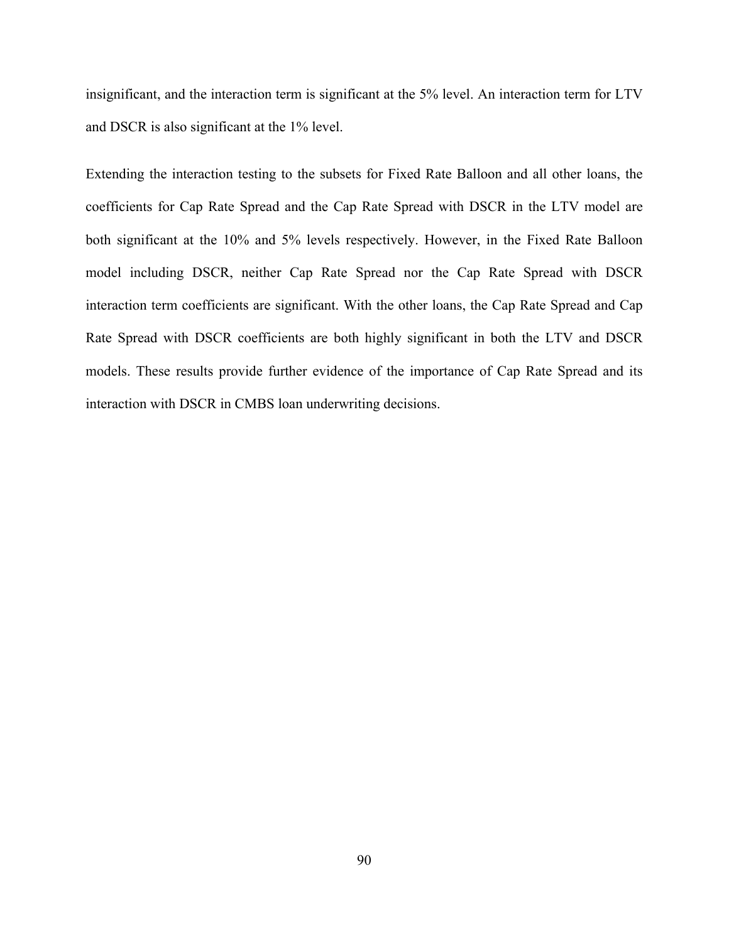insignificant, and the interaction term is significant at the 5% level. An interaction term for LTV and DSCR is also significant at the 1% level.

Extending the interaction testing to the subsets for Fixed Rate Balloon and all other loans, the coefficients for Cap Rate Spread and the Cap Rate Spread with DSCR in the LTV model are both significant at the 10% and 5% levels respectively. However, in the Fixed Rate Balloon model including DSCR, neither Cap Rate Spread nor the Cap Rate Spread with DSCR interaction term coefficients are significant. With the other loans, the Cap Rate Spread and Cap Rate Spread with DSCR coefficients are both highly significant in both the LTV and DSCR models. These results provide further evidence of the importance of Cap Rate Spread and its interaction with DSCR in CMBS loan underwriting decisions.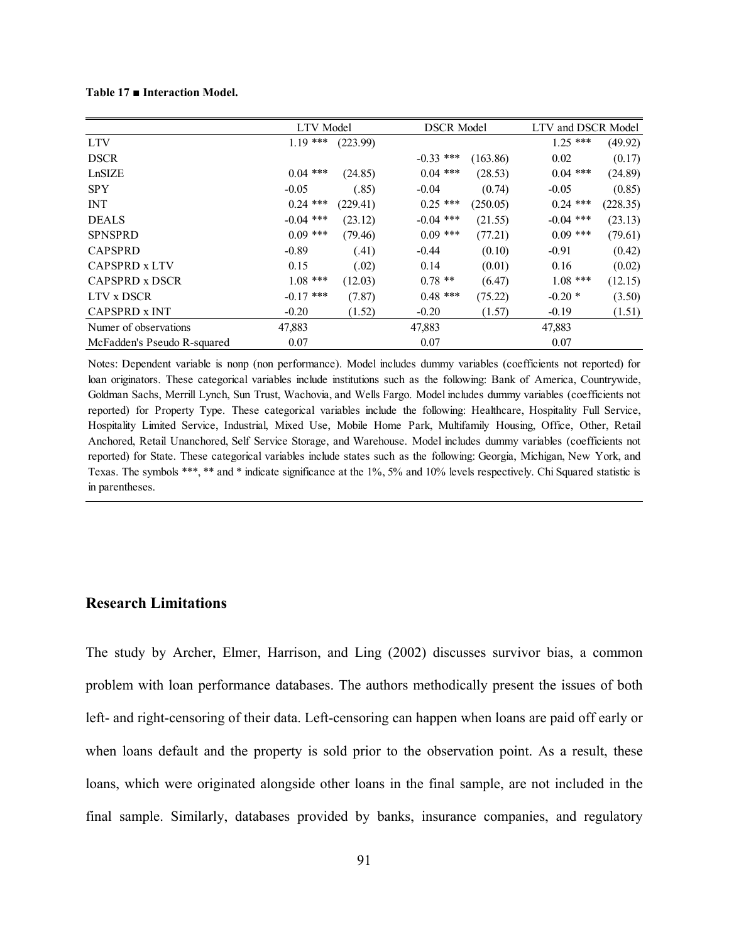#### **Table 17 ■ Interaction Model.**

|                             |             | LTV Model |             | <b>DSCR Model</b> |             | LTV and DSCR Model |
|-----------------------------|-------------|-----------|-------------|-------------------|-------------|--------------------|
| <b>LTV</b>                  | $1.19***$   | (223.99)  |             |                   | $1.25$ ***  | (49.92)            |
| <b>DSCR</b>                 |             |           | $-0.33$ *** | (163.86)          | 0.02        | (0.17)             |
| LnSIZE                      | $0.04$ ***  | (24.85)   | $0.04$ ***  | (28.53)           | $0.04$ ***  | (24.89)            |
| <b>SPY</b>                  | $-0.05$     | (.85)     | $-0.04$     | (0.74)            | $-0.05$     | (0.85)             |
| <b>INT</b>                  | $0.24$ ***  | (229.41)  | $0.25$ ***  | (250.05)          | $0.24$ ***  | (228.35)           |
| <b>DEALS</b>                | $-0.04$ *** | (23.12)   | $-0.04$ *** | (21.55)           | $-0.04$ *** | (23.13)            |
| <b>SPNSPRD</b>              | $0.09$ ***  | (79.46)   | $0.09$ ***  | (77.21)           | $0.09$ ***  | (79.61)            |
| <b>CAPSPRD</b>              | $-0.89$     | (.41)     | $-0.44$     | (0.10)            | $-0.91$     | (0.42)             |
| CAPSPRD x LTV               | 0.15        | (.02)     | 0.14        | (0.01)            | 0.16        | (0.02)             |
| CAPSPRD x DSCR              | $1.08$ ***  | (12.03)   | $0.78**$    | (6.47)            | $1.08$ ***  | (12.15)            |
| LTV x DSCR                  | $-0.17$ *** | (7.87)    | $0.48$ ***  | (75.22)           | $-0.20*$    | (3.50)             |
| CAPSPRD x INT               | $-0.20$     | (1.52)    | $-0.20$     | (1.57)            | $-0.19$     | (1.51)             |
| Numer of observations       | 47,883      |           | 47,883      |                   | 47,883      |                    |
| McFadden's Pseudo R-squared | 0.07        |           | 0.07        |                   | 0.07        |                    |

Notes: Dependent variable is nonp (non performance). Model includes dummy variables (coefficients not reported) for loan originators. These categorical variables include institutions such as the following: Bank of America, Countrywide, Goldman Sachs, Merrill Lynch, Sun Trust, Wachovia, and Wells Fargo. Model includes dummy variables (coefficients not reported) for Property Type. These categorical variables include the following: Healthcare, Hospitality Full Service, Hospitality Limited Service, Industrial, Mixed Use, Mobile Home Park, Multifamily Housing, Office, Other, Retail Anchored, Retail Unanchored, Self Service Storage, and Warehouse. Model includes dummy variables (coefficients not reported) for State. These categorical variables include states such as the following: Georgia, Michigan, New York, and Texas. The symbols \*\*\*, \*\* and \* indicate significance at the 1%, 5% and 10% levels respectively. Chi Squared statistic is in parentheses.

## **Research Limitations**

The study by Archer, Elmer, Harrison, and Ling (2002) discusses survivor bias, a common problem with loan performance databases. The authors methodically present the issues of both left- and right-censoring of their data. Left-censoring can happen when loans are paid off early or when loans default and the property is sold prior to the observation point. As a result, these loans, which were originated alongside other loans in the final sample, are not included in the final sample. Similarly, databases provided by banks, insurance companies, and regulatory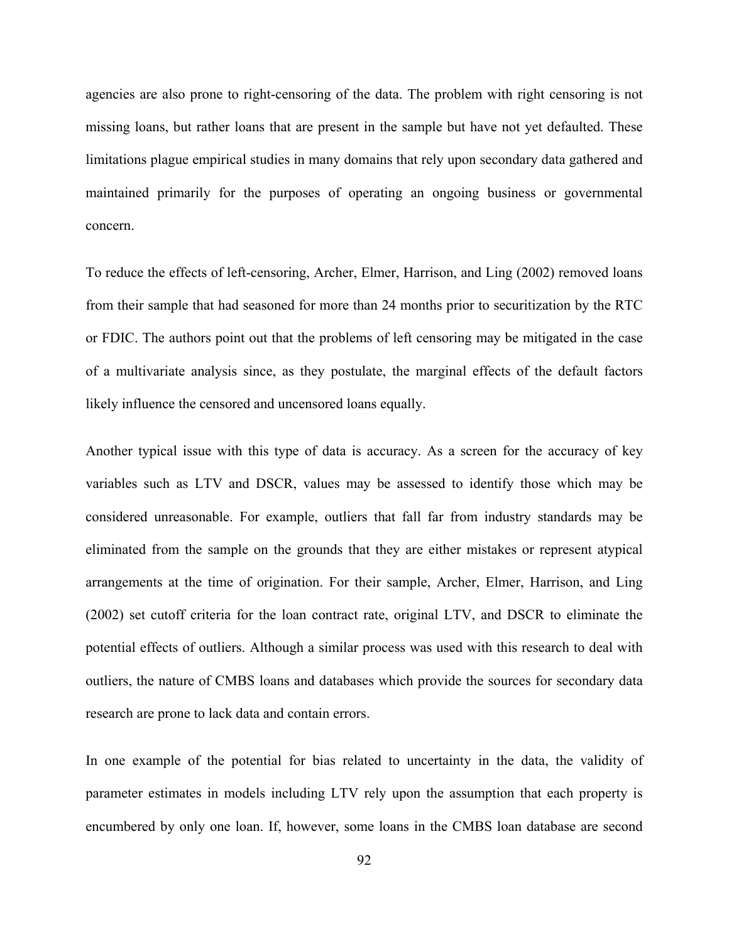agencies are also prone to right-censoring of the data. The problem with right censoring is not missing loans, but rather loans that are present in the sample but have not yet defaulted. These limitations plague empirical studies in many domains that rely upon secondary data gathered and maintained primarily for the purposes of operating an ongoing business or governmental concern.

To reduce the effects of left-censoring, Archer, Elmer, Harrison, and Ling (2002) removed loans from their sample that had seasoned for more than 24 months prior to securitization by the RTC or FDIC. The authors point out that the problems of left censoring may be mitigated in the case of a multivariate analysis since, as they postulate, the marginal effects of the default factors likely influence the censored and uncensored loans equally.

Another typical issue with this type of data is accuracy. As a screen for the accuracy of key variables such as LTV and DSCR, values may be assessed to identify those which may be considered unreasonable. For example, outliers that fall far from industry standards may be eliminated from the sample on the grounds that they are either mistakes or represent atypical arrangements at the time of origination. For their sample, Archer, Elmer, Harrison, and Ling (2002) set cutoff criteria for the loan contract rate, original LTV, and DSCR to eliminate the potential effects of outliers. Although a similar process was used with this research to deal with outliers, the nature of CMBS loans and databases which provide the sources for secondary data research are prone to lack data and contain errors.

In one example of the potential for bias related to uncertainty in the data, the validity of parameter estimates in models including LTV rely upon the assumption that each property is encumbered by only one loan. If, however, some loans in the CMBS loan database are second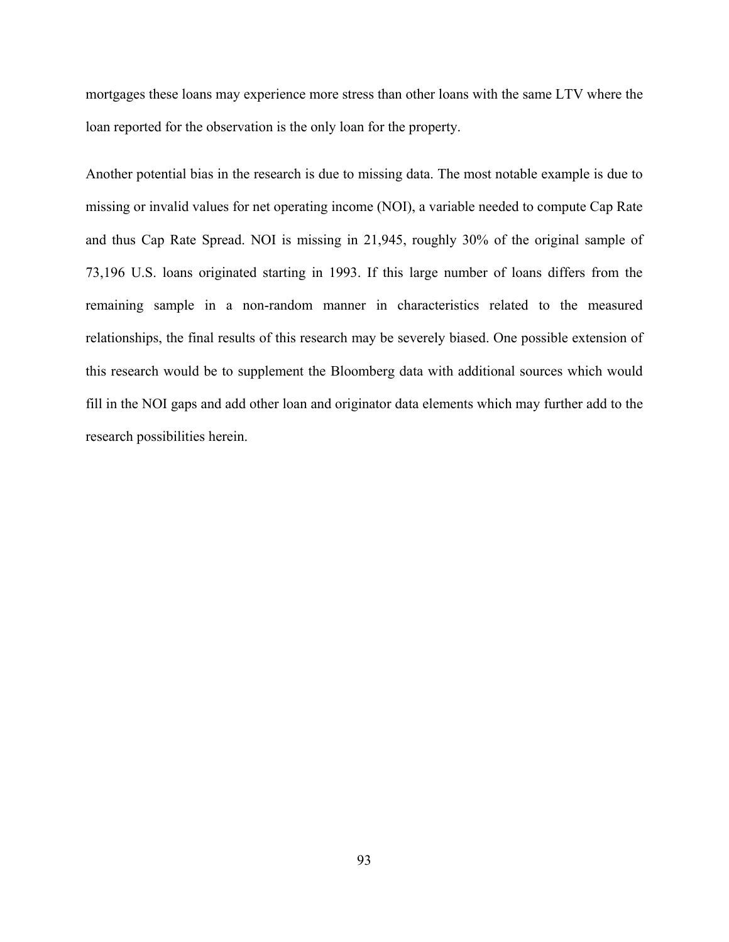mortgages these loans may experience more stress than other loans with the same LTV where the loan reported for the observation is the only loan for the property.

Another potential bias in the research is due to missing data. The most notable example is due to missing or invalid values for net operating income (NOI), a variable needed to compute Cap Rate and thus Cap Rate Spread. NOI is missing in 21,945, roughly 30% of the original sample of 73,196 U.S. loans originated starting in 1993. If this large number of loans differs from the remaining sample in a non-random manner in characteristics related to the measured relationships, the final results of this research may be severely biased. One possible extension of this research would be to supplement the Bloomberg data with additional sources which would fill in the NOI gaps and add other loan and originator data elements which may further add to the research possibilities herein.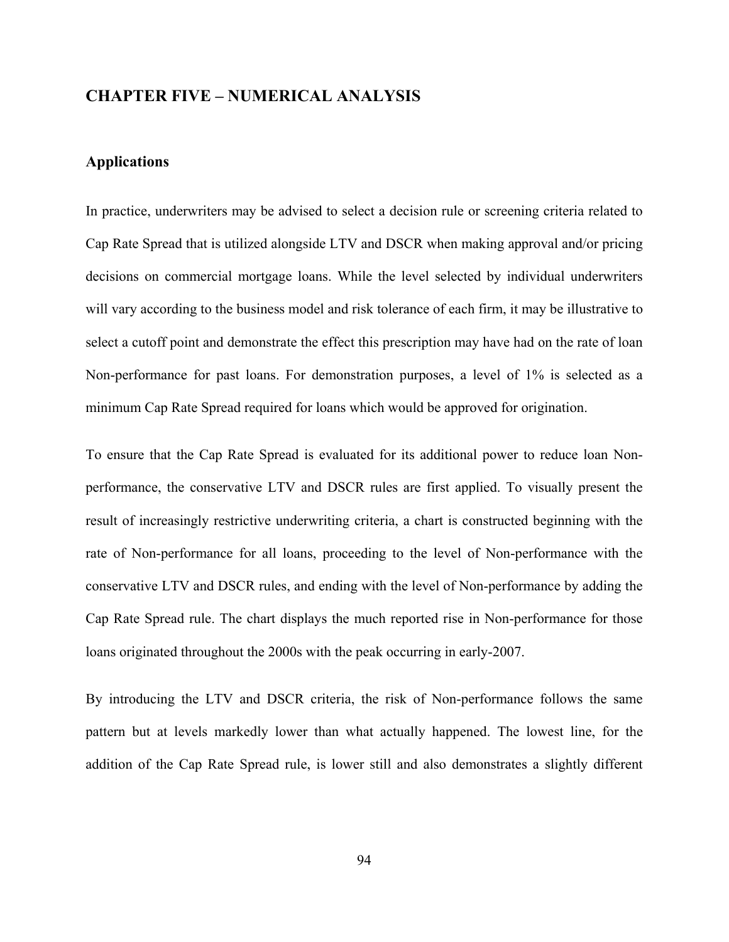## **CHAPTER FIVE – NUMERICAL ANALYSIS**

# **Applications**

In practice, underwriters may be advised to select a decision rule or screening criteria related to Cap Rate Spread that is utilized alongside LTV and DSCR when making approval and/or pricing decisions on commercial mortgage loans. While the level selected by individual underwriters will vary according to the business model and risk tolerance of each firm, it may be illustrative to select a cutoff point and demonstrate the effect this prescription may have had on the rate of loan Non-performance for past loans. For demonstration purposes, a level of 1% is selected as a minimum Cap Rate Spread required for loans which would be approved for origination.

To ensure that the Cap Rate Spread is evaluated for its additional power to reduce loan Nonperformance, the conservative LTV and DSCR rules are first applied. To visually present the result of increasingly restrictive underwriting criteria, a chart is constructed beginning with the rate of Non-performance for all loans, proceeding to the level of Non-performance with the conservative LTV and DSCR rules, and ending with the level of Non-performance by adding the Cap Rate Spread rule. The chart displays the much reported rise in Non-performance for those loans originated throughout the 2000s with the peak occurring in early-2007.

By introducing the LTV and DSCR criteria, the risk of Non-performance follows the same pattern but at levels markedly lower than what actually happened. The lowest line, for the addition of the Cap Rate Spread rule, is lower still and also demonstrates a slightly different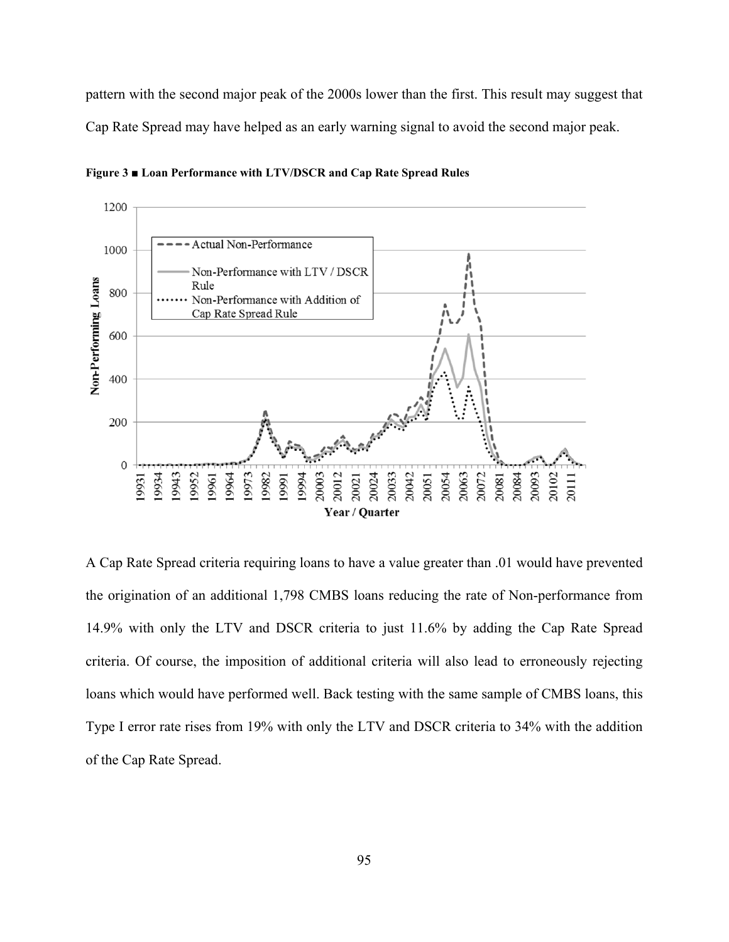pattern with the second major peak of the 2000s lower than the first. This result may suggest that Cap Rate Spread may have helped as an early warning signal to avoid the second major peak.



**Figure 3 ■ Loan Performance with LTV/DSCR and Cap Rate Spread Rules** 

A Cap Rate Spread criteria requiring loans to have a value greater than .01 would have prevented the origination of an additional 1,798 CMBS loans reducing the rate of Non-performance from 14.9% with only the LTV and DSCR criteria to just 11.6% by adding the Cap Rate Spread criteria. Of course, the imposition of additional criteria will also lead to erroneously rejecting loans which would have performed well. Back testing with the same sample of CMBS loans, this Type I error rate rises from 19% with only the LTV and DSCR criteria to 34% with the addition of the Cap Rate Spread.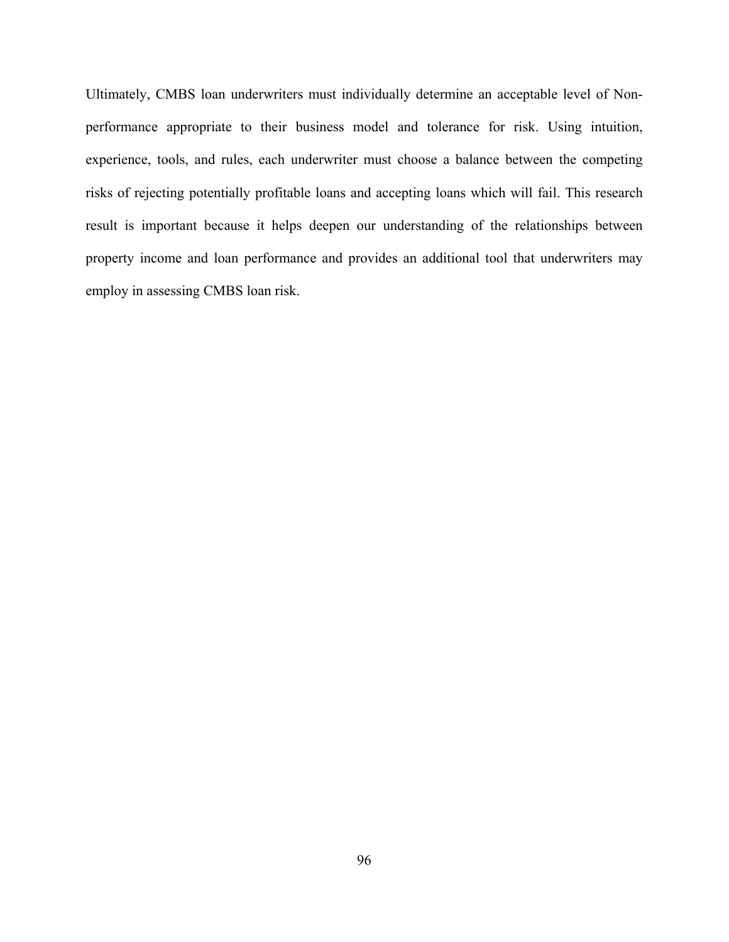Ultimately, CMBS loan underwriters must individually determine an acceptable level of Nonperformance appropriate to their business model and tolerance for risk. Using intuition, experience, tools, and rules, each underwriter must choose a balance between the competing risks of rejecting potentially profitable loans and accepting loans which will fail. This research result is important because it helps deepen our understanding of the relationships between property income and loan performance and provides an additional tool that underwriters may employ in assessing CMBS loan risk.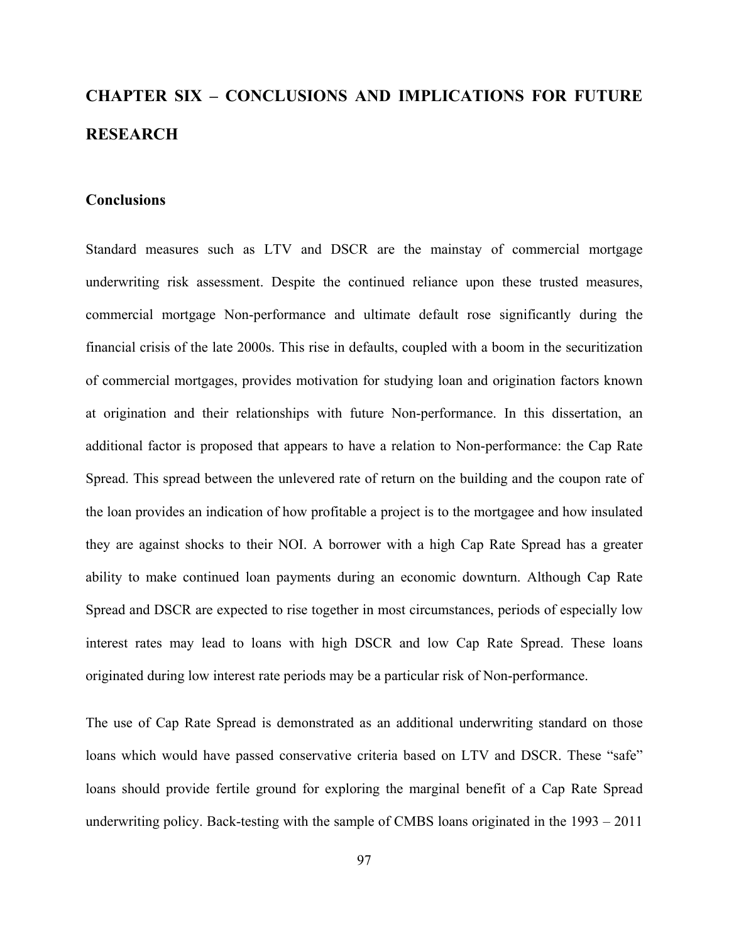# **CHAPTER SIX – CONCLUSIONS AND IMPLICATIONS FOR FUTURE RESEARCH**

## **Conclusions**

Standard measures such as LTV and DSCR are the mainstay of commercial mortgage underwriting risk assessment. Despite the continued reliance upon these trusted measures, commercial mortgage Non-performance and ultimate default rose significantly during the financial crisis of the late 2000s. This rise in defaults, coupled with a boom in the securitization of commercial mortgages, provides motivation for studying loan and origination factors known at origination and their relationships with future Non-performance. In this dissertation, an additional factor is proposed that appears to have a relation to Non-performance: the Cap Rate Spread. This spread between the unlevered rate of return on the building and the coupon rate of the loan provides an indication of how profitable a project is to the mortgagee and how insulated they are against shocks to their NOI. A borrower with a high Cap Rate Spread has a greater ability to make continued loan payments during an economic downturn. Although Cap Rate Spread and DSCR are expected to rise together in most circumstances, periods of especially low interest rates may lead to loans with high DSCR and low Cap Rate Spread. These loans originated during low interest rate periods may be a particular risk of Non-performance.

The use of Cap Rate Spread is demonstrated as an additional underwriting standard on those loans which would have passed conservative criteria based on LTV and DSCR. These "safe" loans should provide fertile ground for exploring the marginal benefit of a Cap Rate Spread underwriting policy. Back-testing with the sample of CMBS loans originated in the 1993 – 2011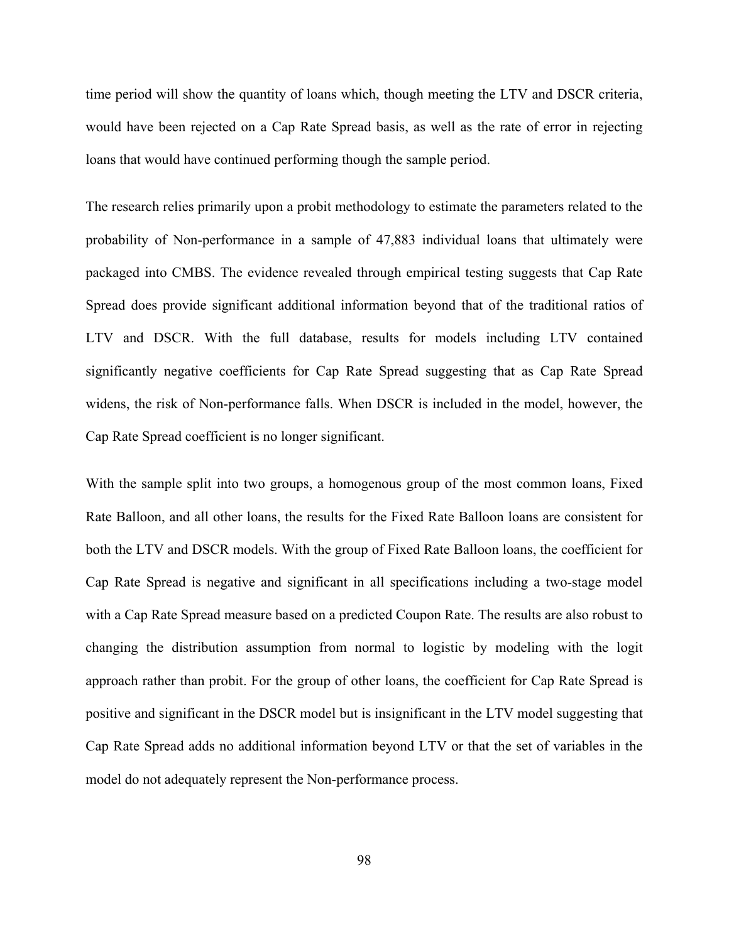time period will show the quantity of loans which, though meeting the LTV and DSCR criteria, would have been rejected on a Cap Rate Spread basis, as well as the rate of error in rejecting loans that would have continued performing though the sample period.

The research relies primarily upon a probit methodology to estimate the parameters related to the probability of Non-performance in a sample of 47,883 individual loans that ultimately were packaged into CMBS. The evidence revealed through empirical testing suggests that Cap Rate Spread does provide significant additional information beyond that of the traditional ratios of LTV and DSCR. With the full database, results for models including LTV contained significantly negative coefficients for Cap Rate Spread suggesting that as Cap Rate Spread widens, the risk of Non-performance falls. When DSCR is included in the model, however, the Cap Rate Spread coefficient is no longer significant.

With the sample split into two groups, a homogenous group of the most common loans, Fixed Rate Balloon, and all other loans, the results for the Fixed Rate Balloon loans are consistent for both the LTV and DSCR models. With the group of Fixed Rate Balloon loans, the coefficient for Cap Rate Spread is negative and significant in all specifications including a two-stage model with a Cap Rate Spread measure based on a predicted Coupon Rate. The results are also robust to changing the distribution assumption from normal to logistic by modeling with the logit approach rather than probit. For the group of other loans, the coefficient for Cap Rate Spread is positive and significant in the DSCR model but is insignificant in the LTV model suggesting that Cap Rate Spread adds no additional information beyond LTV or that the set of variables in the model do not adequately represent the Non-performance process.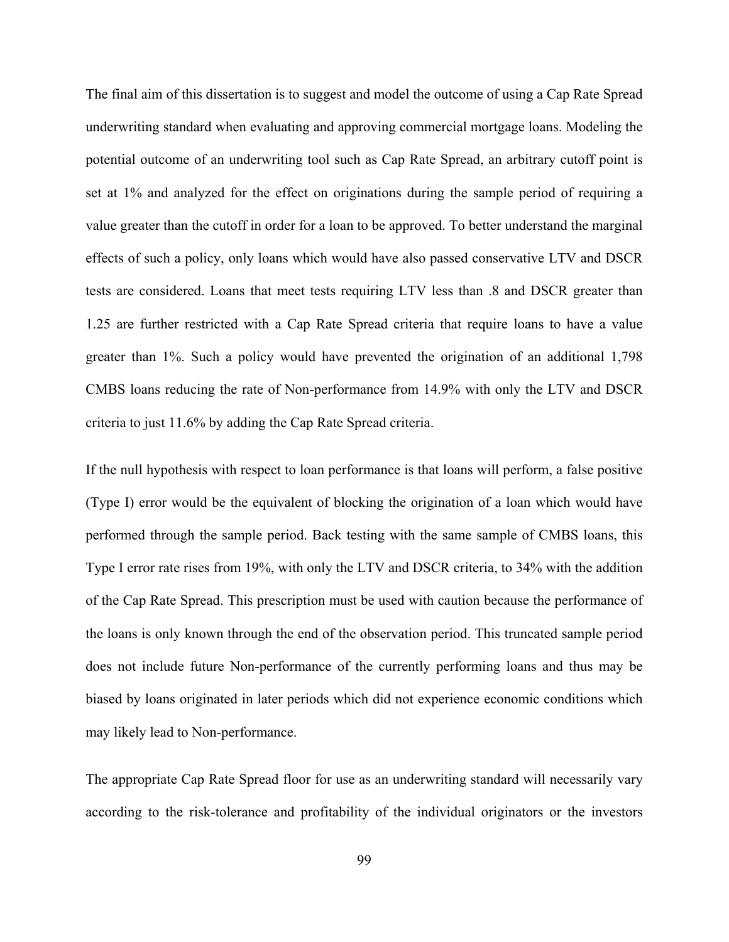The final aim of this dissertation is to suggest and model the outcome of using a Cap Rate Spread underwriting standard when evaluating and approving commercial mortgage loans. Modeling the potential outcome of an underwriting tool such as Cap Rate Spread, an arbitrary cutoff point is set at 1% and analyzed for the effect on originations during the sample period of requiring a value greater than the cutoff in order for a loan to be approved. To better understand the marginal effects of such a policy, only loans which would have also passed conservative LTV and DSCR tests are considered. Loans that meet tests requiring LTV less than .8 and DSCR greater than 1.25 are further restricted with a Cap Rate Spread criteria that require loans to have a value greater than 1%. Such a policy would have prevented the origination of an additional 1,798 CMBS loans reducing the rate of Non-performance from 14.9% with only the LTV and DSCR criteria to just 11.6% by adding the Cap Rate Spread criteria.

If the null hypothesis with respect to loan performance is that loans will perform, a false positive (Type I) error would be the equivalent of blocking the origination of a loan which would have performed through the sample period. Back testing with the same sample of CMBS loans, this Type I error rate rises from 19%, with only the LTV and DSCR criteria, to 34% with the addition of the Cap Rate Spread. This prescription must be used with caution because the performance of the loans is only known through the end of the observation period. This truncated sample period does not include future Non-performance of the currently performing loans and thus may be biased by loans originated in later periods which did not experience economic conditions which may likely lead to Non-performance.

The appropriate Cap Rate Spread floor for use as an underwriting standard will necessarily vary according to the risk-tolerance and profitability of the individual originators or the investors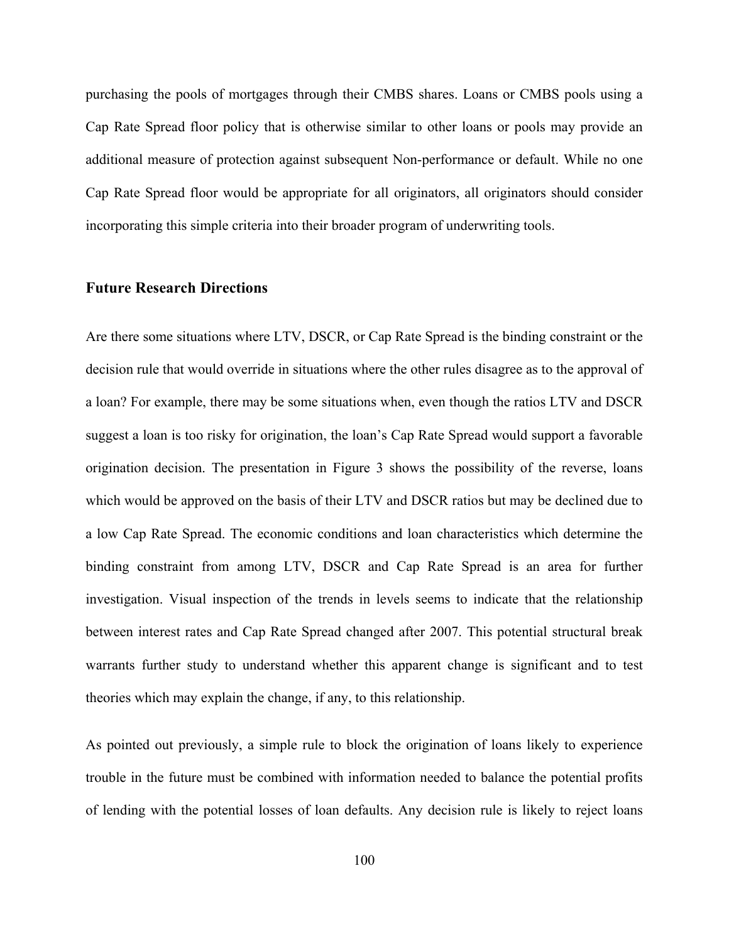purchasing the pools of mortgages through their CMBS shares. Loans or CMBS pools using a Cap Rate Spread floor policy that is otherwise similar to other loans or pools may provide an additional measure of protection against subsequent Non-performance or default. While no one Cap Rate Spread floor would be appropriate for all originators, all originators should consider incorporating this simple criteria into their broader program of underwriting tools.

## **Future Research Directions**

Are there some situations where LTV, DSCR, or Cap Rate Spread is the binding constraint or the decision rule that would override in situations where the other rules disagree as to the approval of a loan? For example, there may be some situations when, even though the ratios LTV and DSCR suggest a loan is too risky for origination, the loan's Cap Rate Spread would support a favorable origination decision. The presentation in Figure 3 shows the possibility of the reverse, loans which would be approved on the basis of their LTV and DSCR ratios but may be declined due to a low Cap Rate Spread. The economic conditions and loan characteristics which determine the binding constraint from among LTV, DSCR and Cap Rate Spread is an area for further investigation. Visual inspection of the trends in levels seems to indicate that the relationship between interest rates and Cap Rate Spread changed after 2007. This potential structural break warrants further study to understand whether this apparent change is significant and to test theories which may explain the change, if any, to this relationship.

As pointed out previously, a simple rule to block the origination of loans likely to experience trouble in the future must be combined with information needed to balance the potential profits of lending with the potential losses of loan defaults. Any decision rule is likely to reject loans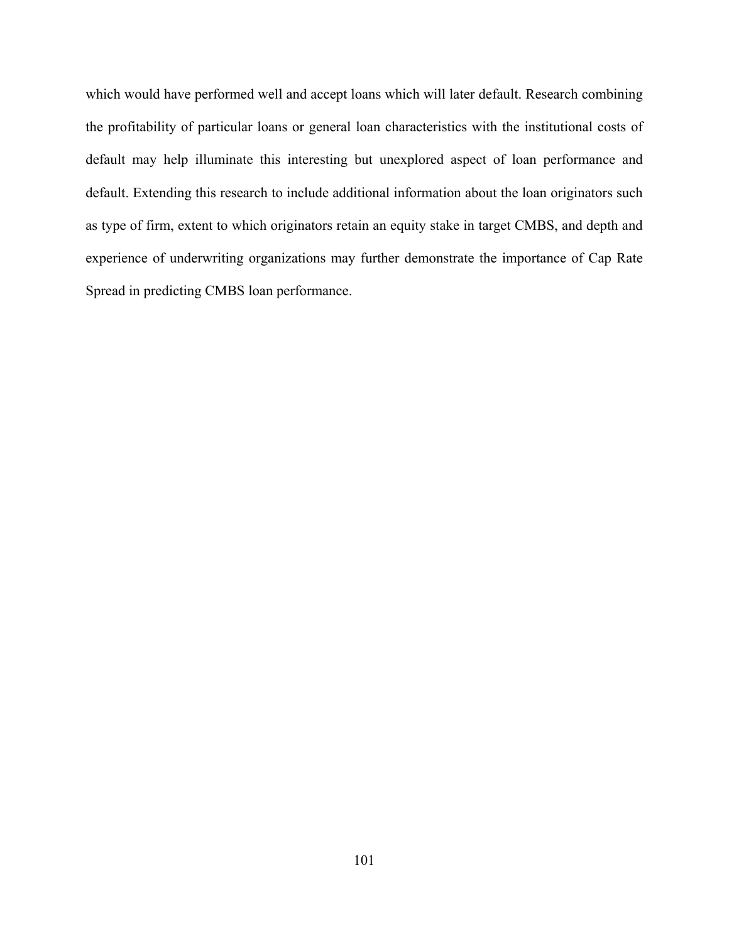which would have performed well and accept loans which will later default. Research combining the profitability of particular loans or general loan characteristics with the institutional costs of default may help illuminate this interesting but unexplored aspect of loan performance and default. Extending this research to include additional information about the loan originators such as type of firm, extent to which originators retain an equity stake in target CMBS, and depth and experience of underwriting organizations may further demonstrate the importance of Cap Rate Spread in predicting CMBS loan performance.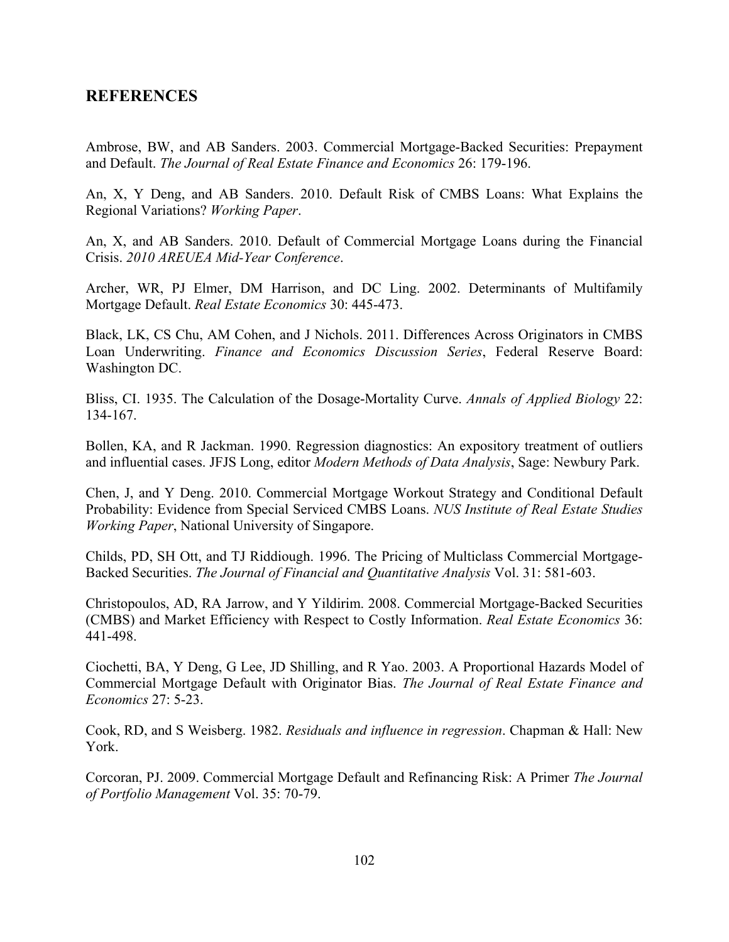# **REFERENCES**

Ambrose, BW, and AB Sanders. 2003. Commercial Mortgage-Backed Securities: Prepayment and Default. *The Journal of Real Estate Finance and Economics* 26: 179-196.

An, X, Y Deng, and AB Sanders. 2010. Default Risk of CMBS Loans: What Explains the Regional Variations? *Working Paper*.

An, X, and AB Sanders. 2010. Default of Commercial Mortgage Loans during the Financial Crisis. *2010 AREUEA Mid-Year Conference*.

Archer, WR, PJ Elmer, DM Harrison, and DC Ling. 2002. Determinants of Multifamily Mortgage Default. *Real Estate Economics* 30: 445-473.

Black, LK, CS Chu, AM Cohen, and J Nichols. 2011. Differences Across Originators in CMBS Loan Underwriting. *Finance and Economics Discussion Series*, Federal Reserve Board: Washington DC.

Bliss, CI. 1935. The Calculation of the Dosage-Mortality Curve. *Annals of Applied Biology* 22: 134-167.

Bollen, KA, and R Jackman. 1990. Regression diagnostics: An expository treatment of outliers and influential cases. JFJS Long, editor *Modern Methods of Data Analysis*, Sage: Newbury Park.

Chen, J, and Y Deng. 2010. Commercial Mortgage Workout Strategy and Conditional Default Probability: Evidence from Special Serviced CMBS Loans. *NUS Institute of Real Estate Studies Working Paper*, National University of Singapore.

Childs, PD, SH Ott, and TJ Riddiough. 1996. The Pricing of Multiclass Commercial Mortgage-Backed Securities. *The Journal of Financial and Quantitative Analysis* Vol. 31: 581-603.

Christopoulos, AD, RA Jarrow, and Y Yildirim. 2008. Commercial Mortgage-Backed Securities (CMBS) and Market Efficiency with Respect to Costly Information. *Real Estate Economics* 36: 441-498.

Ciochetti, BA, Y Deng, G Lee, JD Shilling, and R Yao. 2003. A Proportional Hazards Model of Commercial Mortgage Default with Originator Bias. *The Journal of Real Estate Finance and Economics* 27: 5-23.

Cook, RD, and S Weisberg. 1982. *Residuals and influence in regression*. Chapman & Hall: New York.

Corcoran, PJ. 2009. Commercial Mortgage Default and Refinancing Risk: A Primer *The Journal of Portfolio Management* Vol. 35: 70-79.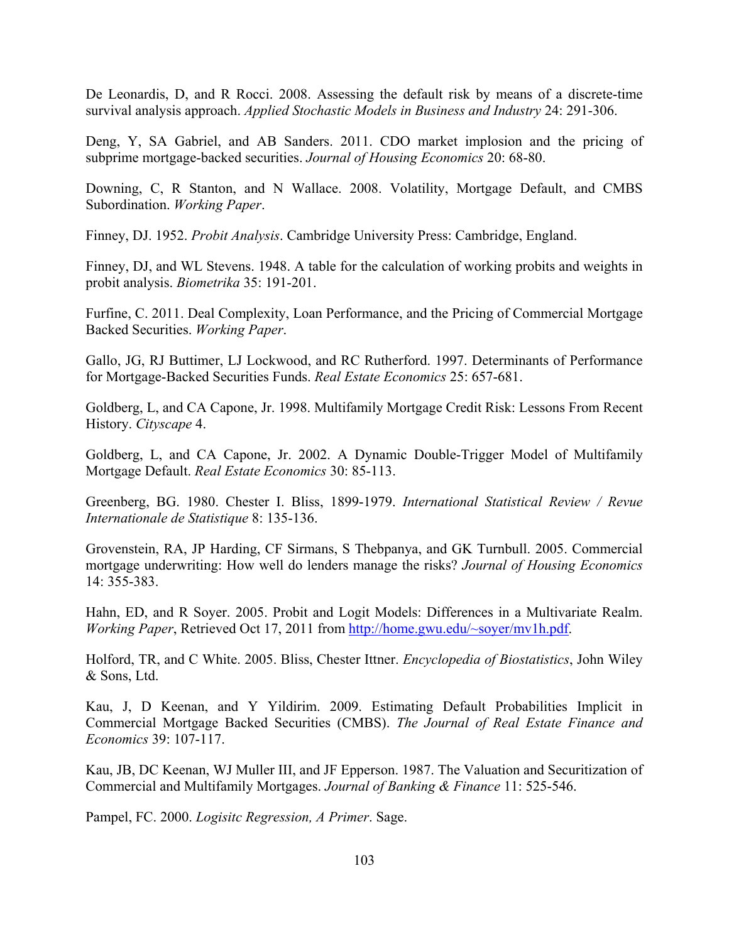De Leonardis, D, and R Rocci. 2008. Assessing the default risk by means of a discrete-time survival analysis approach. *Applied Stochastic Models in Business and Industry* 24: 291-306.

Deng, Y, SA Gabriel, and AB Sanders. 2011. CDO market implosion and the pricing of subprime mortgage-backed securities. *Journal of Housing Economics* 20: 68-80.

Downing, C, R Stanton, and N Wallace. 2008. Volatility, Mortgage Default, and CMBS Subordination. *Working Paper*.

Finney, DJ. 1952. *Probit Analysis*. Cambridge University Press: Cambridge, England.

Finney, DJ, and WL Stevens. 1948. A table for the calculation of working probits and weights in probit analysis. *Biometrika* 35: 191-201.

Furfine, C. 2011. Deal Complexity, Loan Performance, and the Pricing of Commercial Mortgage Backed Securities. *Working Paper*.

Gallo, JG, RJ Buttimer, LJ Lockwood, and RC Rutherford. 1997. Determinants of Performance for Mortgage-Backed Securities Funds. *Real Estate Economics* 25: 657-681.

Goldberg, L, and CA Capone, Jr. 1998. Multifamily Mortgage Credit Risk: Lessons From Recent History. *Cityscape* 4.

Goldberg, L, and CA Capone, Jr. 2002. A Dynamic Double-Trigger Model of Multifamily Mortgage Default. *Real Estate Economics* 30: 85-113.

Greenberg, BG. 1980. Chester I. Bliss, 1899-1979. *International Statistical Review / Revue Internationale de Statistique* 8: 135-136.

Grovenstein, RA, JP Harding, CF Sirmans, S Thebpanya, and GK Turnbull. 2005. Commercial mortgage underwriting: How well do lenders manage the risks? *Journal of Housing Economics* 14: 355-383.

Hahn, ED, and R Soyer. 2005. Probit and Logit Models: Differences in a Multivariate Realm. *Working Paper*, Retrieved Oct 17, 2011 from http://home.gwu.edu/~soyer/mv1h.pdf.

Holford, TR, and C White. 2005. Bliss, Chester Ittner. *Encyclopedia of Biostatistics*, John Wiley & Sons, Ltd.

Kau, J, D Keenan, and Y Yildirim. 2009. Estimating Default Probabilities Implicit in Commercial Mortgage Backed Securities (CMBS). *The Journal of Real Estate Finance and Economics* 39: 107-117.

Kau, JB, DC Keenan, WJ Muller III, and JF Epperson. 1987. The Valuation and Securitization of Commercial and Multifamily Mortgages. *Journal of Banking & Finance* 11: 525-546.

Pampel, FC. 2000. *Logisitc Regression, A Primer*. Sage.